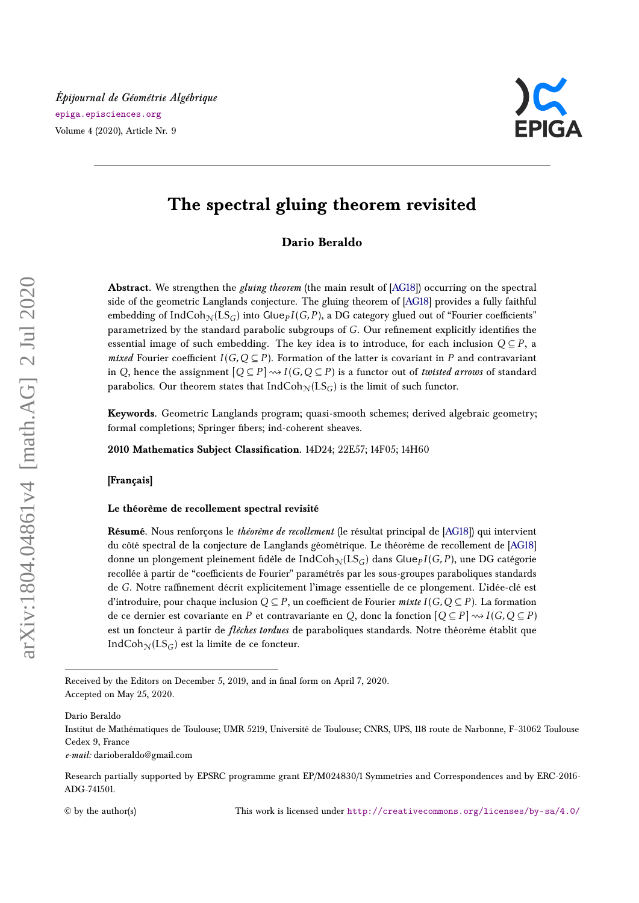

# **The spectral gluing theorem revisited**

**Dario Beraldo**

**Abstract.** We strengthen the *gluing theorem* (the main result of [\[AG18\]](#page-32-0)) occurring on the spectral side of the geometric Langlands conjecture. The gluing theorem of [\[AG18\]](#page-32-0) provides a fully faithful embedding of  $\rm{IndCoh}_{\mathcal{N}}(LS_G)$  into  $\rm{Glue}_{\it{P}}$  *I*(*G, P*), a DG category glued out of "Fourier coefficients" parametrized by the standard parabolic subgroups of *G*. Our refinement explicitly identifies the essential image of such embedding. The key idea is to introduce, for each inclusion  $Q \subseteq P$ , a *mixed* Fourier coefficient  $I(G, Q \subseteq P)$ . Formation of the latter is covariant in P and contravariant in *Q*, hence the assignment  $[Q \subseteq P] \rightsquigarrow I(G, Q \subseteq P)$  is a functor out of *twisted arrows* of standard parabolics. Our theorem states that  $IndCoh_N(LS_G)$  is the limit of such functor.

**Keywords.** Geometric Langlands program; quasi-smooth schemes; derived algebraic geometry; formal completions; Springer fibers; ind-coherent sheaves.

**2010 Mathematics Subject Classification.** 14D24; 22E57; 14F05; 14H60

**[Français]**

#### **Le théorème de recollement spectral revisité**

**Résumé.** Nous renforçons le *théorème de recollement* (le résultat principal de [\[AG18\]](#page-32-0)) qui intervient du côté spectral de la conjecture de Langlands géométrique. Le théorème de recollement de [\[AG18\]](#page-32-0) donne un plongement pleinement fidèle de Ind $\mathrm{Coh}_\mathcal{N}(\mathrm{LS}_G)$  dans Glue $_P I(G, P)$ , une DG catégorie recollée à partir de "coefficients de Fourier" paramétrés par les sous-groupes paraboliques standards de *G*. Notre raffinement décrit explicitement l'image essentielle de ce plongement. L'idée-clé est d'introduire, pour chaque inclusion  $Q \subseteq P$ , un coefficient de Fourier *mixte*  $I(G, Q \subseteq P)$ . La formation de ce dernier est covariante en *P* et contravariante en *Q*, donc la fonction  $[Q \subseteq P] \rightsquigarrow I(G, Q \subseteq P)$ est un foncteur à partir de *flèches tordues* de paraboliques standards. Notre théorème établit que IndCoh<sub>N</sub>(LS<sub>G</sub>) est la limite de ce foncteur.

Dario Beraldo

Received by the Editors on December 5, 2019, and in final form on April 7, 2020. Accepted on May 25, 2020.

Institut de Mathématiques de Toulouse; UMR 5219, Université de Toulouse; CNRS, UPS, 118 route de Narbonne, F–31062 Toulouse Cedex 9, France

*e-mail:* darioberaldo@gmail.com

Research partially supported by EPSRC programme grant EP/M024830/1 Symmetries and Correspondences and by ERC-2016- ADG-741501.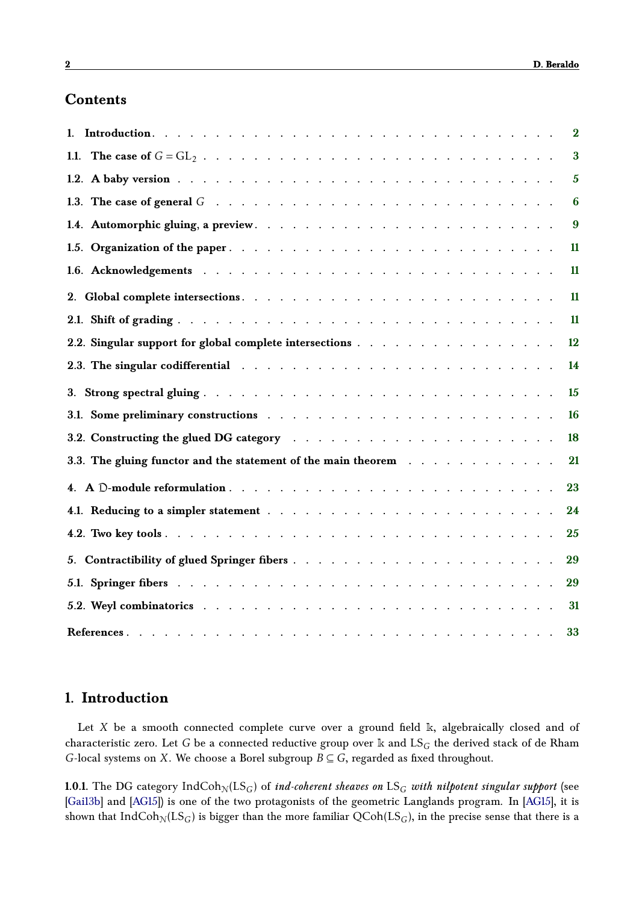# **Contents**

| 1.                                                                                                                                                                                                                             | $\overline{\mathbf{2}}$ |
|--------------------------------------------------------------------------------------------------------------------------------------------------------------------------------------------------------------------------------|-------------------------|
|                                                                                                                                                                                                                                | $\bf{3}$                |
|                                                                                                                                                                                                                                | $\overline{5}$          |
| 1.3. The case of general $G \rightarrow \cdots \rightarrow \cdots$                                                                                                                                                             | 6                       |
|                                                                                                                                                                                                                                | 9                       |
|                                                                                                                                                                                                                                | 11                      |
|                                                                                                                                                                                                                                | 11                      |
|                                                                                                                                                                                                                                | 11                      |
|                                                                                                                                                                                                                                | 11                      |
| 2.2. Singular support for global complete intersections                                                                                                                                                                        | 12                      |
| 2.3. The singular codifferential resources and contact the contact of the singular codifferential resources and contact the singular codifferential resources and contact the singular codifferential resources and contact th | 14                      |
|                                                                                                                                                                                                                                | 15                      |
|                                                                                                                                                                                                                                | 16                      |
|                                                                                                                                                                                                                                | 18                      |
| 3.3. The gluing functor and the statement of the main theorem                                                                                                                                                                  | 21                      |
|                                                                                                                                                                                                                                | 23                      |
|                                                                                                                                                                                                                                | 24                      |
|                                                                                                                                                                                                                                | 25                      |
|                                                                                                                                                                                                                                | 29                      |
|                                                                                                                                                                                                                                | 29                      |
|                                                                                                                                                                                                                                | 31                      |
|                                                                                                                                                                                                                                | 33                      |

# <span id="page-1-0"></span>**1. Introduction**

Let *X* be a smooth connected complete curve over a ground field k, algebraically closed and of characteristic zero. Let *G* be a connected reductive group over k and LS*<sup>G</sup>* the derived stack of de Rham *G*-local systems on *X*. We choose a Borel subgroup *B* ⊆ *G*, regarded as fixed throughout.

**1.0.1.** The DG category  $IndCoh<sub>N</sub>(LS<sub>G</sub>)$  of *ind-coherent sheaves on*  $LS<sub>G</sub>$  *with nilpotent singular support* (see [\[Gai13b\]](#page-33-0) and [\[AG15\]](#page-32-1)) is one of the two protagonists of the geometric Langlands program. In [\[AG15\]](#page-32-1), it is shown that IndCoh<sub>N</sub>(LS<sub>G</sub>) is bigger than the more familiar  $QCoh(LS_G)$ , in the precise sense that there is a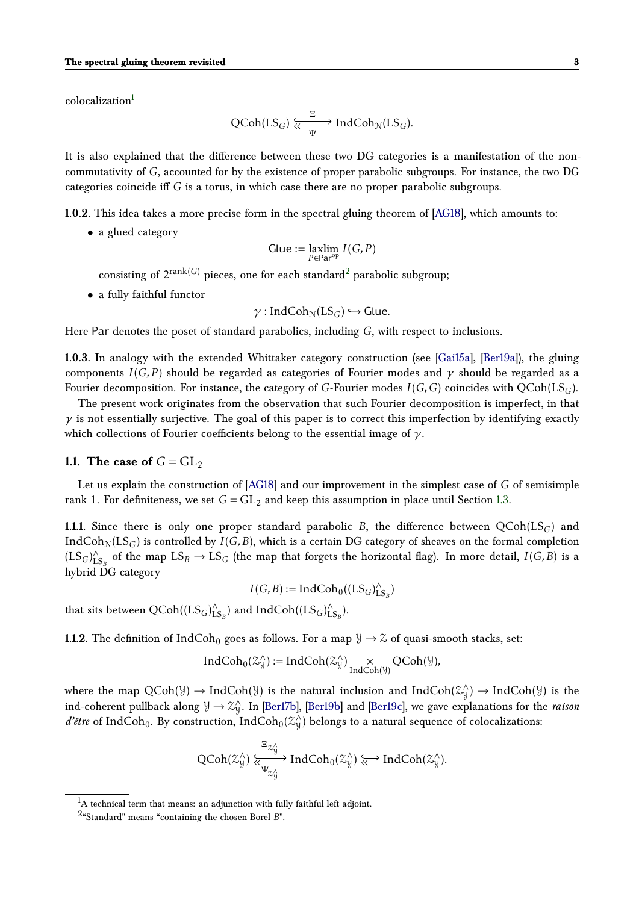colocalization<sup>[1](#page-2-1)</sup>

<span id="page-2-3"></span>
$$
\text{QCoh}(\text{LS}_G) \xleftarrow{\Xi} \text{IndCoh}_{\mathcal{N}}(\text{LS}_G).
$$

It is also explained that the difference between these two DG categories is a manifestation of the noncommutativity of *G*, accounted for by the existence of proper parabolic subgroups. For instance, the two DG categories coincide iff *G* is a torus, in which case there are no proper parabolic subgroups.

**1.0.2.** This idea takes a more precise form in the spectral gluing theorem of [\[AG18\]](#page-32-0), which amounts to:

• a glued category

$$
\text{Glue} := \underset{P \in \text{Par}^{\text{op}}} \text{axlim} \ I(G, P)
$$

consisting of  $2^{\mathrm{rank}(G)}$  $2^{\mathrm{rank}(G)}$  pieces, one for each standard $^2$  parabolic subgroup;

• a fully faithful functor

$$
\gamma: IndCoh_{\mathcal{N}}(LS_G) \hookrightarrow Glue.
$$

Here Par denotes the poset of standard parabolics, including *G*, with respect to inclusions.

**1.0.3.** In analogy with the extended Whittaker category construction (see [\[Gai15a\]](#page-33-1), [\[Ber19a\]](#page-33-2)), the gluing components  $I(G, P)$  should be regarded as categories of Fourier modes and  $\gamma$  should be regarded as a Fourier decomposition. For instance, the category of *G*-Fourier modes *I*(*G,G*) coincides with QCoh(LS*G*).

The present work originates from the observation that such Fourier decomposition is imperfect, in that  $\gamma$  is not essentially surjective. The goal of this paper is to correct this imperfection by identifying exactly which collections of Fourier coefficients belong to the essential image of *γ*.

#### <span id="page-2-0"></span>**1.1.** The case of  $G = GL_2$

Let us explain the construction of [\[AG18\]](#page-32-0) and our improvement in the simplest case of *G* of semisimple rank 1. For definiteness, we set  $G = GL_2$  and keep this assumption in place until Section [1.3.](#page-5-0)

**1.1.1.** Since there is only one proper standard parabolic *B*, the difference between  $QCoh(LS_G)$  and IndCoh<sub>N</sub>(LS<sub>G</sub>) is controlled by *I*(*G,B*), which is a certain DG category of sheaves on the formal completion  $(LS_G)_{L}^{\wedge}$  $\bigcup_{1\text{S}_B}^{\wedge}$  of the map  $LS_B \rightarrow LS_G$  (the map that forgets the horizontal flag). In more detail,  $I(G, B)$  is a hybrid DG category

 $I(G, B) := IndCoh_0((LS_G)^{\wedge}_L$  $\binom{\wedge}{\text{LS}_B}$ 

that sits between QCoh((LS*G*) ∧  $\bigwedge_{\text{LS}_B}^{\wedge}$ ) and IndCoh((LS<sub>*G*</sub>)<sup> $\wedge$ </sup>L  $\int_{LS_B}^{\wedge}$ .

<span id="page-2-4"></span>**1.1.2.** The definition of  $IndCoh<sub>0</sub>$  goes as follows. For a map  $\mathcal{Y} \to \mathcal{Z}$  of quasi-smooth stacks, set:

$$
IndCoh_0(\mathcal{Z}_{\mathcal{Y}}^{\wedge}) := IndCoh(\mathcal{Z}_{\mathcal{Y}}^{\wedge}) \underset{IndCoh(\mathcal{Y})}{\times} QCoh(\mathcal{Y}),
$$

where the map  $QCoh(\mathcal{Y}) \to IndCoh(\mathcal{Y})$  is the natural inclusion and IndCoh( $\mathcal{Z}_{\mathcal{Y}}^{\wedge}$  $\chi(y)$  → IndCoh(Y) is the ind-coherent pullback along  $\mathcal{Y} \to \mathcal{Z}_{\mathcal{Y}}^{\wedge}$ Y . In [\[Ber17b\]](#page-33-3), [\[Ber19b\]](#page-33-4) and [\[Ber19c\]](#page-33-5), we gave explanations for the *raison d'être* of IndCoh<sub>0</sub>. By construction, IndCoh<sub>0</sub>( $\chi$ <sup>2</sup>/<sub>y</sub>)</sub>  $\left\langle\!\right\rangle$ ) belongs to a natural sequence of colocalizations:

$$
\operatorname{QCoh}(\mathcal Z^\wedge_y)\overset{\Xi_{\mathcal Z^\wedge_y}}{\underset{\Psi_{\mathcal Z^\wedge_y}}{\longleftarrow}}\operatorname{IndCoh}_0(\mathcal Z^\wedge_y)\overset{\longleftarrow}{\Longleftarrow}\operatorname{IndCoh}(\mathcal Z^\wedge_y).
$$

<span id="page-2-1"></span> ${}^{1}$ A technical term that means: an adjunction with fully faithful left adjoint.

<span id="page-2-2"></span><sup>2</sup> "Standard" means "containing the chosen Borel *B*".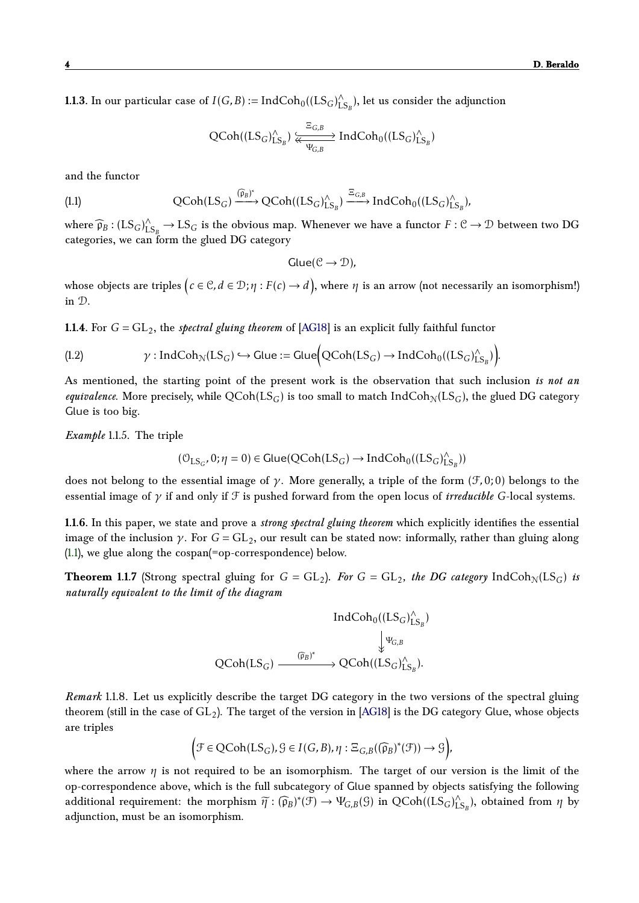**1.1.3.** In our particular case of  $I(G, B) := IndCoh<sub>0</sub>((LS<sub>G</sub>)<sub>L</sub><sup>^</sup>)$  $\hat{L}_{\mathbf{S}_B}^{\wedge}$ ), let us consider the adjunction

$$
\text{QCoh}((\text{LS}_G)^\wedge_{\text{LS}_B}) \xleftarrow[\text{KL}_G]^\wedge_{\text{VC},B} \text{IndCoh}_0((\text{LS}_G)^\wedge_{\text{LS}_B})
$$

and the functor

(1.1) 
$$
\text{QCoh}(\text{LS}_G) \xrightarrow{\left(\widehat{\mu}_B\right)^*} \text{QCoh}((\text{LS}_G)_{\text{LS}_B}^{\wedge}) \xrightarrow{\Xi_{G,B}} \text{IndCoh}_0((\text{LS}_G)_{\text{LS}_B}^{\wedge}),
$$

where  $\widehat{\mathfrak{p}}_B$  :  $(LS_G)_{LS_B}^{\wedge} \to LS_G$  is the obvious map. Whenever we have a functor  $F : \mathcal{C} \to \mathcal{D}$  between two DG categories, we can form the glued DG category

$$
Glue(\mathcal{C}\to\mathcal{D}),
$$

whose objects are triples  $\big( c \in \mathbb{C}, d \in \mathbb{D}; \eta: F(c) \to d \big),$  where  $\eta$  is an arrow (not necessarily an isomorphism!) in D.

**1.1.4.** For  $G = GL_2$ , the *spectral gluing theorem* of [\[AG18\]](#page-32-0) is an explicit fully faithful functor

(1.2) 
$$
\gamma: IndCoh_{\mathcal{N}}(LS_G) \hookrightarrow Glue := Glue\Big(QCoh(LS_G) \rightarrow IndCoh_0((LS_G)_{LS_B}^{\wedge})\Big).
$$

As mentioned, the starting point of the present work is the observation that such inclusion *is not an equivalence*. More precisely, while  $QCoh(LS_G)$  is too small to match Ind $Coh_N(LS_G)$ , the glued DG category Glue is too big.

*Example* 1.1.5*.* The triple

$$
(\mathbb{O}_{LS_G}, 0; \eta=0) \in \text{Glue}(QCoh(LS_G) \rightarrow \text{IndCoh}_0((LS_G)^\wedge_{LS_B}))
$$

does not belong to the essential image of *γ*. More generally, a triple of the form (F*,*0; 0) belongs to the essential image of *γ* if and only if F is pushed forward from the open locus of *irreducible G*-local systems.

**1.1.6.** In this paper, we state and prove a *strong spectral gluing theorem* which explicitly identifies the essential image of the inclusion  $\gamma$ . For  $G = GL_2$ , our result can be stated now: informally, rather than gluing along [\(1.1\)](#page-2-3), we glue along the cospan(=op-correspondence) below.

<span id="page-3-2"></span>**Theorem 1.1.7** (Strong spectral gluing for  $G = GL_2$ ). For  $G = GL_2$ , the DG category IndCoh<sub>N</sub>(LS<sub>G</sub>) is *naturally equivalent to the limit of the diagram*

<span id="page-3-1"></span>
$$
\begin{aligned} \operatorname{IndCoh}_0((LS_G)_{LS_B}^{\wedge}) &\downarrow \psi_{G,B}\\ \big\downarrow \psi_{G,B} &\downarrow \psi_{G,B}\\ \operatorname{QCoh}(LS_G) &\xrightarrow{\quad (\widehat{p}_B)^* } \operatorname{QCoh}((LS_G)_{LS_B}^{\wedge}). \end{aligned}
$$

*Remark* 1.1.8*.* Let us explicitly describe the target DG category in the two versions of the spectral gluing theorem (still in the case of  $GL_2$ ). The target of the version in [\[AG18\]](#page-32-0) is the DG category Glue, whose objects are triples

$$
\left(\mathcal{F} \in \text{QCoh}(\text{LS}_G), \mathcal{G} \in I(G, B), \eta : \Xi_{G, B}((\widehat{\mathfrak{p}}_B)^*(\mathcal{F})) \to \mathcal{G}\right),\right)
$$

<span id="page-3-0"></span>where the arrow  $\eta$  is not required to be an isomorphism. The target of our version is the limit of the op-correspondence above, which is the full subcategory of Glue spanned by objects satisfying the following additional requirement: the morphism  $\widetilde{\eta}: (\widehat{\mathfrak{p}}_B)^*(\mathfrak{F}) \to \Psi_{G,B}(\mathfrak{G})$  in  $QCoh((LS_G)^{\wedge}_L)$  $\int_{\text{LS}_B}^{\wedge}$ , obtained from  $\eta$  by adjunction, must be an isomorphism.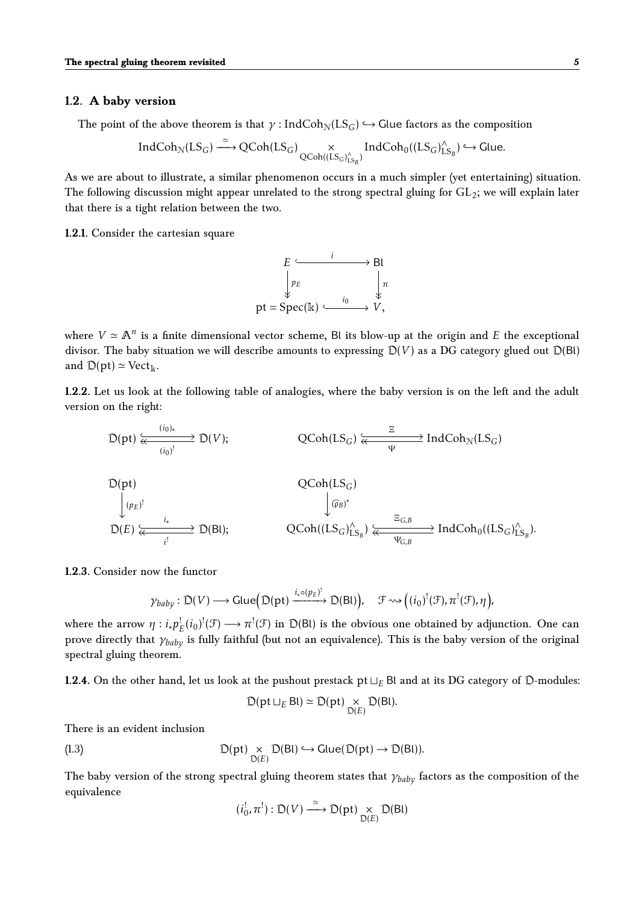#### **1.2. A baby version**

The point of the above theorem is that  $\gamma$ : IndCoh<sub>N</sub>(LS<sub>G</sub>)  $\hookrightarrow$  Glue factors as the composition

$$
\operatorname{IndCoh}_{\mathcal{N}}(LS_G) \stackrel{\simeq}{\longrightarrow} \operatorname{QCoh}(LS_G) \underset{\operatorname{QCoh}((LS_G)_{LS_B}^{\wedge})}{\times} \operatorname{IndCoh}_0((LS_G)_{LS_B}^{\wedge}) \hookrightarrow \text{Glue.}
$$

As we are about to illustrate, a similar phenomenon occurs in a much simpler (yet entertaining) situation. The following discussion might appear unrelated to the strong spectral gluing for  $GL_2$ ; we will explain later that there is a tight relation between the two.

<span id="page-4-0"></span>**1.2.1.** Consider the cartesian square



where  $V \simeq \mathbb{A}^n$  is a finite dimensional vector scheme, Bl its blow-up at the origin and *E* the exceptional divisor. The baby situation we will describe amounts to expressing  $D(V)$  as a DG category glued out  $D(B)$ and  $D(pt) \simeq Vect_{\mathbb{k}}$ .

**1.2.2.** Let us look at the following table of analogies, where the baby version is on the left and the adult version on the right:

$$
\mathsf{D}(\textup{pt}) \xleftarrow[{(i_0)}^{\textup{t}}]{(i_0)}^{\textup{t}}} \mathsf{D}(V); \qquad \qquad \mathsf{QCoh}(LS_G) \xleftarrow{\Xi} \textup{IndCoh}_{\mathcal{N}}(LS_G)
$$

$$
\mathcal{D}(\text{pt}) \qquad \qquad \mathcal{Q}\text{Coh}(LS_G) \qquad \qquad \downarrow \mathcal{D}_{E} \qquad \qquad \downarrow \mathcal{D}(E) \qquad \qquad \downarrow \mathcal{D}(E) \qquad \qquad \downarrow \mathcal{D}(E) \qquad \qquad \downarrow \mathcal{D}(E) \qquad \qquad \downarrow \mathcal{D}(E) \qquad \qquad \downarrow \mathcal{D}(E) \qquad \qquad \downarrow \mathcal{D}(E) \qquad \qquad \downarrow \mathcal{D}(E) \qquad \qquad \downarrow \mathcal{D}(E) \qquad \qquad \downarrow \mathcal{D}(E) \qquad \qquad \downarrow \mathcal{D}(E) \qquad \qquad \downarrow \mathcal{D}(E) \qquad \qquad \downarrow \mathcal{D}(E) \qquad \qquad \downarrow \mathcal{D}(E) \qquad \qquad \downarrow \mathcal{D}(E) \qquad \qquad \downarrow \mathcal{D}(E) \qquad \qquad \downarrow \mathcal{D}(E) \qquad \qquad \downarrow \mathcal{D}(E) \qquad \qquad \downarrow \mathcal{D}(E) \qquad \qquad \downarrow \mathcal{D}(E) \qquad \qquad \downarrow \mathcal{D}(E) \qquad \qquad \downarrow \mathcal{D}(E) \qquad \qquad \downarrow \mathcal{D}(E) \qquad \qquad \downarrow \mathcal{D}(E) \qquad \qquad \downarrow \mathcal{D}(E) \qquad \qquad \downarrow \mathcal{D}(E) \qquad \qquad \downarrow \mathcal{D}(E) \qquad \qquad \downarrow \mathcal{D}(E) \qquad \qquad \downarrow \mathcal{D}(E) \qquad \qquad \downarrow \mathcal{D}(E) \qquad \qquad \downarrow \mathcal{D}(E) \qquad \qquad \downarrow \mathcal{D}(E) \qquad \qquad \downarrow \mathcal{D}(E) \qquad \qquad \downarrow \mathcal{D}(E) \qquad \qquad \downarrow \mathcal{D}(E) \qquad \qquad \downarrow \mathcal{D}(E) \qquad \qquad \downarrow \mathcal{D}(E) \qquad \qquad \downarrow \mathcal{D}(E) \qquad \qquad \downarrow \mathcal{D}(E) \qquad \qquad \downarrow \mathcal{D}(E) \qquad \qquad \downarrow \mathcal{D}(E) \qquad \qquad \downarrow \mathcal{D}(
$$

**1.2.3.** Consider now the functor

$$
\gamma_{\text{baby}}:D(V)\longrightarrow \text{Glue}\Big(\mathbb{D}(\text{pt})\xrightarrow{i_{*}\circ (p_{E})^{!}}D(\text{Bl})\Big),\quad \mathcal{F}\leadsto \Big((i_{0})^{!}(\mathcal{F}),\pi^{!}(\mathcal{F}),\eta\Big),
$$

where the arrow  $\eta : i_* p_E^!(i_0)^!(\mathcal{F}) \longrightarrow \pi^!(\mathcal{F})$  in  $\mathcal{D}(Bl)$  is the obvious one obtained by adjunction. One can prove directly that *γbaby* is fully faithful (but not an equivalence). This is the baby version of the original spectral gluing theorem.

**1.2.4.** On the other hand, let us look at the pushout prestack  $pt \perp_{E} Bl$  and at its DG category of  $D$ -modules:

$$
\mathcal{D}(\text{pt }\sqcup_E \text{Bl}) \simeq \mathcal{D}(\text{pt}) \underset{\mathcal{D}(E)}{\times} \mathcal{D}(\text{Bl}).
$$

There is an evident inclusion

(1.3) 
$$
D(pt) \underset{D(E)}{\times} D(Bl) \hookrightarrow Glue(D(pt) \rightarrow D(Bl)).
$$

The baby version of the strong spectral gluing theorem states that *γbaby* factors as the composition of the equivalence

$$
(i_0^!, \pi^!): \mathsf{D}(V) \xrightarrow{\simeq} \mathsf{D}(\mathrm{pt}) \underset{\mathsf{D}(E)}{\times} \mathsf{D}(\mathrm{Bl})
$$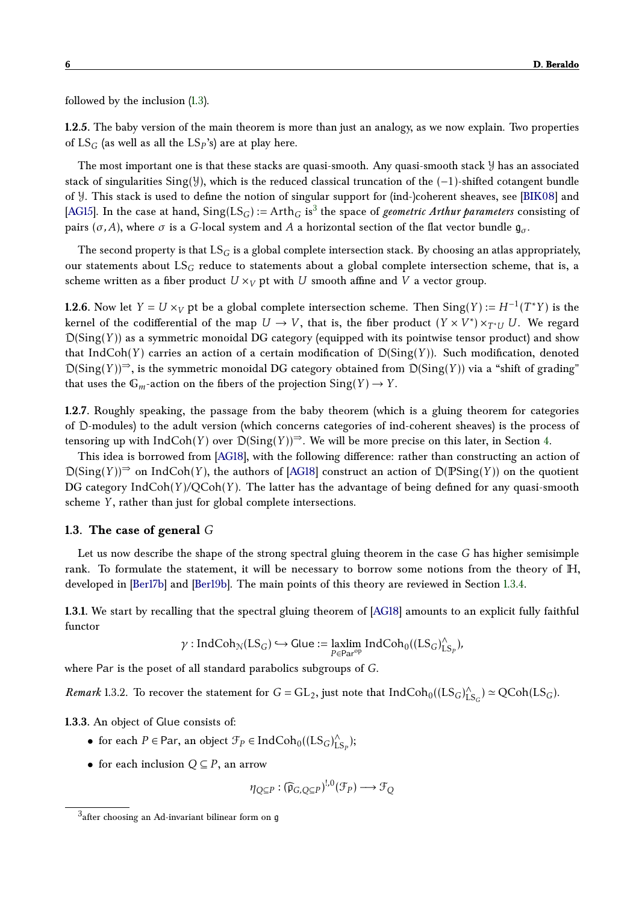followed by the inclusion [\(1.3\)](#page-3-1).

**1.2.5.** The baby version of the main theorem is more than just an analogy, as we now explain. Two properties of LS*<sup>G</sup>* (as well as all the LS*<sup>P</sup>* 's) are at play here.

The most important one is that these stacks are quasi-smooth. Any quasi-smooth stack Y has an associated stack of singularities Sing(Y), which is the reduced classical truncation of the (−1)-shifted cotangent bundle of Y. This stack is used to define the notion of singular support for (ind-)coherent sheaves, see [\[BIK08\]](#page-32-2) and [\[AG15\]](#page-32-1). In the case at hand,  $Sing(LS_G) := Arth_G$  is<sup>[3](#page-5-1)</sup> the space of *geometric Arthur parameters* consisting of pairs ( $\sigma$ , *A*), where  $\sigma$  is a *G*-local system and *A* a horizontal section of the flat vector bundle  $\mathfrak{g}_{\sigma}$ .

The second property is that LS*<sup>G</sup>* is a global complete intersection stack. By choosing an atlas appropriately, our statements about LS*<sup>G</sup>* reduce to statements about a global complete intersection scheme, that is, a scheme written as a fiber product  $U \times_V pt$  with *U* smooth affine and *V* a vector group.

**1.2.6.** Now let  $Y = U \times_V$  pt be a global complete intersection scheme. Then  $Sing(Y) := H^{-1}(T^*Y)$  is the kernel of the codifferential of the map  $U \to V$ , that is, the fiber product  $(Y \times V^*) \times_{T^*U} U$ . We regard  $D(Sing(Y))$  as a symmetric monoidal DG category (equipped with its pointwise tensor product) and show that IndCoh(*Y*) carries an action of a certain modification of  $D(Sing(Y))$ . Such modification, denoted  $D(Sing(Y))^{\Rightarrow}$ , is the symmetric monoidal DG category obtained from  $D(Sing(Y))$  via a "shift of grading" that uses the  $\mathbb{G}_m$ -action on the fibers of the projection  $\text{Sing}(Y) \to Y$ .

**1.2.7.** Roughly speaking, the passage from the baby theorem (which is a gluing theorem for categories of D-modules) to the adult version (which concerns categories of ind-coherent sheaves) is the process of tensoring up with  $IndCoh(Y)$  over  $D(Sing(Y))^{\Rightarrow}$ . We will be more precise on this later, in Section [4.](#page-22-0)

This idea is borrowed from [\[AG18\]](#page-32-0), with the following difference: rather than constructing an action of  $D(Sing(Y))^{\rightrightarrows}$  on IndCoh(*Y*), the authors of [\[AG18\]](#page-32-0) construct an action of  $D(PSing(Y))$  on the quotient DG category IndCoh(*Y* )*/*QCoh(*Y* ). The latter has the advantage of being defined for any quasi-smooth scheme *Y* , rather than just for global complete intersections.

#### <span id="page-5-0"></span>**1.3. The case of general** *G*

Let us now describe the shape of the strong spectral gluing theorem in the case *G* has higher semisimple rank. To formulate the statement, it will be necessary to borrow some notions from the theory of H, developed in [\[Ber17b\]](#page-33-3) and [\[Ber19b\]](#page-33-4). The main points of this theory are reviewed in Section [1.3.4.](#page-6-0)

**1.3.1.** We start by recalling that the spectral gluing theorem of [\[AG18\]](#page-32-0) amounts to an explicit fully faithful functor

$$
\gamma: IndCoh_{\mathcal{N}}(LS_G) \hookrightarrow Glue := \underset{P \in Par^{op}}{laxlim} IndCoh_0((LS_G)_{LS_P}^{\wedge}),
$$

where Par is the poset of all standard parabolics subgroups of *G*.

*Remark* 1.3.2. To recover the statement for  $G = GL_2$ , just note that  $\text{IndCoh}_0((LS_G)_{L}^{\wedge})$  $_{\text{LS}_G}^{\wedge}$   $\simeq$  QCoh(LS<sub>*G*</sub>).

<span id="page-5-2"></span>**1.3.3.** An object of Glue consists of:

- for each  $P \in \text{Par}$ , an object  $\mathcal{F}_P \in \text{IndCoh}_0((LS_G)_{\text{L}}^{\wedge})$  $_{\textrm{LS}_P}^{\wedge});$
- for each inclusion  $Q \subseteq P$ , an arrow

$$
\eta_{Q\subseteq P}: (\widehat{\mathfrak{p}}_{G,Q\subseteq P})^{!,0}(\mathcal{F}_P)\longrightarrow \mathcal{F}_Q
$$

<span id="page-5-1"></span> $^3$ after choosing an Ad-invariant bilinear form on  $\mathfrak g$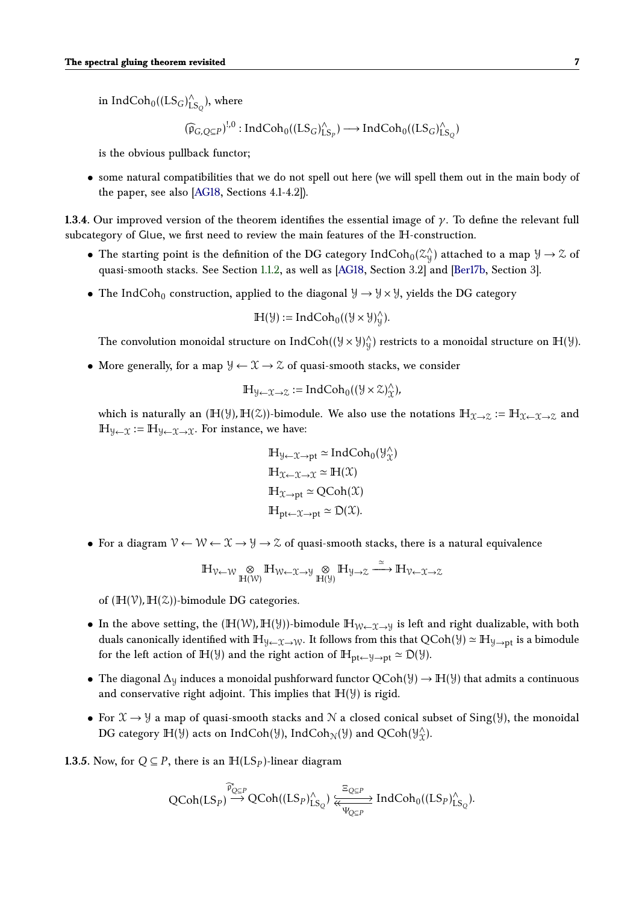in Ind $\text{Coh}_0((\text{LS}_G)^\wedge_L)$  $\hat{\mathcal{L}}_{\mathcal{S}_{Q}}$ ), where

$$
(\widehat{\mathfrak{p}}_{G,\mathbb{Q}\subseteq P})^{!,0}:IndCoh_{0}((LS_{G})_{LS_{P}}^{\wedge})\longrightarrow IndCoh_{0}((LS_{G})_{LS_{Q}}^{\wedge})
$$

is the obvious pullback functor;

• some natural compatibilities that we do not spell out here (we will spell them out in the main body of the paper, see also [\[AG18,](#page-32-0) Sections 4.1-4.2]).

<span id="page-6-0"></span>**1.3.4.** Our improved version of the theorem identifies the essential image of *γ*. To define the relevant full subcategory of Glue, we first need to review the main features of the H-construction.

- The starting point is the definition of the DG category  $\mathrm{IndCoh}_0(\mathcal{Z}_\mathcal{Y}^\wedge)$  $\chi(y)$  attached to a map  $y \to z$  of quasi-smooth stacks. See Section [1.1.2,](#page-2-4) as well as [\[AG18,](#page-32-0) Section 3.2] and [\[Ber17b,](#page-33-3) Section 3].
- The IndCoh<sub>0</sub> construction, applied to the diagonal  $\mathcal{Y} \to \mathcal{Y} \times \mathcal{Y}$ , yields the DG category

$$
\mathbb{H}(\mathcal{Y}):=IndCoh_{0}((\mathcal{Y}\times\mathcal{Y})_{\mathcal{Y}}^{\wedge}).
$$

The convolution monoidal structure on IndCoh $((\forall \times \forall)^{\wedge}_\mathcal{Y})$  $\mathcal{Y}_y$ ) restricts to a monoidal structure on  $\mathbb{H}(\mathcal{Y})$ .

• More generally, for a map  $\mathcal{Y} \leftarrow \mathcal{X} \rightarrow \mathcal{Z}$  of quasi-smooth stacks, we consider

$$
\mathbb{H}_{\mathcal{Y}\leftarrow \mathfrak{X}\rightarrow \mathcal{Z}}:=\text{IndCoh}_{0}((\mathcal{Y}\times \mathcal{Z})^{\wedge}_{\mathcal{X}}),
$$

which is naturally an  $(H(\mathcal{Y}), H(\mathcal{Z}))$ -bimodule. We also use the notations  $H_{\mathcal{X}\to\mathcal{Z}} := H_{\mathcal{X}\leftarrow\mathcal{X}\to\mathcal{Z}}$  and  $\mathbb{H}_{\mathcal{Y}\leftarrow\mathcal{X}} := \mathbb{H}_{\mathcal{Y}\leftarrow\mathcal{X}\rightarrow\mathcal{X}}$ . For instance, we have:

$$
\mathbb{H}_{\mathcal{Y}\leftarrow\mathcal{X}\rightarrow pt} \simeq \text{IndCoh}_0(\mathcal{Y}_\mathcal{X}^\wedge)
$$
  

$$
\mathbb{H}_{\mathcal{X}\leftarrow\mathcal{X}\rightarrow\mathcal{X}} \simeq \mathbb{H}(\mathcal{X})
$$
  

$$
\mathbb{H}_{\mathcal{X}\rightarrow pt} \simeq \text{QCoh}(\mathcal{X})
$$
  

$$
\mathbb{H}_{pt\leftarrow\mathcal{X}\rightarrow pt} \simeq \mathcal{D}(\mathcal{X}).
$$

• For a diagram  $\mathcal{V} \leftarrow \mathcal{W} \leftarrow \mathcal{X} \rightarrow \mathcal{Y} \rightarrow \mathcal{Z}$  of quasi-smooth stacks, there is a natural equivalence

$$
\mathbb{H}_{\mathcal{V}\leftarrow\mathcal{W}}\underset{\mathbb{H}(\mathcal{W})}{\otimes}\mathbb{H}_{\mathcal{W}\leftarrow\mathcal{X}\rightarrow\mathcal{Y}}\underset{\mathbb{H}(\mathcal{Y})}{\otimes}\mathbb{H}_{\mathcal{Y}\rightarrow\mathcal{Z}}\overset{\simeq}{\longrightarrow}\mathbb{H}_{\mathcal{V}\leftarrow\mathcal{X}\rightarrow\mathcal{Z}}
$$

of  $(H(V), H(Z))$ -bimodule DG categories.

- In the above setting, the  $(H(W), H(Y))$ -bimodule  $H_{W \leftarrow \mathcal{X} \rightarrow Y}$  is left and right dualizable, with both duals canonically identified with  $\mathbb{H}_{\mathcal{Y}\leftarrow \mathcal{X}\rightarrow \mathcal{W}}$ . It follows from this that  $QCoh(\mathcal{Y}) \simeq \mathbb{H}_{\mathcal{Y}\rightarrow \mathsf{pt}}$  is a bimodule for the left action of  $\mathbb{H}(\mathcal{Y})$  and the right action of  $\mathbb{H}_{pt \leftarrow \mathcal{Y} \rightarrow pt} \simeq \mathcal{D}(\mathcal{Y})$ .
- The diagonal  $\Delta$ y induces a monoidal pushforward functor QCoh( $\mathcal{Y}$ )  $\rightarrow$  H( $\mathcal{Y}$ ) that admits a continuous and conservative right adjoint. This implies that  $H(\mathcal{Y})$  is rigid.
- For  $\mathfrak{X} \to \mathfrak{Y}$  a map of quasi-smooth stacks and N a closed conical subset of Sing( $\mathfrak{Y}$ ), the monoidal DG category  $\mathbb{H}(\mathcal{Y})$  acts on IndCoh( $\mathcal{Y}$ ), IndCoh<sub>N</sub>( $\mathcal{Y}$ ) and QCoh( $\mathcal{Y}^{\wedge}_{\alpha}$  $\hat{x}$ ).

**1.3.5.** Now, for  $Q \subseteq P$ , there is an  $H(LS_P)$ -linear diagram

$$
\operatorname{QCoh}(\operatorname{LS}_P) \stackrel{\widehat{\mathfrak{p}}_{Q \subseteq P}^*}{\longrightarrow} \operatorname{QCoh}((\operatorname{LS}_P)_{\operatorname{LS}_Q}^{\wedge}) \stackrel{\Xi_{Q \subseteq P}}{\underset{\Psi_{Q \subseteq P}}{\longleftarrow}} \operatorname{IndCoh}_0((\operatorname{LS}_P)_{\operatorname{LS}_Q}^{\wedge}).
$$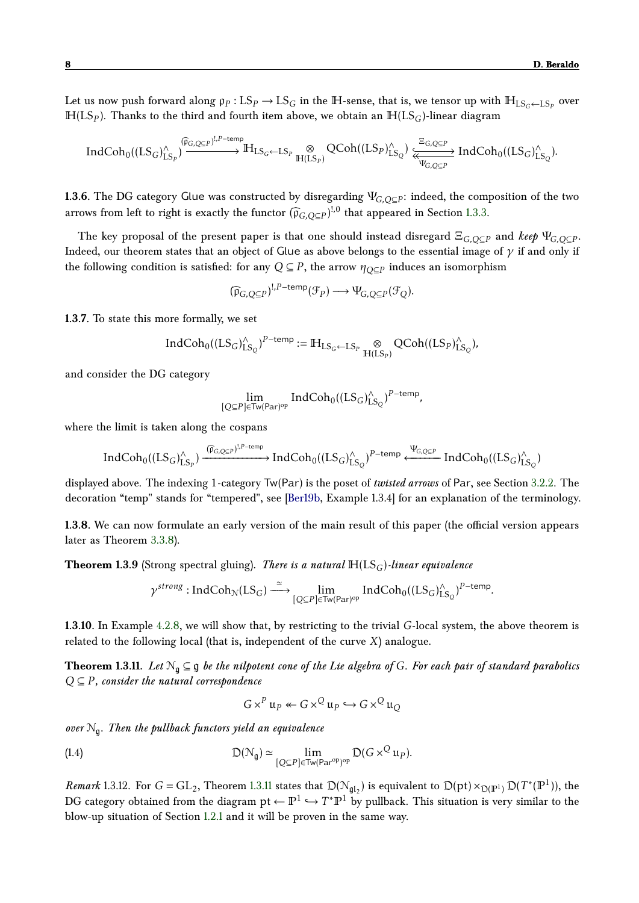Let us now push forward along  $\rho_P$  :  $LS_P \to LS_G$  in the  $\mathbb H$ -sense, that is, we tensor up with  $\mathbb H_{LS_G\leftarrow LS_P}$  over  $H(LS_P)$ . Thanks to the third and fourth item above, we obtain an  $H(LS_G)$ -linear diagram

$$
IndCoh_{0}((LS_{G})^{\wedge}_{LS_{P}})\stackrel{(\widehat{p}_{G,Q\subseteq P})^{!,P-\text{temp}}}{\longrightarrow} \mathbb{H}_{LS_{G}\leftarrow LS_{P}}\underset{\mathbb{H}(LS_{P})}{\otimes}QCoh((LS_{P})^{\wedge}_{LS_{Q}})\xleftarrow{\Xi_{G,Q\subseteq P}} IndCoh_{0}((LS_{G})^{\wedge}_{LS_{Q}}).
$$

**1.3.6.** The DG category Glue was constructed by disregarding Ψ*G,Q*⊆*<sup>P</sup>* : indeed, the composition of the two arrows from left to right is exactly the functor  $(\widehat{\mathfrak{p}}_{G,Q\subseteq P})^{!,0}$  that appeared in Section [1.3.3.](#page-5-2)

The key proposal of the present paper is that one should instead disregard  $\Xi_{G,Q\subseteq P}$  and  $\textit{keep }\Psi_{G,Q\subseteq P}.$ Indeed, our theorem states that an object of Glue as above belongs to the essential image of *γ* if and only if the following condition is satisfied: for any  $Q \subseteq P$ , the arrow  $\eta_{Q \subseteq P}$  induces an isomorphism

$$
(\widehat{\mathfrak{p}}_{G,Q\subseteq P})^{!,P-\text{temp}}(\mathcal{F}_P)\longrightarrow \Psi_{G,Q\subseteq P}(\mathcal{F}_Q).
$$

**1.3.7.** To state this more formally, we set

$$
\textup{Ind}\textup{Coh}_{0}((\textup{LS}_{G})_{\textup{LS}_{Q}}^{\wedge})^{P-\textup{temp}}:=\mathbb{H}_{\textup{LS}_{G}\leftarrow \textup{LS}_{P}}\underset{\mathbb{H}(\textup{LS}_{P})}{\otimes}\textup{QCoh}((\textup{LS}_{P})_{\textup{LS}_{Q}}^{\wedge}),
$$

and consider the DG category

$$
\lim_{[Q \subseteq P] \in \mathsf{Tw}(Par)^{\mathrm{op}}} \mathsf{IndCoh}_0((LS_G)_{LS_Q}^{\wedge})^{P-\mathrm{temp}},
$$

where the limit is taken along the cospans

$$
IndCoh_{0}((LS_{G})_{LS_{P}}^{\wedge}) \xrightarrow{(\widehat{\mathfrak{p}}_{G,Q\subseteq P})^{1,P-\text{temp}}} IndCoh_{0}((LS_{G})_{LS_{Q}}^{\wedge})^{P-\text{temp}} \xleftarrow{\Psi_{G,Q\subseteq P}} IndCoh_{0}((LS_{G})_{LS_{Q}}^{\wedge})
$$

displayed above. The indexing 1-category Tw(Par) is the poset of *twisted arrows* of Par, see Section [3.2.2.](#page-17-1) The decoration "temp" stands for "tempered", see [\[Ber19b,](#page-33-4) Example 1.3.4] for an explanation of the terminology.

**1.3.8.** We can now formulate an early version of the main result of this paper (the official version appears later as Theorem [3.3.8\)](#page-22-2).

<span id="page-7-2"></span>**Theorem 1.3.9** (Strong spectral gluing). *There is a natural*  $H(LS_G)$ -linear equivalence

$$
\gamma^\text{strong}: IndCoh_{\mathcal{N}}(LS_G) \stackrel{\simeq}{\longrightarrow} \lim_{[Q \subseteq P] \in \text{Tw}(Par)^{op}} IndCoh_0((LS_G)_{LS_Q}^{\wedge})^{P-\text{temp}}.
$$

**1.3.10.** In Example [4.2.8,](#page-26-0) we will show that, by restricting to the trivial *G*-local system, the above theorem is related to the following local (that is, independent of the curve *X*) analogue.

<span id="page-7-1"></span>**Theorem 1.3.11.** *Let* N<sup>g</sup> ⊆ g *be the nilpotent cone of the Lie algebra of G. For each pair of standard parabolics Q* ⊆ *P , consider the natural correspondence*

$$
G \times^P \mathfrak{u}_P \leftarrow G \times^Q \mathfrak{u}_P \hookrightarrow G \times^Q \mathfrak{u}_Q
$$

*over* N<sup>g</sup> *. Then the pullback functors yield an equivalence*

(1.4) 
$$
\mathcal{D}(\mathcal{N}_g) \simeq \lim_{[Q \subseteq P] \in \text{Tw}(Par^{op})^{op}} \mathcal{D}(G \times^Q \mathfrak{u}_P).
$$

<span id="page-7-0"></span>*Remark* 1.3.12. For  $G = GL_2$ , Theorem [1.3.11](#page-7-1) states that  $D(\mathcal{N}_{gl_2})$  is equivalent to  $D(pt) \times_{D(\mathbb{P}^1)} D(T^*(\mathbb{P}^1))$ , the DG category obtained from the diagram pt  $\leftarrow \mathbb{P}^1 \hookrightarrow T^*\mathbb{P}^1$  by pullback. This situation is very similar to the blow-up situation of Section [1.2.1](#page-4-0) and it will be proven in the same way.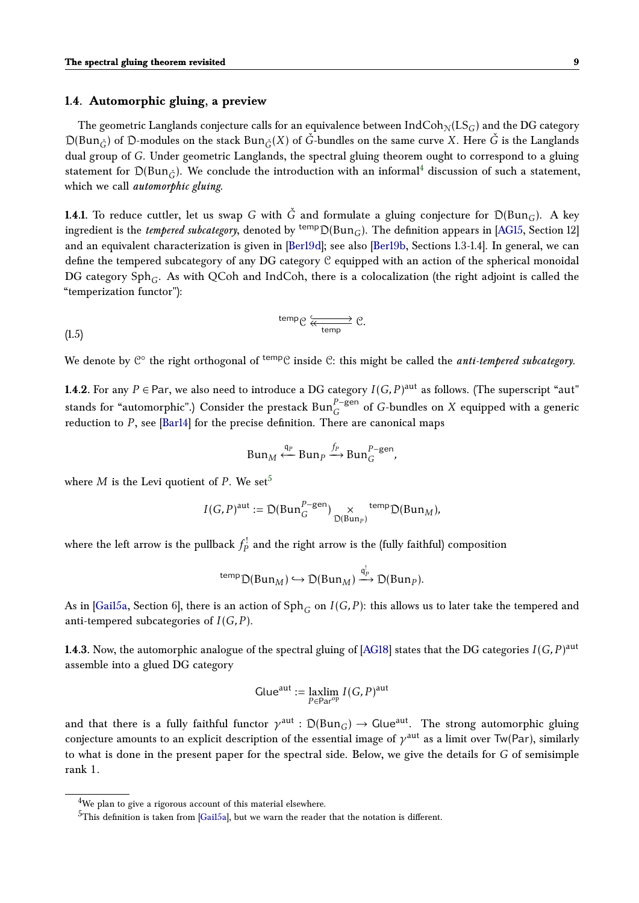#### **1.4. Automorphic gluing, a preview**

The geometric Langlands conjecture calls for an equivalence between  $IndCoh_N(LS_G)$  and the DG category  $D(Bun_{\tilde{G}})$  of  $D$ -modules on the stack  $Bun_{\tilde{G}}(X)$  of  $\tilde{G}$ -bundles on the same curve X. Here  $\tilde{G}$  is the Langlands dual group of *G*. Under geometric Langlands, the spectral gluing theorem ought to correspond to a gluing statement for  $D(Bun_{\tilde{C}})$ . We conclude the introduction with an informal<sup>[4](#page-8-0)</sup> discussion of such a statement, which we call *automorphic gluing*.

**1.4.1.** To reduce cuttler, let us swap *G* with  $\check{G}$  and formulate a gluing conjecture for  $D(Bun_G)$ . A key ingredient is the *tempered subcategory*, denoted by <sup>temp</sup> $D(Bun_G)$ . The definition appears in [\[AG15,](#page-32-1) Section 12] and an equivalent characterization is given in [\[Ber19d\]](#page-33-6); see also [\[Ber19b,](#page-33-4) Sections 1.3-1.4]. In general, we can define the tempered subcategory of any DG category C equipped with an action of the spherical monoidal DG category Sph*<sup>G</sup>* . As with QCoh and IndCoh, there is a colocalization (the right adjoint is called the "temperization functor"):

$$
\begin{array}{c}\n \text{temp} \, \text{C} \, \xrightarrow{\text{temp}} \, \text{C}.\n \end{array}
$$

We denote by C° the right orthogonal of <sup>temp</sup>C inside C: this might be called the *anti-tempered subcategory*.

**1.4.2.** For any  $P \in$  Par, we also need to introduce a DG category  $I(G, P)^{\text{aut}}$  as follows. (The superscript "aut" stands for "automorphic".) Consider the prestack  $\text{Bun}_G^{P-\text{gen}}$  of *G*-bundles on *X* equipped with a generic reduction to *P*, see [\[Bar14\]](#page-32-3) for the precise definition. There are canonical maps

<span id="page-8-2"></span>
$$
Bun_M \xleftarrow{q_P} Bun_P \xrightarrow{f_P}Bun_G^{P-\text{gen}},
$$

where *M* is the Levi quotient of *P*. We set<sup>[5](#page-8-1)</sup>

$$
I(G, P)^{\text{aut}} := \mathcal{D}(\text{Bun}_G^{P-\text{gen}}) \underset{\mathcal{D}(\text{Bun}_P)}{\times} \text{temp}_{\mathcal{D}}(\text{Bun}_M),
$$

where the left arrow is the pullback  $f_P^!$  and the right arrow is the (fully faithful) composition

$$
^{temp} \mathcal{D}(Bun_M) \hookrightarrow \mathcal{D}(Bun_M) \xrightarrow{\mathfrak{q}_P^!} \mathcal{D}(Bun_P).
$$

As in [\[Gai15a,](#page-33-1) Section 6], there is an action of Sph*<sup>G</sup>* on *I*(*G,P* ): this allows us to later take the tempered and anti-tempered subcategories of *I*(*G,P* ).

 $1.4.3$ . Now, the automorphic analogue of the spectral gluing of [\[AG18\]](#page-32-0) states that the DG categories  $I(G, P)^{\text{aut}}$ assemble into a glued DG category

$$
Glue^{aut} := \operatorname*{laxlim}_{P \in \operatorname{Par}^{op}} I(G, P)^{aut}
$$

and that there is a fully faithful functor  $\gamma^\mathrm{aut} : \mathcal{D}(\text{Bun}_G) \to \text{Glue}^\mathrm{aut}.$  The strong automorphic gluing conjecture amounts to an explicit description of the essential image of  $\gamma^{\rm aut}$  as a limit over Tw(Par), similarly to what is done in the present paper for the spectral side. Below, we give the details for *G* of semisimple rank 1.

<span id="page-8-0"></span><sup>&</sup>lt;sup>4</sup>We plan to give a rigorous account of this material elsewhere.

<span id="page-8-1"></span> $5$ This definition is taken from [\[Gai15a\]](#page-33-1), but we warn the reader that the notation is different.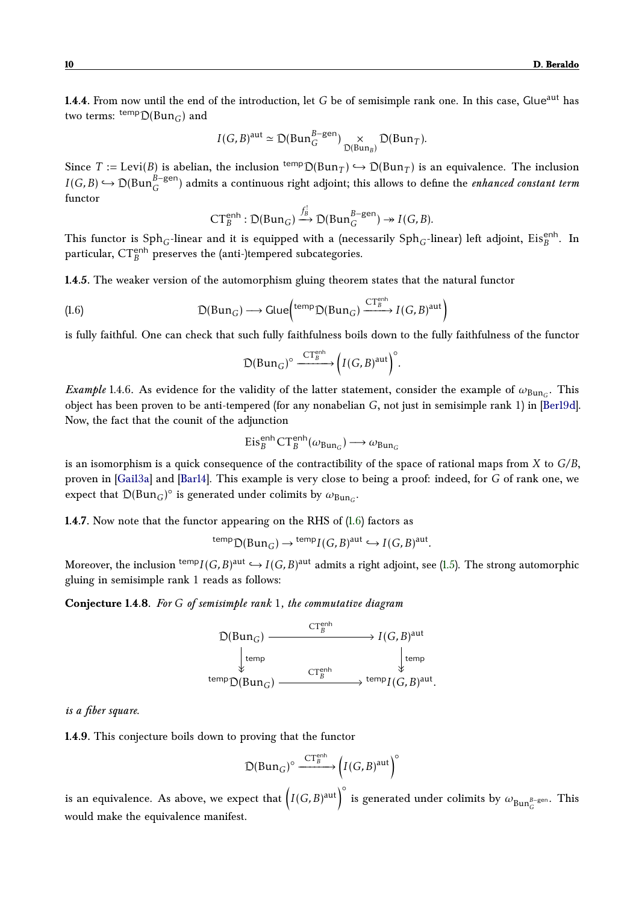**1.4.4.** From now until the end of the introduction, let *G* be of semisimple rank one. In this case, Glue<sup>aut</sup> has two terms:  $\frac{\text{temp}}{\text{D}}(\text{Bun}_G)$  and

$$
I(G,B)^{\text{aut}} \simeq \mathfrak{D}(\text{Bun}_G^{B-\text{gen}}) \underset{\mathfrak{D}(\text{Bun}_B)}{\times} \mathfrak{D}(\text{Bun}_T).
$$

Since  $T := \text{Levi}(B)$  is abelian, the inclusion  $\text{temp}_{D(\text{Bun}_T)} \hookrightarrow D(\text{Bun}_T)$  is an equivalence. The inclusion *I*(*G,B*)  $\hookrightarrow$  D(Bun<sup>β−gen</sup>) admits a continuous right adjoint; this allows to define the *enhanced constant term* functor

$$
CT_B^{\text{enh}} : \mathcal{D}(\text{Bun}_G) \xrightarrow{f_B^!} \mathcal{D}(\text{Bun}_G^{B-\text{gen}}) \twoheadrightarrow I(G, B).
$$

This functor is  $\text{Sph}_G\text{-linear}$  and it is equipped with a (necessarily  $\text{Sph}_G\text{-linear}$ ) left adjoint,  $\text{Eis}_B^{\text{enh}}$ . In particular,  $CT_B^{\text{enh}}$  preserves the (anti-)tempered subcategories.

**1.4.5.** The weaker version of the automorphism gluing theorem states that the natural functor

(1.6) 
$$
\mathcal{D}(Bun_G) \longrightarrow \text{Glue}^{\text{temp}}_{\text{D}(Bun_G)} \xrightarrow{\text{CTe}^{\text{enh}}}_{\text{B}} I(G,B)^{\text{aut}}
$$

is fully faithful. One can check that such fully faithfulness boils down to the fully faithfulness of the functor

<span id="page-9-1"></span>
$$
\mathcal{D}(\mathrm{Bun}_G)^\circ \xrightarrow{\mathrm{CT}_B^{\mathrm{enh}}} \left( I(G,B)^{\mathrm{aut}} \right)^\circ.
$$

*Example* 1.4.6. As evidence for the validity of the latter statement, consider the example of  $\omega_{\text{Bun}_G}$ . This object has been proven to be anti-tempered (for any nonabelian *G*, not just in semisimple rank 1) in [\[Ber19d\]](#page-33-6). Now, the fact that the counit of the adjunction

$$
Eis_B^{\text{enh}}CT_B^{\text{enh}}(\omega_{\text{Bun}_G}) \longrightarrow \omega_{\text{Bun}_G}
$$

is an isomorphism is a quick consequence of the contractibility of the space of rational maps from *X* to *G/B*, proven in [\[Gai13a\]](#page-33-7) and [\[Bar14\]](#page-32-3). This example is very close to being a proof: indeed, for *G* of rank one, we expect that  $D(Bun_G)^\circ$  is generated under colimits by  $\omega_{Bun_G}$ .

**1.4.7.** Now note that the functor appearing on the RHS of [\(1.6\)](#page-9-1) factors as

$$
^{temp} \mathcal{D}(Bun_G) \to {^{temp}I}(G,B)^{aut} \hookrightarrow I(G,B)^{aut}.
$$

Moreover, the inclusion  $\hspace*{0.2mm}^{\mathrm{temp}} I(G, B)^{\mathrm{aut}} \hookrightarrow I(G, B)^{\mathrm{aut}}$  admits a right adjoint, see [\(1.5\)](#page-8-2). The strong automorphic gluing in semisimple rank 1 reads as follows:

**Conjecture 1.4.8.** *For G of semisimple rank* 1*, the commutative diagram*

$$
\mathcal{D}(Bun_G) \xrightarrow{\text{CT}_B^{\text{enh}}} I(G,B)^{\text{aut}} \\ \downarrow^{\text{temp}} \\ \text{temp} \\ \mathcal{D}(Bun_G) \xrightarrow{\text{CT}_B^{\text{enh}}} \downarrow^{\text{temp}} \\ \text{temp} \\ I(G,B)^{\text{aut}}.
$$

#### *is a fiber square.*

**1.4.9.** This conjecture boils down to proving that the functor

$$
D(Bun_G)^{\circ} \xrightarrow{\text{CT}_B^{\text{enh}}} \left( I(G, B)^{\text{aut}} \right)^{\circ}
$$

<span id="page-9-0"></span>is an equivalence. As above, we expect that  $\Big( I(G, B)^{\rm aut} \Big)^\circ$ is generated under colimits by  $\omega_{\mathrm{Bun}_G^{B-\mathrm{gen}}}$ . This would make the equivalence manifest.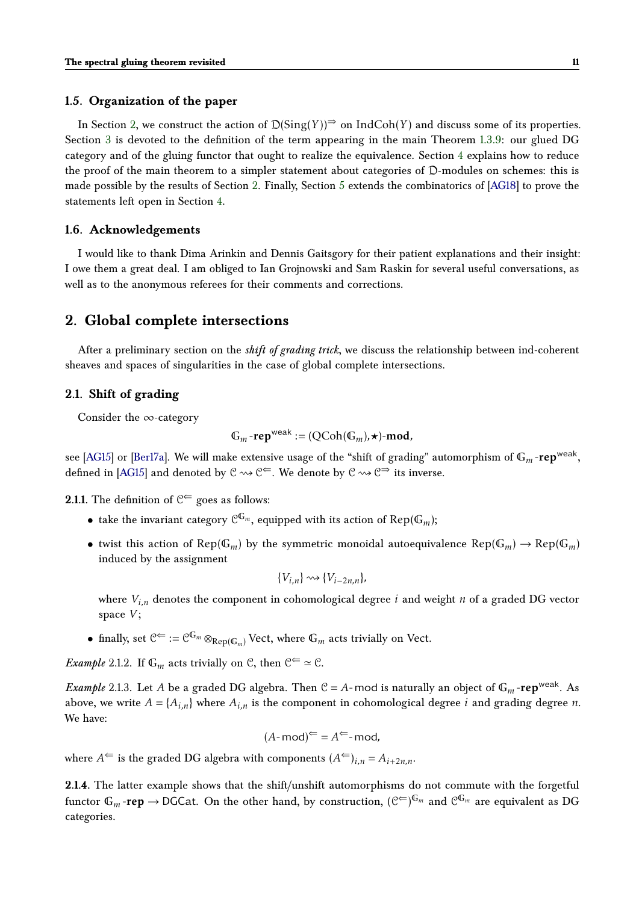#### **1.5. Organization of the paper**

In Section [2,](#page-10-1) we construct the action of  $D(Sing(Y))^{\Rightarrow}$  on IndCoh(*Y*) and discuss some of its properties. Section [3](#page-14-0) is devoted to the definition of the term appearing in the main Theorem [1.3.9:](#page-7-2) our glued DG category and of the gluing functor that ought to realize the equivalence. Section [4](#page-22-0) explains how to reduce the proof of the main theorem to a simpler statement about categories of D-modules on schemes: this is made possible by the results of Section [2.](#page-10-1) Finally, Section [5](#page-28-0) extends the combinatorics of [\[AG18\]](#page-32-0) to prove the statements left open in Section [4.](#page-22-0)

#### <span id="page-10-0"></span>**1.6. Acknowledgements**

I would like to thank Dima Arinkin and Dennis Gaitsgory for their patient explanations and their insight: I owe them a great deal. I am obliged to Ian Grojnowski and Sam Raskin for several useful conversations, as well as to the anonymous referees for their comments and corrections.

# <span id="page-10-1"></span>**2. Global complete intersections**

After a preliminary section on the *shift of grading trick*, we discuss the relationship between ind-coherent sheaves and spaces of singularities in the case of global complete intersections.

### <span id="page-10-2"></span>**2.1. Shift of grading**

Consider the ∞-category

$$
\mathbb{G}_m\text{-rep}^{\text{weak}}:=(\text{QCoh}(\mathbb{G}_m),\star)\text{-mod},
$$

see [\[AG15\]](#page-32-1) or [\[Ber17a\]](#page-32-4). We will make extensive usage of the "shift of grading" automorphism of  $\mathbb{G}_m$ -<mark>rep<sup>weak</sup>,</mark> defined in [\[AG15\]](#page-32-1) and denoted by  $\mathcal{C} \rightsquigarrow \mathcal{C} \subset \mathcal{C}$ . We denote by  $\mathcal{C} \rightsquigarrow \mathcal{C} \Rightarrow$  its inverse.

**2.1.1.** The definition of  $C^{\Leftarrow}$  goes as follows:

- take the invariant category  $\mathcal{C}^{\mathbb{G}_m}$ , equipped with its action of  $\mathsf{Rep}(\mathbb{G}_m)$ ;
- twist this action of  $Rep(\mathbb{G}_m)$  by the symmetric monoidal autoequivalence  $Rep(\mathbb{G}_m) \to Rep(\mathbb{G}_m)$ induced by the assignment

$$
\{V_{i,n}\}\leadsto\{V_{i-2n,n}\},\
$$

where  $V_{i,n}$  denotes the component in cohomological degree *i* and weight *n* of a graded DG vector space *V* ;

• finally, set  $\mathcal{C}^{\Leftarrow} := \mathcal{C}^{\mathbb{G}_m} \otimes_{\text{Rep}(\mathbb{G}_m)} \text{Vect}$ , where  $\mathbb{G}_m$  acts trivially on Vect.

*Example* 2.1.2*.* If  $\mathbb{G}_m$  acts trivially on  $\mathbb{C}$ , then  $\mathbb{C}^{\Leftarrow} \simeq \mathbb{C}$ *.* 

*Example* 2.1.3. Let *A* be a graded DG algebra. Then  $C = A$ -mod is naturally an object of  $\mathbb{G}_m$ -rep<sup>weak</sup>. As above, we write  $A = \{A_{i,n}\}\$ where  $A_{i,n}$  is the component in cohomological degree *i* and grading degree *n*. We have:

$$
(A \text{-} \text{mod})^{\Leftarrow} = A^{\Leftarrow} \text{-} \text{mod},
$$

where  $A^{\Leftarrow}$  is the graded DG algebra with components  $(A^{\Leftarrow})$ *i*<sub>n</sub> =  $A_{i+2n,n}$ *n*.

**2.1.4.** The latter example shows that the shift/unshift automorphisms do not commute with the forgetful functor  $\mathbb{G}_m$ -re $\mathsf{p} \to \mathsf{DGC}$ at. On the other hand, by construction,  $(\mathcal{C}^{\Leftarrow})^{\mathbb{G}_m}$  and  $\mathcal{C}^{\mathbb{G}_m}$  are equivalent as  $\mathsf{D}\mathsf{G}$ categories.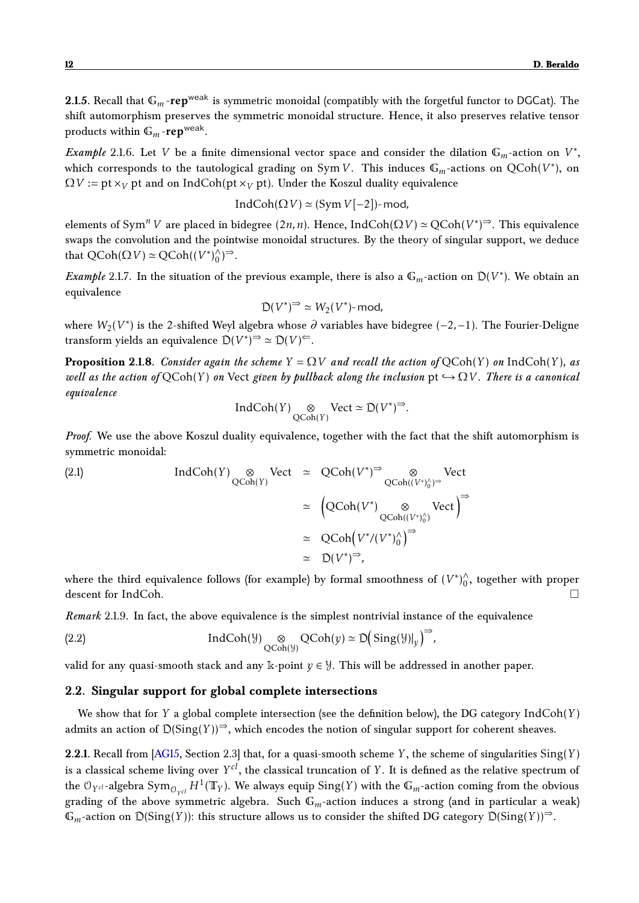**2.1.5.** Recall that  $\mathbb{G}_m$ -rep<sup>weak</sup> is symmetric monoidal (compatibly with the forgetful functor to DGCat). The shift automorphism preserves the symmetric monoidal structure. Hence, it also preserves relative tensor products within  $\mathbb{G}_m$  -**rep**<sup>weak</sup>.

*Example* 2.1.6. Let *V* be a finite dimensional vector space and consider the dilation  $\mathbb{G}_m$ -action on  $V^*$ , which corresponds to the tautological grading on Sym V. This induces  $\mathbb{G}_m$ -actions on  $\text{QCoh}(V^*)$ , on  $\Omega V$  := pt  $x_V$  pt and on IndCoh(pt  $x_V$  pt). Under the Koszul duality equivalence

$$
IndCoh(\Omega V) \simeq (Sym\ V[-2])
$$
-mod,

elements of Sym<sup>*n*</sup> *V* are placed in bidegree (2*n*, *n*). Hence, IndCoh( $\Omega$ *V*)  $\simeq$  QCoh( $V^*$ )<sup> $\Rightarrow$ </sup>. This equivalence swaps the convolution and the pointwise monoidal structures. By the theory of singular support, we deduce that  $QCoh(\Omega V) \simeq QCoh((V^*)_0^{\lambda}$  $\bigwedge_{0}^{\lambda}$  $\big)$  $\Rightarrow$ .

*Example* 2.1.7. In the situation of the previous example, there is also a  $\mathbb{G}_m$ -action on  $D(V^*)$ . We obtain an equivalence

$$
\mathfrak{D}(V^*)^{\Rightarrow} \simeq W_2(V^*)\text{-}\operatorname{mod},
$$

where *W*2(*V* ∗ ) is the 2-shifted Weyl algebra whose *∂* variables have bidegree (−2*,*−1). The Fourier-Deligne transform yields an equivalence  $\mathcal{D}(V^*)^{\Rightarrow} \simeq \mathcal{D}(V)^{\Leftarrow}$ .

**Proposition 2.1.8.** *Consider again the scheme*  $Y = QV$  *and recall the action of*  $QCoh(Y)$  *on* IndCoh(*Y*)*, as well as the action of*  $QCoh(Y)$  *on* Vect *given by pullback along the inclusion*  $pt \hookrightarrow \Omega V$ *. There is a canonical equivalence*

$$
IndCoh(Y) \underset{\mathrm{QCoh}(Y)}{\otimes} \mathrm{Vect} \simeq \mathcal{D}(V^*)^{\Rightarrow}.
$$

*Proof.* We use the above Koszul duality equivalence, together with the fact that the shift automorphism is symmetric monoidal:

(2.1)  
\n
$$
\operatorname{IndCoh}(Y) \underset{\operatorname{QCoh}(Y)}{\otimes} \operatorname{Vect} \cong \operatorname{QCoh}(V^*)^{\Rightarrow} \underset{\operatorname{QCoh}((V^*)^{\wedge}_0)^{\Rightarrow}}{\otimes} \operatorname{Vect}
$$
\n
$$
\cong \left(\operatorname{QCoh}(V^*) \underset{\operatorname{QCoh}(V^*)^{\wedge}_0}{\otimes} \operatorname{Vect}\right)^{\Rightarrow}
$$
\n
$$
\cong \operatorname{QCoh}(V^*/(V^*)^{\wedge}_0)^{\Rightarrow}
$$
\n
$$
\cong \operatorname{D}(V^*)^{\Rightarrow},
$$

where the third equivalence follows (for example) by formal smoothness of  $(V^*)^{\wedge}_0$  $\int_0^\wedge$ , together with proper descent for IndCoh.

*Remark* 2.1.9*.* In fact, the above equivalence is the simplest nontrivial instance of the equivalence

(2.2) IndCoh(
$$
\mathcal{Y}
$$
)  $\underset{QCoh(\mathcal{Y})}{\otimes} QCoh(y) \simeq D(Sing(\mathcal{Y})|_{y})^{\Rightarrow}$ ,

valid for any quasi-smooth stack and any k-point  $y \in \mathcal{Y}$ . This will be addressed in another paper.

### <span id="page-11-0"></span>**2.2. Singular support for global complete intersections**

We show that for *Y* a global complete intersection (see the definition below), the DG category IndCoh(*Y* ) admits an action of  $D(Sing(Y))^{\Rightarrow}$ , which encodes the notion of singular support for coherent sheaves.

**2.2.1.** Recall from [\[AG15,](#page-32-1) Section 2.3] that, for a quasi-smooth scheme *Y* , the scheme of singularities Sing(*Y* ) is a classical scheme living over *Y cl*, the classical truncation of *Y* . It is defined as the relative spectrum of the  $\mathfrak{O}_{Y^{cl}}$ -algebra  $\text{Sym}_{\mathfrak{O}_{Y^{cl}}}H^1(\mathbb{T}_Y).$  We always equip  $\text{Sing}(Y)$  with the  $\mathbb{G}_m$ -action coming from the obvious grading of the above symmetric algebra. Such G*m*-action induces a strong (and in particular a weak)  $\mathbb{G}_m$ -action on  $D(Sing(Y))$ : this structure allows us to consider the shifted DG category  $D(Sing(Y))$ <sup>⇒</sup>.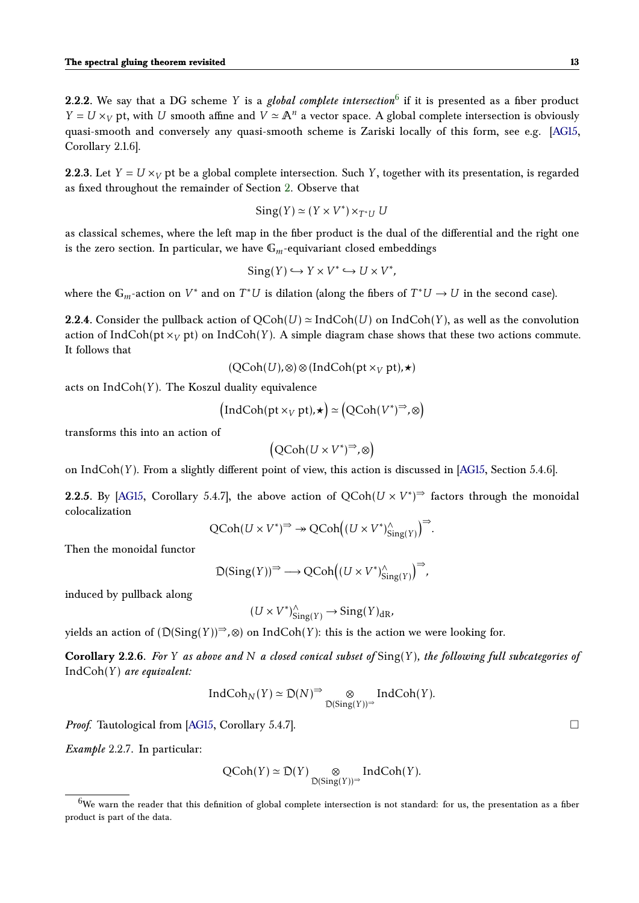**2.2.2.** We say that a DG scheme *Y* is a *global complete intersection*<sup>[6](#page-12-0)</sup> if it is presented as a fiber product *Y* = *U* ×*<sub>V</sub>* pt, with *U* smooth affine and *V*  $\simeq$   $\mathbb{A}^n$  a vector space. A global complete intersection is obviously quasi-smooth and conversely any quasi-smooth scheme is Zariski locally of this form, see e.g. [\[AG15,](#page-32-1) Corollary 2.1.6].

**2.2.3.** Let  $Y = U \times_V$  pt be a global complete intersection. Such Y, together with its presentation, is regarded as fixed throughout the remainder of Section [2.](#page-10-1) Observe that

$$
Sing(Y) \simeq (Y \times V^*) \times_{T^*U} U
$$

as classical schemes, where the left map in the fiber product is the dual of the differential and the right one is the zero section. In particular, we have  $\mathbb{G}_m$ -equivariant closed embeddings

$$
Sing(Y) \hookrightarrow Y \times V^* \hookrightarrow U \times V^*,
$$

where the  $\mathbb{G}_m$ -action on  $V^*$  and on  $T^*U$  is dilation (along the fibers of  $T^*U \to U$  in the second case).

**2.2.4.** Consider the pullback action of  $QCoh(U) \simeq IndCoh(U)$  on  $IndCoh(Y)$ , as well as the convolution action of IndCoh( $\mathsf{pt} \times_V \mathsf{pt}$ ) on IndCoh(Y). A simple diagram chase shows that these two actions commute. It follows that

$$
(\mathsf{QCoh}(U), \otimes) \otimes (\mathsf{IndCoh}(\mathsf{pt} \times_V \mathsf{pt}), \star)
$$

acts on IndCoh(*Y* ). The Koszul duality equivalence

$$
\left(\text{IndCoh}(\text{pt} \times_V \text{pt}),\star\right) \simeq \left(\text{QCoh}(V^*)^{\Rightarrow}, \otimes\right)
$$

transforms this into an action of

$$
\left(\text{QCoh}(U \times V^*)^{\Rightarrow}, \otimes\right)
$$

on IndCoh(*Y* ). From a slightly different point of view, this action is discussed in [\[AG15,](#page-32-1) Section 5.4.6].

**2.2.5.** By [\[AG15,](#page-32-1) Corollary 5.4.7], the above action of  $QCoh(U \times V^*)$ <sup> $\Rightarrow$ </sup> factors through the monoidal colocalization

$$
\text{QCoh}(U \times V^*)^{\Rightarrow} \to \text{QCoh}\Big((U \times V^*)^{\wedge}_{\text{Sing}(Y)}\Big)^{\Rightarrow}.
$$

Then the monoidal functor

$$
\mathsf{D}(\mathsf{Sing}(Y))^{\Rightarrow} \longrightarrow \mathsf{QCoh}\Big((U \times V^*)^\wedge_{\mathsf{Sing}(Y)}\Big)^{\Rightarrow},
$$

induced by pullback along

$$
(U \times V^*)^{\wedge}_{\text{Sing}(Y)} \to \text{Sing}(Y)_{\text{dR}},
$$

yields an action of  $(D(Sing(Y))^{\Rightarrow}, \otimes)$  on IndCoh(*Y*): this is the action we were looking for.

**Corollary 2.2.6.** *For Y as above and N a closed conical subset of* Sing(*Y* )*, the following full subcategories of* IndCoh(*Y* ) *are equivalent:*

$$
\text{IndCoh}_N(Y) \simeq \mathfrak{D}(N)^{\Rightarrow} \underset{\mathfrak{D}(\text{Sing}(Y))^{\Rightarrow}}{\otimes} \text{IndCoh}(Y).
$$

*Proof.* Tautological from [\[AG15,](#page-32-1) Corollary 5.4.7]. □

*Example* 2.2.7*.* In particular:

$$
QCoh(Y) \simeq D(Y) \underset{D(\text{Sing}(Y))^{\Rightarrow}}{\otimes} IndCoh(Y).
$$

<span id="page-12-0"></span> $6$ We warn the reader that this definition of global complete intersection is not standard: for us, the presentation as a fiber product is part of the data.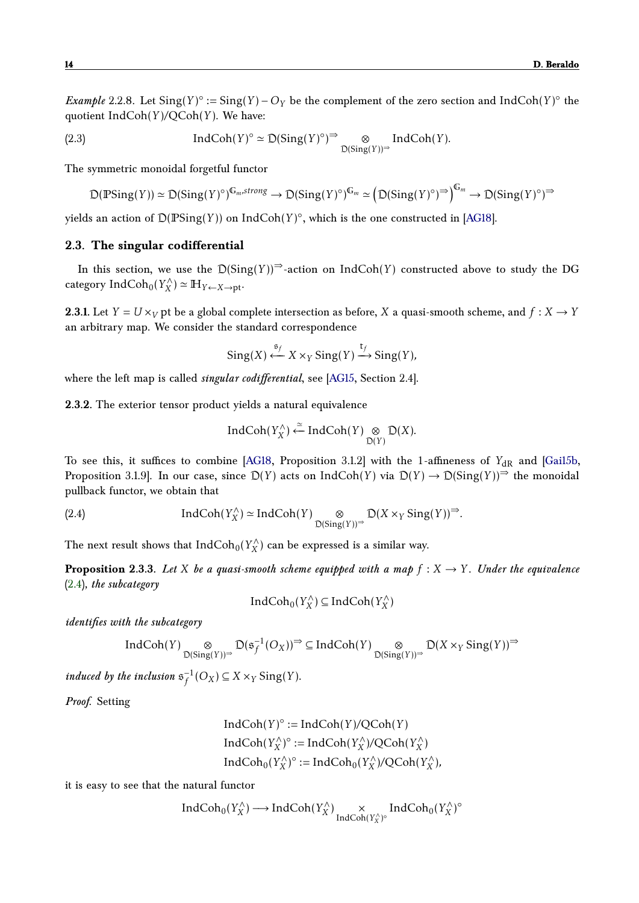<span id="page-13-2"></span>*Example* 2.2.8. Let  $Sing(Y)$ <sup>°</sup> :=  $Sing(Y)$  –  $O_Y$  be the complement of the zero section and IndCoh(*Y*)<sup>°</sup> the quotient IndCoh(*Y* )*/*QCoh(*Y* ). We have:

(2.3) 
$$
\text{IndCoh}(Y)^\circ \simeq \mathcal{D}(\text{Sing}(Y)^\circ)^{\Rightarrow} \underset{\mathcal{D}(\text{Sing}(Y))^\Rightarrow}{\otimes} \text{IndCoh}(Y).
$$

The symmetric monoidal forgetful functor

<span id="page-13-3"></span>
$$
\mathcal{D}(\mathbb{P} \text{Sing}(Y)) \simeq \mathcal{D}(\text{Sing}(Y)^\circ)^{\mathbb{G}_m, \text{strong}} \to \mathcal{D}(\text{Sing}(Y)^\circ)^{\mathbb{G}_m} \simeq \left(\mathcal{D}(\text{Sing}(Y)^\circ)^{\Rightarrow}\right)^{\mathbb{G}_m} \to \mathcal{D}(\text{Sing}(Y)^\circ)^{\Rightarrow}
$$

yields an action of  $\mathcal{D}(\mathbb{P} \text{Sing}(Y))$  on  $\text{IndCoh}(Y)^\circ,$  which is the one constructed in [\[AG18\]](#page-32-0).

### <span id="page-13-0"></span>**2.3. The singular codifferential**

In this section, we use the  $D(Sing(Y))^{\Rightarrow}$ -action on IndCoh(*Y*) constructed above to study the DG category IndCoh0(*Y* ∧  $(X_X^{\wedge}) \simeq \mathbb{H}_{Y \leftarrow X \rightarrow pt}$ 

**2.3.1.** Let  $Y = U \times_V pt$  be a global complete intersection as before, *X* a quasi-smooth scheme, and  $f : X \to Y$ an arbitrary map. We consider the standard correspondence

$$
Sing(X) \stackrel{\mathfrak{s}_f}{\longleftarrow} X \times_Y Sing(Y) \stackrel{\mathfrak{t}_f}{\longrightarrow} Sing(Y),
$$

where the left map is called *singular codifferential*, see [\[AG15,](#page-32-1) Section 2.4].

**2.3.2.** The exterior tensor product yields a natural equivalence

<span id="page-13-1"></span>
$$
IndCoh(Y_X^{\wedge}) \xleftarrow{\simeq} IndCoh(Y) \underset{\mathcal{D}(Y)}{\otimes} \mathcal{D}(X).
$$

To see this, it suffices to combine [\[AG18,](#page-32-0) Proposition 3.1.2] with the 1-affineness of Y<sub>dR</sub> and [\[Gai15b,](#page-33-8) Proposition 3.1.9]. In our case, since  $D(Y)$  acts on IndCoh(*Y*) via  $D(Y) \to D(\text{Sing}(Y))^{\Rightarrow}$  the monoidal pullback functor, we obtain that

(2.4) 
$$
\text{IndCoh}(Y_X^{\wedge}) \simeq \text{IndCoh}(Y) \underset{\mathcal{D}(\text{Sing}(Y))^{\Rightarrow}}{\otimes} \mathcal{D}(X \times_Y \text{Sing}(Y))^{\Rightarrow}.
$$

The next result shows that  $\mathrm{IndCoh}_0(Y_X^\wedge)$  $\binom{7}{X}$  can be expressed is a similar way.

<span id="page-13-5"></span>**Proposition 2.3.3.** Let *X* be a quasi-smooth scheme equipped with a map  $f: X \to Y$ . Under the equivalence [\(2.4\)](#page-13-1)*, the subcategory*

$$
IndCoh_0(Y_X^{\wedge}) \subseteq IndCoh(Y_X^{\wedge})
$$

*identifies with the subcategory*

$$
\operatorname{IndCoh}(Y) \underset{\mathbb{D}(\operatorname{Sing}(Y))^\Rightarrow}{\otimes} \mathbb{D}(\mathfrak{s}_f^{-1}(O_X))^\Rightarrow \subseteq \operatorname{IndCoh}(Y) \underset{\mathbb{D}(\operatorname{Sing}(Y))^\Rightarrow}{\otimes} \mathbb{D}(X \times_Y \operatorname{Sing}(Y))^\Rightarrow
$$

*induced by the inclusion*  $s_f^{-1}$  $f^{-1}(O_X) \subseteq X \times_Y \text{Sing}(Y)$ .

*Proof.* Setting

<span id="page-13-4"></span>
$$
IndCoh(Y)^{\circ} := IndCoh(Y)/QCoh(Y)
$$
  
IndCoh $(Y_X^{\wedge})^{\circ} := IndCoh(Y_X^{\wedge})/QCoh(Y_X^{\wedge})$   
IndCoh $_0(Y_X^{\wedge})^{\circ} := IndCoh_0(Y_X^{\wedge})/QCoh(Y_X^{\wedge})$ 

it is easy to see that the natural functor

$$
\operatorname{IndCoh}_0(Y_X^{\wedge}) \longrightarrow \operatorname{IndCoh}(Y_X^{\wedge}) \underset{\operatorname{IndCoh}(Y_X^{\wedge})^{\circ}}{\times} \operatorname{IndCoh}_0(Y_X^{\wedge})^{\circ}
$$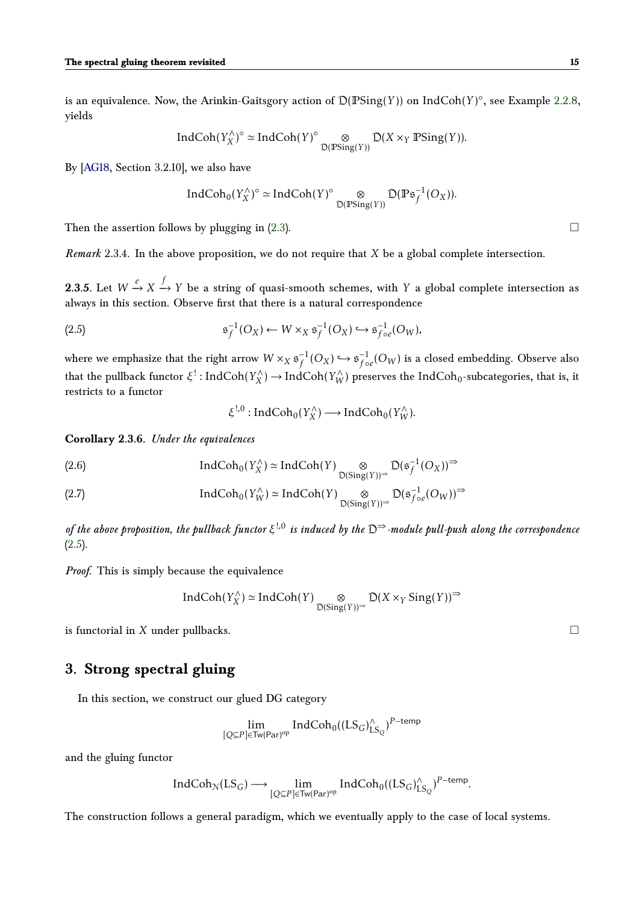is an equivalence. Now, the Arinkin-Gaitsgory action of D(PSing(*Y* )) on IndCoh(*Y* ) ◦ , see Example [2.2.8,](#page-13-2) yields

$$
\operatorname{IndCoh}(Y_X^{\wedge})^{\circ} \simeq \operatorname{IndCoh}(Y)^{\circ} \underset{\mathcal{D}(\mathbb{P} \operatorname{Sing}(Y))}{\otimes} \mathcal{D}(X \times_Y \mathbb{P} \operatorname{Sing}(Y)).
$$

By [\[AG18,](#page-32-0) Section 3.2.10], we also have

$$
\text{IndCoh}_{0}(Y_{X}^{\wedge})^{\circ} \simeq \text{IndCoh}(Y)^{\circ} \underset{\mathcal{D}(\mathbb{P}\text{Sing}(Y))}{\otimes} \mathcal{D}(\mathbb{P}\mathfrak{s}_{f}^{-1}(O_{X})).
$$

Then the assertion follows by plugging in  $(2.3)$ .

*Remark* 2.3.4*.* In the above proposition, we do not require that *X* be a global complete intersection.

**2.3.5.** Let  $W \xrightarrow{e} X \xrightarrow{f} Y$  be a string of quasi-smooth schemes, with *Y* a global complete intersection as always in this section. Observe first that there is a natural correspondence

(2.5) 
$$
\mathfrak{s}_f^{-1}(O_X) \leftarrow W \times_X \mathfrak{s}_f^{-1}(O_X) \hookrightarrow \mathfrak{s}_{f \circ e}^{-1}(O_W),
$$

where we emphasize that the right arrow  $W \times_X \mathfrak{s}_f^{-1}$  $f^{-1}(O_X) \hookrightarrow \mathfrak{s}_{f \circ}^{-1}$  $\frac{1}{f}$ <sub>0e</sub> $(O_W)$  is a closed embedding. Observe also that the pullback functor *ξ* ! : IndCoh(*Y* ∧  $(X_X^{\wedge}) \rightarrow \text{IndCoh}(Y_W^{\wedge})$  preserves the  $\text{IndCoh}_0\text{-subcategories, that is, it}$ restricts to a functor

> *ξ* !*,*0 : IndCoh0(*Y* ∧  $Y_X^{\wedge}$ )  $\longrightarrow$  IndCoh<sub>0</sub>( $Y_W^{\wedge}$ ).

**Corollary 2.3.6.** *Under the equivalences*

(2.6) IndCoh<sub>0</sub>(
$$
Y_X^{\wedge}
$$
)  $\simeq$  IndCoh $(Y)$  $\underset{\mathcal{D}(\text{Sing}(Y))^{\Rightarrow}}{\otimes} \mathcal{D}(\mathfrak{s}_f^{-1}(O_X))^{\Rightarrow}$ 

$$
(2.7) \qquad \qquad \text{IndCoh}_{0}(Y_{W}^{\wedge}) \simeq \text{IndCoh}(Y) \underset{\mathcal{D}(\text{Sing}(Y))^{\Rightarrow}}{\otimes} \mathcal{D}(\mathfrak{s}_{f \circ e}^{-1}(O_{W}))^{\Rightarrow}
$$

*of the above proposition, the pullback functor ξ* !*,*0 *is induced by the* D⇒*-module pull-push along the correspondence* [\(2.5\)](#page-13-4)*.*

*Proof.* This is simply because the equivalence

$$
IndCoh(Y_X^{\wedge}) \simeq IndCoh(Y) \underset{\mathcal{D}(\mathrm{Sing}(Y))^{\Rightarrow}}{\otimes} \mathcal{D}(X \times_Y \mathrm{Sing}(Y))^{\Rightarrow}
$$

is functorial in *X* under pullbacks.

# <span id="page-14-0"></span>**3. Strong spectral gluing**

In this section, we construct our glued DG category

$$
\lim_{[Q\subseteq P]\in \mathsf{Tw}(Par)^{\mathrm{op}}} \mathsf{IndCoh}_0((LS_G)_{LS_Q}^{\wedge})^{P-\mathsf{temp}}
$$

and the gluing functor

$$
\textup{Ind}\textup{Coh}_{\mathcal{N}}(\textup{LS}_G)\longrightarrow \lim_{[Q\subseteq P]\in \textup{Tw}(\textup{Par})^{\textup{op}}}\textup{Ind}\textup{Coh}_0((\textup{LS}_G)^\wedge_{\textup{LS}_Q})^{P-\textup{temp}}.
$$

<span id="page-14-1"></span>The construction follows a general paradigm, which we eventually apply to the case of local systems.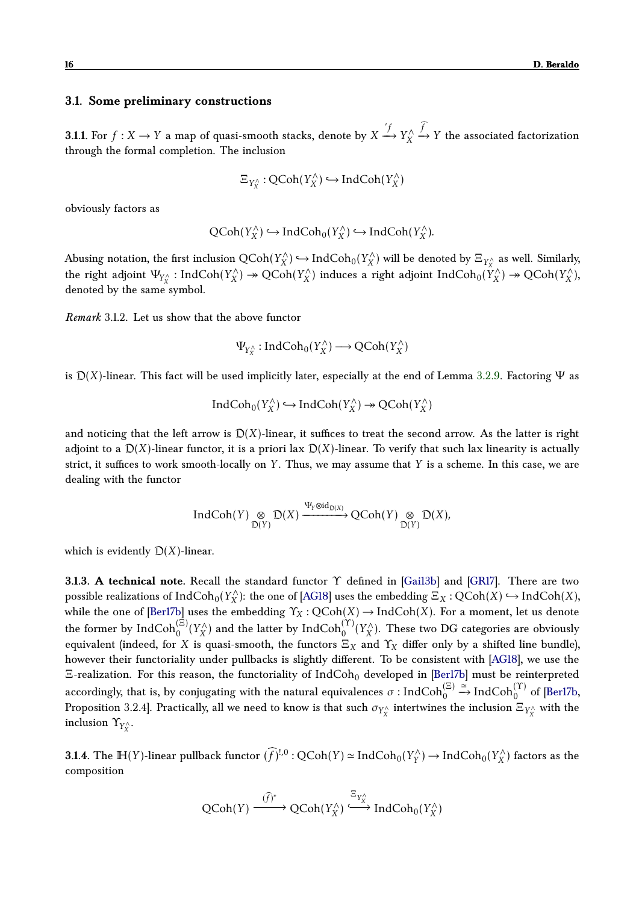### **3.1. Some preliminary constructions**

**3.1.1.** For  $f: X \to Y$  a map of quasi-smooth stacks, denote by  $X \xrightarrow[]{'} f_X^X$ *X*  $\stackrel{f}{\rightarrow}$  *Y* the associated factorization through the formal completion. The inclusion

$$
\Xi_{Y_X^\wedge}:{\sf QCoh}(Y_X^\wedge)\hookrightarrow{\sf IndCoh}(Y_X^\wedge)
$$

obviously factors as

$$
\operatorname{QCoh}(Y_X^\wedge)\hookrightarrow \operatorname{IndCoh}_0(Y_X^\wedge)\hookrightarrow \operatorname{IndCoh}(Y_X^\wedge).
$$

Abusing notation, the first inclusion QCoh(*Y* ∧  $Y_X^{\wedge}$ )  $\hookrightarrow$  IndCoh<sub>0</sub>( $Y_X^{\wedge}$  $\binom{r}{X}$  will be denoted by  $\Xi_{Y_X^{\wedge}}$  as well. Similarly, the right adjoint  $\Psi_{Y_X^{\wedge}}$  : IndCoh( $Y_X^{\wedge}$  $Y_X^{\wedge}$ )  $\rightarrow$  QCoh( $Y_X^{\wedge}$  $(X_X^{\wedge})$  induces a right adjoint  $\mathrm{IndCoh}_0(\hat{Y}_X^{\wedge})$  $Y_X^{\wedge}$ )  $\rightarrow$  QCoh( $Y_X^{\wedge}$ *X* ), denoted by the same symbol.

*Remark* 3.1.2*.* Let us show that the above functor

 $\Psi_{Y_X^{\wedge}}$ : IndCoh<sub>0</sub>( $Y_X^{\wedge}$  $Y_X^{\wedge}$ )  $\longrightarrow$  QCoh( $Y_X^{\wedge}$ *X* )

is  $D(X)$ -linear. This fact will be used implicitly later, especially at the end of Lemma [3.2.9.](#page-19-0) Factoring  $\Psi$  as

$$
\textup{Ind}\textup{Coh}_0(Y_X^\wedge)\hookrightarrow\textup{Ind}\textup{Coh}(Y_X^\wedge)\twoheadrightarrow\textup{QCoh}(Y_X^\wedge)
$$

and noticing that the left arrow is  $D(X)$ -linear, it suffices to treat the second arrow. As the latter is right adjoint to a  $D(X)$ -linear functor, it is a priori lax  $D(X)$ -linear. To verify that such lax linearity is actually strict, it suffices to work smooth-locally on *Y* . Thus, we may assume that *Y* is a scheme. In this case, we are dealing with the functor

$$
\operatorname{IndCoh}(Y) \underset{\mathcal{D}(Y)}{\otimes} \mathcal{D}(X) \xrightarrow{\Psi_Y \otimes \operatorname{id}_{\mathcal{D}(X)}} \operatorname{QCoh}(Y) \underset{\mathcal{D}(Y)}{\otimes} \mathcal{D}(X),
$$

which is evidently  $D(X)$ -linear.

**3.1.3. A technical note.** Recall the standard functor Υ defined in [\[Gai13b\]](#page-33-0) and [\[GR17\]](#page-33-9). There are two possible realizations of  $\operatorname{IndCoh}_0(Y_X^\wedge)$ *X*<sup> $\wedge$ </sup>): the one of [\[AG18\]](#page-32-0) uses the embedding  $\Xi_X : \mathrm{QCoh}(X) \hookrightarrow \mathrm{IndCoh}(X)$ , while the one of [\[Ber17b\]](#page-33-3) uses the embedding  $\Upsilon_X$ :  $QCoh(X) \to \text{IndCoh}(X)$ . For a moment, let us denote the former by  $\operatorname{IndCoh}^{(\Xi)}_0(Y_X^\wedge)$  $\mathcal{X}_X^{\wedge}$ ) and the latter by  $\mathrm{IndCoh}^{(\Upsilon)}_0(Y_X^{\wedge})$  $\chi_X^{\wedge}$ ). These two DG categories are obviously equivalent (indeed, for *X* is quasi-smooth, the functors  $\Xi_X$  and  $\Upsilon_X$  differ only by a shifted line bundle), however their functoriality under pullbacks is slightly different. To be consistent with [\[AG18\]](#page-32-0), we use the Ξ-realization. For this reason, the functoriality of IndCoh<sub>0</sub> developed in [\[Ber17b\]](#page-33-3) must be reinterpreted accordingly, that is, by conjugating with the natural equivalences  $\sigma$  : IndCoh $_0^{(\Xi)}$  $\stackrel{\simeq}{\to}$  IndCoh<sub>0</sub><sup>(Y)</sup> of [Berl7b, Proposition 3.2.4]. Practically, all we need to know is that such  $\sigma_{Y_X^\wedge}$  intertwines the inclusion  $\Xi_{Y_X^\wedge}$  with the inclusion  $\Upsilon_{Y_X^\wedge}.$ 

**3.1.4.** The  $\mathbb{H}(Y)$ -linear pullback functor  $(\widehat{f})^{!,0}$  :  $\text{QCoh}(Y) \simeq \text{IndCoh}_0(Y_Y^{\wedge})$  $Y_Y^{\wedge}$ )  $\rightarrow$  IndCoh<sub>0</sub>( $Y_X^{\wedge}$  $\binom{7}{X}$  factors as the composition

<span id="page-15-0"></span>
$$
\text{QCoh}(Y) \xrightarrow{(\widehat{f})^*} \text{QCoh}(Y_X^{\wedge}) \xrightarrow{\Xi_{Y_X^{\wedge}}} \text{IndCoh}_0(Y_X^{\wedge})
$$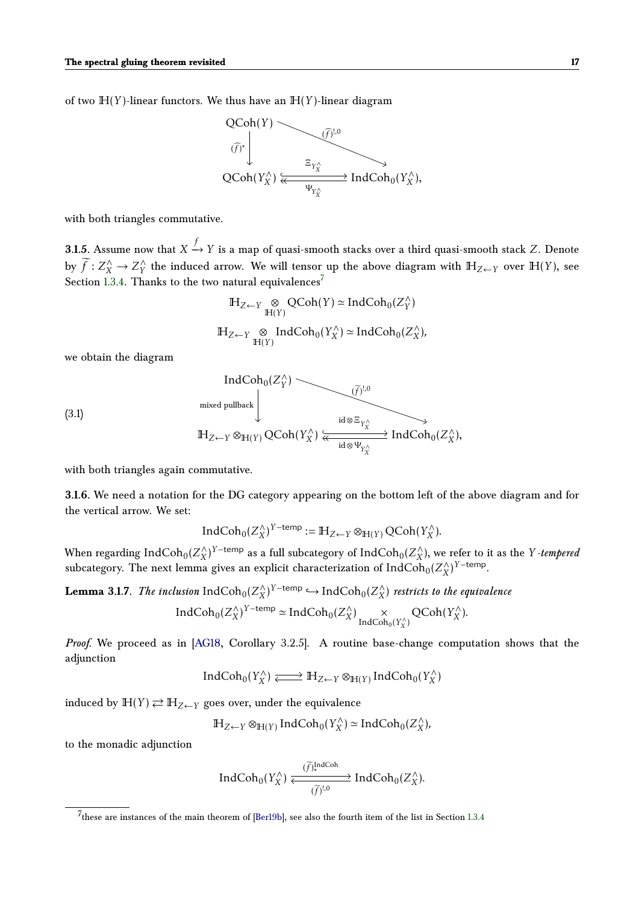of two  $H(Y)$ -linear functors. We thus have an  $H(Y)$ -linear diagram



with both triangles commutative.

**3.1.5.** Assume now that  $X \xrightarrow{f} Y$  is a map of quasi-smooth stacks over a third quasi-smooth stack  $Z$ . Denote by  $\widetilde{f}: Z_X^{\wedge} \to Z_Y^{\wedge}$  $\hat{Y}$ <sup>the</sup> induced arrow. We will tensor up the above diagram with  $\mathbb{H}_{Z\leftarrow Y}$  over  $\mathbb{H}(Y)$ , see Section [1.3.4.](#page-6-0) Thanks to the two natural equivalences<sup>[7](#page-16-0)</sup>

$$
\mathbb{H}_{Z \leftarrow Y} \underset{\mathbb{H}(Y)}{\otimes} \text{QCoh}(Y) \simeq \text{IndCoh}_0(Z_Y^{\wedge})
$$
  

$$
\mathbb{H}_{Z \leftarrow Y} \underset{\mathbb{H}(Y)}{\otimes} \text{IndCoh}_0(Y_X^{\wedge}) \simeq \text{IndCoh}_0(Z_X^{\wedge}),
$$

we obtain the diagram

(3.1)  
\n
$$
\operatorname{IndCoh}_{0}(Z_{Y}^{\wedge})
$$
\n
$$
\xrightarrow{\text{mixed pullback}} \left| \underbrace{\widetilde{(\cdot)}^{!,0}}_{\text{id} \otimes \Xi_{Y_{X}^{\wedge}} \qquad \text{id} \otimes \Xi_{Y_{X}^{\wedge}}}
$$
\n
$$
\xrightarrow{\text{id} \otimes \Xi_{Y_{X}^{\wedge}} \qquad \text{Ind} \otimes \Phi_{Y_{X}^{\wedge}}}
$$
\n
$$
\xrightarrow{\text{id} \otimes \Psi_{Y_{X}^{\wedge}}}
$$
\n
$$
\operatorname{Ind} \operatorname{Coh}_{0}(Z_{X}^{\wedge}),
$$

with both triangles again commutative.

**3.1.6.** We need a notation for the DG category appearing on the bottom left of the above diagram and for the vertical arrow. We set:

$$
\textup{Ind}\textup{Coh}_{0}(Z^{\wedge}_{X})^{Y-\textup{temp}}:=\mathbb{H}_{Z\leftarrow Y}\otimes_{\mathbb{H}(Y)}\textup{QCoh}(Y^{\wedge}_{X}).
$$

When regarding  $\mathrm{IndCoh}_0(Z_X^\wedge)$  $\chi$ <sup>2</sup>)<sup>*Y*−temp</sup> as a full subcategory of IndCoh<sub>0</sub>( $Z^{\wedge}_X$  $\binom{X}{X}$ , we refer to it as the *Y -tempered* subcategory. The next lemma gives an explicit characterization of  $\text{IndCoh}_0(Z_X^{\wedge})$  $\binom{?}{X}$ <sup>*Y*−temp</sup>.

<span id="page-16-2"></span>**Lemma 3.1.7.** *The inclusion*  $\text{IndCoh}_0(Z_X^{\wedge})$  $(X/X)^{Y-\text{temp}}$  → IndCoh<sub>0</sub>( $Z_X^{\wedge}$ *X* ) *restricts to the equivalence*

$$
\text{IndCoh}_{0}(Z_{X}^{\wedge})^{Y-\text{temp}} \simeq \text{IndCoh}_{0}(Z_{X}^{\wedge}) \underset{\text{IndCoh}_{0}(Y_{X}^{\wedge})}{\times} \text{QCoh}(Y_{X}^{\wedge}).
$$

*Proof.* We proceed as in [\[AG18,](#page-32-0) Corollary 3.2.5]. A routine base-change computation shows that the adjunction

<span id="page-16-1"></span>
$$
\textup{Ind}\textup{Coh}_0(Y_X^\wedge)\xleftarrow{\hspace*{1.5cm}} \textup{H}_{Z\leftarrow Y}\otimes_{\mathbb{H}(Y)}\textup{Ind}\textup{Coh}_0(Y_X^\wedge)
$$

induced by  $\mathbb{H}(Y) \rightleftarrows \mathbb{H}_{Z \leftarrow Y}$  goes over, under the equivalence

$$
\mathbb{H}_{Z \leftarrow Y} \otimes_{\mathbb{H}(Y)} \text{IndCoh}_0(Y_X^{\wedge}) \simeq \text{IndCoh}_0(Z_X^{\wedge}),
$$

to the monadic adjunction

$$
\textup{IndCoh}_0(Y_X^\wedge)\xleftarrow{\widetilde{(f)}_*^{\textup{IndCoh}}}\textup{IndCoh}_0(Z_X^\wedge).
$$

<span id="page-16-0"></span> $^{7}$ these are instances of the main theorem of [\[Ber19b\]](#page-33-4), see also the fourth item of the list in Section [1.3.4](#page-6-0)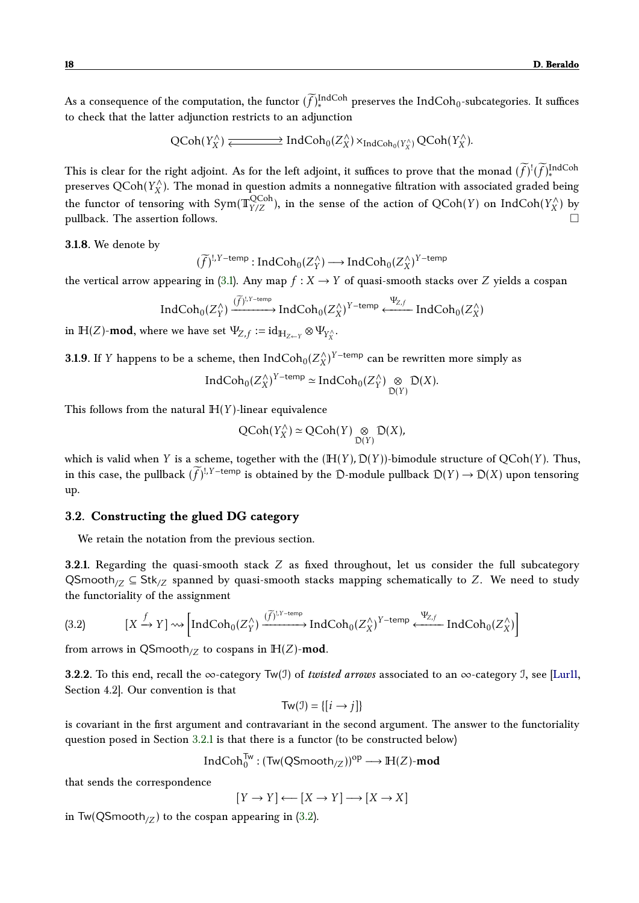As a consequence of the computation, the functor  $(\widetilde{f})_*^{\text{IndCoh}}$  preserves the IndCoh<sub>0</sub>-subcategories. It suffices to check that the latter adjunction restricts to an adjunction

$$
\text{QCoh}(Y_X^\wedge) \xleftarrow{\hspace*{1.5cm}} \text{IndCoh}_0(Z_X^\wedge) \times_{\text{IndCoh}_0(Y_X^\wedge)} \text{QCoh}(Y_X^\wedge).
$$

This is clear for the right adjoint. As for the left adjoint, it suffices to prove that the monad  $(\tilde{f})^!(\tilde{f})_*^{\text{IndCoh}}$ preserves QCoh(*Y*<sub>X</sub><sup>∧</sup>). The monad in question admits a nonnegative filtration with associated graded being *X* the functor of tensoring with Sym( $\mathbb{T}_{Y/Z}^{\rm QCoh}$ ), in the sense of the action of  $\rm QCoh(Y)$  on  $\rm IndCoh(Y_X^{\wedge})$ *X* ) by pullback. The assertion follows.

**3.1.8.** We denote by

 $(\widetilde{f})^{!,Y-\text{temp}}$ : IndCoh<sub>0</sub>( $Z_Y^{\wedge}$  $Y(Y) \longrightarrow \text{IndCoh}_0(Z_X^{\wedge})$  $\binom{X}{X}$ <sup>*Y* −temp</sup>

the vertical arrow appearing in [\(3.1\)](#page-15-0). Any map  $f: X \to Y$  of quasi-smooth stacks over *Z* yields a cospan

$$
\operatorname{IndCoh}_{0}(Z_{Y}^{\wedge}) \xrightarrow{(\widetilde{f})^{!,Y-\text{temp}}} \operatorname{IndCoh}_{0}(Z_{X}^{\wedge})^{Y-\text{temp}} \xleftarrow{\Psi_{Z,f}} \operatorname{IndCoh}_{0}(Z_{X}^{\wedge})
$$

in  $\mathbb{H}(Z)$ -mod, where we have set  $\Psi_{Z,f} := \mathrm{id}_{\mathbb{H}_{Z \leftarrow Y}} \otimes \Psi_{Y_X^{\wedge}}$ .

<span id="page-17-3"></span>**3.1.9.** If *Y* happens to be a scheme, then  $\text{IndCoh}_0(Z_X^{\wedge})$  $(X \mid X)$ <sup>Y-temp</sup> can be rewritten more simply as

$$
\text{IndCoh}_{0}(Z_{X}^{\wedge})^{Y-\text{temp}} \simeq \text{IndCoh}_{0}(Z_{Y}^{\wedge}) \underset{\mathcal{D}(Y)}{\otimes} \mathcal{D}(X).
$$

This follows from the natural  $H(Y)$ -linear equivalence

$$
\mathrm{QCoh}(Y_X^{\wedge}) \simeq \mathrm{QCoh}(Y) \underset{\mathrm{D}(Y)}{\otimes} \mathrm{D}(X),
$$

which is valid when *Y* is a scheme, together with the  $(H(Y), D(Y))$ -bimodule structure of  $QCoh(Y)$ . Thus, in this case, the pullback  $(\widetilde{f})^{!,Y-\text{temp}}$  is obtained by the D-module pullback  $D(Y) \to D(X)$  upon tensoring up.

### <span id="page-17-0"></span>**3.2. Constructing the glued DG category**

We retain the notation from the previous section.

<span id="page-17-2"></span>**3.2.1.** Regarding the quasi-smooth stack *Z* as fixed throughout, let us consider the full subcategory QSmooth<sub>/Z</sub>  $\subseteq$  Stk<sub>/Z</sub> spanned by quasi-smooth stacks mapping schematically to *Z*. We need to study the functoriality of the assignment

$$
(3.2) \qquad \qquad [X \xrightarrow{f} Y] \rightsquigarrow \left[ IndCoh_0(Z_Y^{\wedge}) \xrightarrow{(\widetilde{f})^{!, Y \text{-temp}}} IndCoh_0(Z_X^{\wedge})^{Y \text{-temp}} \xleftarrow{\Psi_{Z, f}} IndCoh_0(Z_X^{\wedge}) \right]
$$

<span id="page-17-1"></span>from arrows in  $\mathsf{QSmooth}_{Z}$  to cospans in  $\mathbb{H}(Z)$ -mod.

**3.2.2.** To this end, recall the ∞-category  $Tw(\mathcal{I})$  of *twisted arrows* associated to an ∞-category  $\mathcal{I}$ , see [\[Lur11,](#page-33-10) Section 4.2]. Our convention is that

$$
Tw(\mathcal{I}) = \{ [i \rightarrow j] \}
$$

is covariant in the first argument and contravariant in the second argument. The answer to the functoriality question posed in Section [3.2.1](#page-17-2) is that there is a functor (to be constructed below)

$$
\text{Ind}\text{Coh}^{\text{Tw}}_0: (\text{Tw}(\text{QSmooth}_{/Z}))^{op} \longrightarrow \mathbb{H}(Z)\text{-}\text{mod}
$$

that sends the correspondence

$$
[Y \to Y] \longleftarrow [X \to Y] \longrightarrow [X \to X]
$$

in Tw(QSmooth<sub>/Z</sub>) to the cospan appearing in [\(3.2\)](#page-16-1).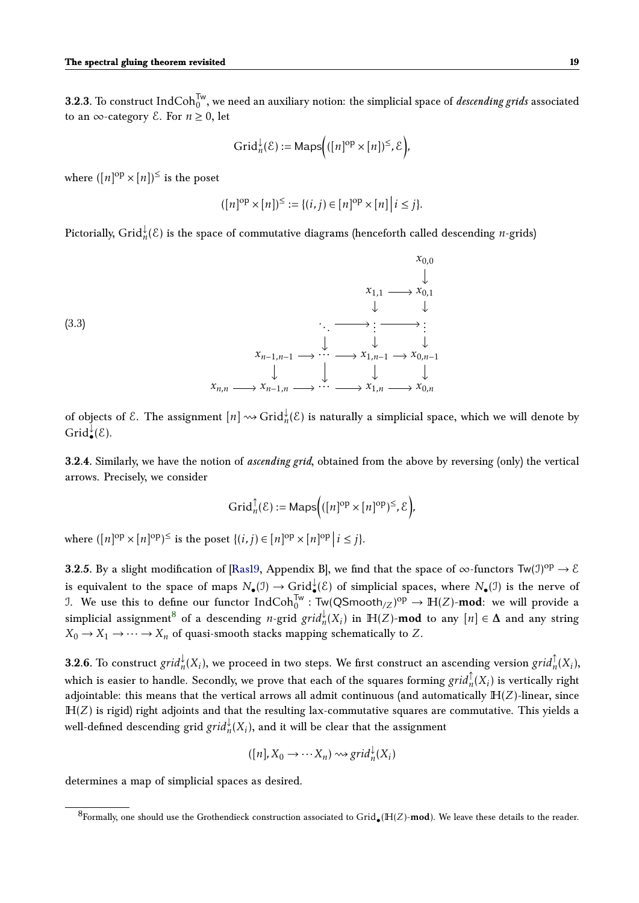**3.2.3.** To construct  $\mathrm{IndCoh}_{0}^{\mathsf{Tw}},$  we need an auxiliary notion: the simplicial space of *descending grids* associated to an  $\infty$ -category  $\mathcal E$ . For  $n \geq 0$ , let

$$
\operatorname{Grid}^\downarrow_n(\mathcal{E}):=\mathsf{Maps}\Big(([n]^{\mathrm{op}}\times[n])^\leq,\mathcal{E}\Big),
$$

where  $([n]^\text{op} \times [n])^{\le}$  is the poset

$$
([n]^{\text{op}} \times [n])^{\leq} := \{(i,j) \in [n]^{\text{op}} \times [n] \mid i \leq j\}.
$$

Pictorially,  $\operatorname{Grid}^\downarrow_n(\mathcal{E})$  is the space of commutative diagrams (henceforth called descending *n-*grids)



of objects of  $\mathcal E.$  The assignment  $[n]\leadsto \operatorname{Grid}^\downarrow_n(\mathcal E)$  is naturally a simplicial space, which we will denote by  $\operatorname{Grid}^{\check{\downarrow}}_{\bullet}(\mathcal{E}).$ 

**3.2.4.** Similarly, we have the notion of *ascending grid*, obtained from the above by reversing (only) the vertical arrows. Precisely, we consider

$$
\operatorname{Grid}^\uparrow_n(\mathcal{E}) := \operatorname{Maps}\Big(([n]^{\mathrm{op}} \times [n]^{\mathrm{op}})^{\leq}, \mathcal{E}\Big),
$$

where  $([n]^{\text{op}} \times [n]^{\text{op}})^\le$  is the poset  $\{(i,j) \in [n]^{\text{op}} \times [n]^{\text{op}} | i \leq j\}.$ 

**3.2.5.** By a slight modification of [\[Ras19,](#page-33-11) Appendix B], we find that the space of  $\infty$ -functors Tw(J)<sup>op</sup>  $\to \mathcal{E}$ is equivalent to the space of maps  $N_\bullet(\mathfrak{I})\to \mathrm{Grid}_\bullet^\downarrow(\mathcal{E})$  of simplicial spaces, where  $N_\bullet(\mathfrak{I})$  is the nerve of J. We use this to define our functor  $\mathrm{IndCoh}^{\mathrm{Tw}}_0 : \mathrm{Tw}(\mathsf{QSmooth}_{/Z})^{\mathrm{op}} \to \mathbb{H}(Z)$ -**mod**: we will provide a simplicial assignment<sup>[8](#page-18-0)</sup> of a descending *n*-grid *grid*<sup>1</sup><sub>n</sub>( $X_i$ ) in  $\mathbb{H}(Z)$ -mod to any  $[n] \in \Delta$  and any string  $X_0 \to X_1 \to \cdots \to X_n$  of quasi-smooth stacks mapping schematically to *Z*.

**3.2.6.** To construct  $grid_n^{\downarrow}(X_i)$ , we proceed in two steps. We first construct an ascending version  $grid_n^{\uparrow}(X_i)$ , which is easier to handle. Secondly, we prove that each of the squares forming  $grid_n^{\uparrow}(X_i)$  is vertically right adjointable: this means that the vertical arrows all admit continuous (and automatically  $H(Z)$ -linear, since  $H(Z)$  is rigid) right adjoints and that the resulting lax-commutative squares are commutative. This yields a well-defined descending grid  $grid_n^{\downarrow}(X_i)$ , and it will be clear that the assignment

$$
([n], X_0 \to \cdots X_n) \rightsquigarrow grid_n^{\downarrow}(X_i)
$$

determines a map of simplicial spaces as desired.

<span id="page-18-0"></span><sup>&</sup>lt;sup>8</sup>Formally, one should use the Grothendieck construction associated to Grid<sub>o</sub> ( $\mathbb{H}(Z)$ -mod). We leave these details to the reader.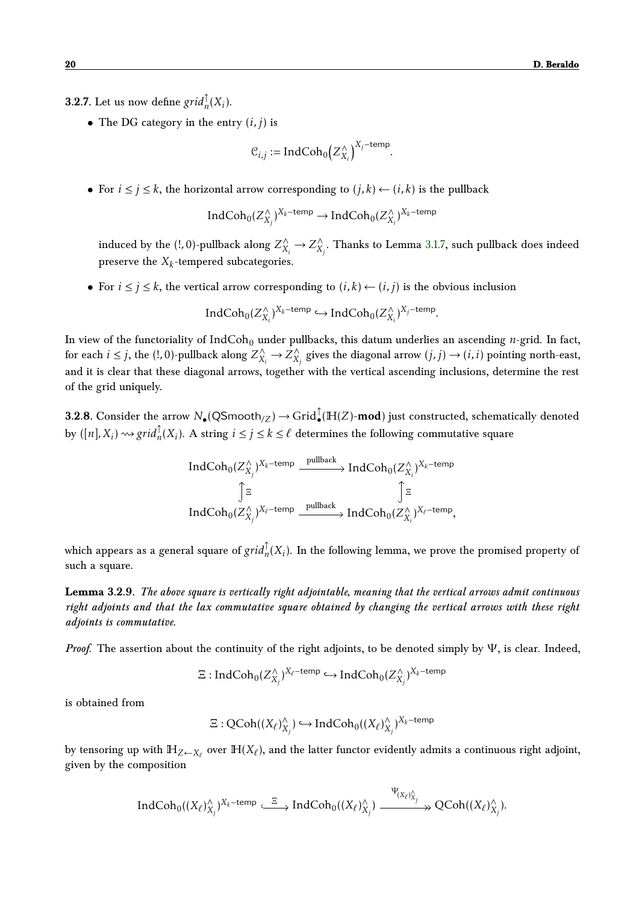**3.2.7.** Let us now define  $grid_n^{\uparrow}(X_i)$ .

• The DG category in the entry  $(i, j)$  is

$$
\mathcal{C}_{i,j} := \text{IndCoh}_0\big(Z_{X_i}^\wedge\big)^{X_j - \text{temp}}
$$

*.*

• For  $i \leq j \leq k$ , the horizontal arrow corresponding to  $(j, k) \leftarrow (i, k)$  is the pullback

Ind $\text{Coh}_0(Z_X^\wedge)$  $(X_i)$ <sup>*Xk*−temp</sup> → IndCoh<sub>0</sub>(*Z*<sup> $\wedge$ </sup>*X*<sup>*j*</sup> *Xi* ) *Xk*−temp

induced by the (!, 0)-pullback along  $Z^{\wedge}_{X_i} \to Z^{\wedge}_X$  $\chi^{\wedge}_{\chi_j}$ . Thanks to Lemma [3.1.7,](#page-16-2) such pullback does indeed preserve the  $X_k$ -tempered subcategories.

• For  $i \leq j \leq k$ , the vertical arrow corresponding to  $(i, k) \leftarrow (i, j)$  is the obvious inclusion

IndCoh<sub>0</sub> $(Z_X^{\wedge})$  $(X_i)$ <sup>*Xk*−temp → IndCoh<sub>0</sub>(*Z*<sup> $\wedge$ </sup><sub>*X*</sub></sub></sup>  $(X_i)$ <sup>*X<sub>j</sub>*−temp</sup>.

In view of the functoriality of IndCoh<sub>0</sub> under pullbacks, this datum underlies an ascending *n*-grid. In fact, for each  $i \leq j$ , the (!, 0)-pullback along  $Z^{\wedge}_{X_i} \to Z^{\wedge}_X$  $\chi^{\wedge}_{X_j}$  gives the diagonal arrow  $(j, j) \rightarrow (i, i)$  pointing north-east, and it is clear that these diagonal arrows, together with the vertical ascending inclusions, determine the rest of the grid uniquely.

**3.2.8.** Consider the arrow  $N_\bullet(\mathsf{QSmooth}_{/Z})\to \mathsf{Grid}_\bullet^\uparrow(\mathbb{H}(Z)\text{-}\mathbf{mod})$  just constructed, schematically denoted by  $([n], X_i) \rightsquigarrow grid_n^{\uparrow}(X_i)$ . A string  $i \leq j \leq k \leq \ell$  determines the following commutative square

<span id="page-19-1"></span>
$$
\begin{array}{ccc}\n\text{IndCoh}_{0}(Z^{\wedge}_{X_{j}})^{X_{k}-\text{temp}} & \xrightarrow{\text{pullback}} \text{IndCoh}_{0}(Z^{\wedge}_{X_{i}})^{X_{k}-\text{temp}} \\
\uparrow \Xi & \qquad \qquad \downarrow \Xi \\
\text{IndCoh}_{0}(Z^{\wedge}_{X_{j}})^{X_{\ell}-\text{temp}} & \xrightarrow{\text{pullback}} \text{IndCoh}_{0}(Z^{\wedge}_{X_{i}})^{X_{\ell}-\text{temp}},\n\end{array}
$$

which appears as a general square of  $grid_n^{\uparrow}(X_i)$ . In the following lemma, we prove the promised property of such a square.

<span id="page-19-0"></span>**Lemma 3.2.9.** *The above square is vertically right adjointable, meaning that the vertical arrows admit continuous right adjoints and that the lax commutative square obtained by changing the vertical arrows with these right adjoints is commutative.*

*Proof.* The assertion about the continuity of the right adjoints, to be denoted simply by  $\Psi$ , is clear. Indeed,

$$
\Xi: \textup{IndCoh}_0(Z^\wedge_{X_j})^{X_\ell-\textup{temp}}\hookrightarrow \textup{IndCoh}_0(Z^\wedge_{X_j})^{X_k-\textup{temp}}
$$

is obtained from

$$
\Xi: \text{QCoh}((X_{\ell})^{\wedge}_{X_j}) \hookrightarrow \text{IndCoh}_0((X_{\ell})^{\wedge}_{X_j})^{X_k-\text{temp}}
$$

by tensoring up with  $\mathbb{H}_{Z\leftarrow X_\ell}$  over  $\mathbb{H}(X_\ell)$ , and the latter functor evidently admits a continuous right adjoint, given by the composition

$$
\operatorname{IndCoh}_0((X_{\ell})^{\wedge}_{X_j})^{X_k-\text{temp}}\stackrel{\Xi}{\xrightarrow{\hspace*{1cm}}} \operatorname{IndCoh}_0((X_{\ell})^{\wedge}_{X_j})\stackrel{\Psi_{(X_{\ell})^{\wedge}_{X_j}}}{\xrightarrow{\hspace*{1cm}}} \operatorname{QCoh}((X_{\ell})^{\wedge}_{X_j}).
$$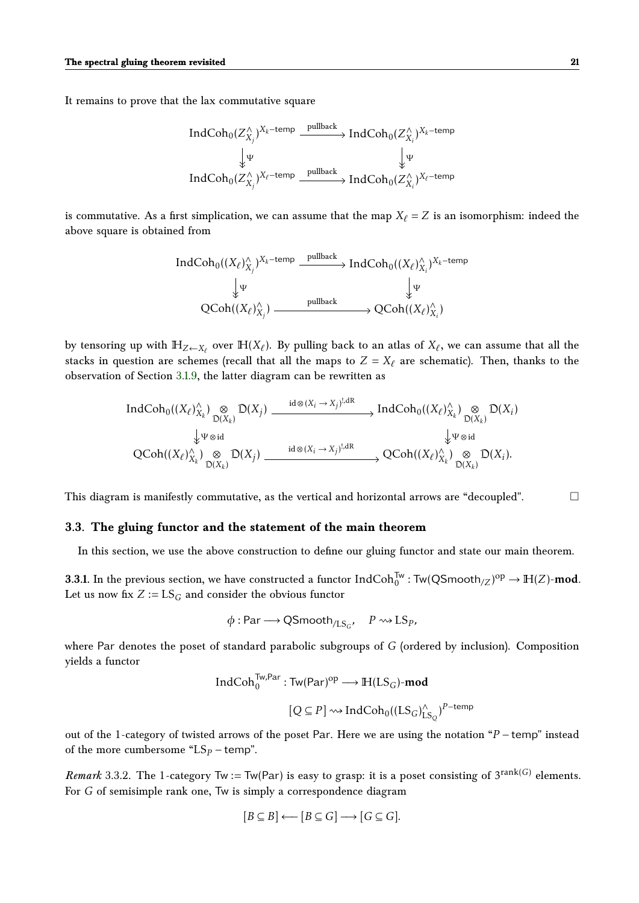It remains to prove that the lax commutative square

$$
\begin{array}{ccc}\n\text{IndCoh}_{0}(Z^{\wedge}_{X_{j}})^{X_{k}-\text{temp}} & \xrightarrow{\text{pullback}} \text{IndCoh}_{0}(Z^{\wedge}_{X_{i}})^{X_{k}-\text{temp}} \\
& \downarrow \Psi & \qquad \downarrow \Psi \\
\text{IndCoh}_{0}(Z^{\wedge}_{X_{j}})^{X_{\ell}-\text{temp}} & \xrightarrow{\text{pullback}} \text{IndCoh}_{0}(Z^{\wedge}_{X_{i}})^{X_{\ell}-\text{temp}}\n\end{array}
$$

is commutative. As a first simplication, we can assume that the map  $X_\ell = Z$  is an isomorphism: indeed the above square is obtained from

$$
\operatorname{IndCoh}_0((X_{\ell})^{\wedge}_{X_j})^{X_k-\text{temp}} \xrightarrow{\text{pullback}} \operatorname{IndCoh}_0((X_{\ell})^{\wedge}_{X_i})^{X_k-\text{temp}} \downarrow^{\text{up}} \downarrow^{\text{up}}
$$
  

$$
\downarrow^{\text{up}} \downarrow^{\text{up}}
$$
  

$$
\operatorname{QCoh}((X_{\ell})^{\wedge}_{X_j}) \xrightarrow{\text{pullback}} \operatorname{QCoh}((X_{\ell})^{\wedge}_{X_i})
$$

by tensoring up with  $\mathbb{H}_{Z \leftarrow X_\ell}$  over  $\mathbb{H}(X_\ell)$ . By pulling back to an atlas of  $X_\ell$ , we can assume that all the stacks in question are schemes (recall that all the maps to  $Z = X_\ell$  are schematic). Then, thanks to the observation of Section [3.1.9,](#page-17-3) the latter diagram can be rewritten as

$$
\text{IndCoh}_{0}((X_{\ell})_{X_{k}}^{\wedge}) \underset{\mathbb{D}(X_{k})}{\otimes} \mathbb{D}(X_{j}) \xrightarrow{\text{id} \otimes (X_{i} \to X_{j})^{!,\text{dR}}} \text{IndCoh}_{0}((X_{\ell})_{X_{k}}^{\wedge}) \underset{\mathbb{D}(X_{k})}{\otimes} \mathbb{D}(X_{i})
$$
  

$$
\downarrow \Psi \otimes \text{id} \qquad \qquad \downarrow \Psi \otimes \text{id} \qquad \qquad \downarrow \Psi \otimes \text{id}
$$
  

$$
\text{QCoh}((X_{\ell})_{X_{k}}^{\wedge}) \underset{\mathbb{D}(X_{k})}{\otimes} \mathbb{D}(X_{j}) \xrightarrow{\text{id} \otimes (X_{i} \to X_{j})^{!,\text{dR}}} \text{QCoh}((X_{\ell})_{X_{k}}^{\wedge}) \underset{\mathbb{D}(X_{k})}{\otimes} \mathbb{D}(X_{i}).
$$

This diagram is manifestly commutative, as the vertical and horizontal arrows are "decoupled".

#### <span id="page-20-0"></span>**3.3. The gluing functor and the statement of the main theorem**

In this section, we use the above construction to define our gluing functor and state our main theorem.

**3.3.1.** In the previous section, we have constructed a functor  $\mathrm{IndCoh}^{\mathsf{Tw}}_0$  :  $\mathsf{Tw}(\mathsf{QSmooth}_{/Z})^{\mathrm{op}} \to \mathbb{H}(Z)\text{-}\mathbf{mod}.$ Let us now fix  $Z := LS_G$  and consider the obvious functor

$$
\phi: \text{Par} \longrightarrow \text{QSmooth}_{/LS_G}, \quad P \rightsquigarrow \text{LS}_P,
$$

where Par denotes the poset of standard parabolic subgroups of *G* (ordered by inclusion). Composition yields a functor

$$
\begin{aligned} \text{IndCoh}_0^{\text{Tw,Par}}: \text{Tw}(\text{Par})^{\text{op}} &\longrightarrow \mathbb{H}(\text{LS}_G)\text{-}\text{mod} \\ & [Q \subseteq P] \rightsquigarrow \text{IndCoh}_0((\text{LS}_G)_{\text{LS}_Q}^{\wedge})^{P-\text{temp}} \end{aligned}
$$

out of the 1-category of twisted arrows of the poset Par. Here we are using the notation "*P* − temp" instead of the more cumbersome " $LS_p$  – temp".

*Remark* 3.3.2. The 1-category  $Tw := Tw(Par)$  is easy to grasp: it is a poset consisting of  $3^{rank(G)}$  elements. For *G* of semisimple rank one, Tw is simply a correspondence diagram

$$
[B \subseteq B] \longleftarrow [B \subseteq G] \longrightarrow [G \subseteq G].
$$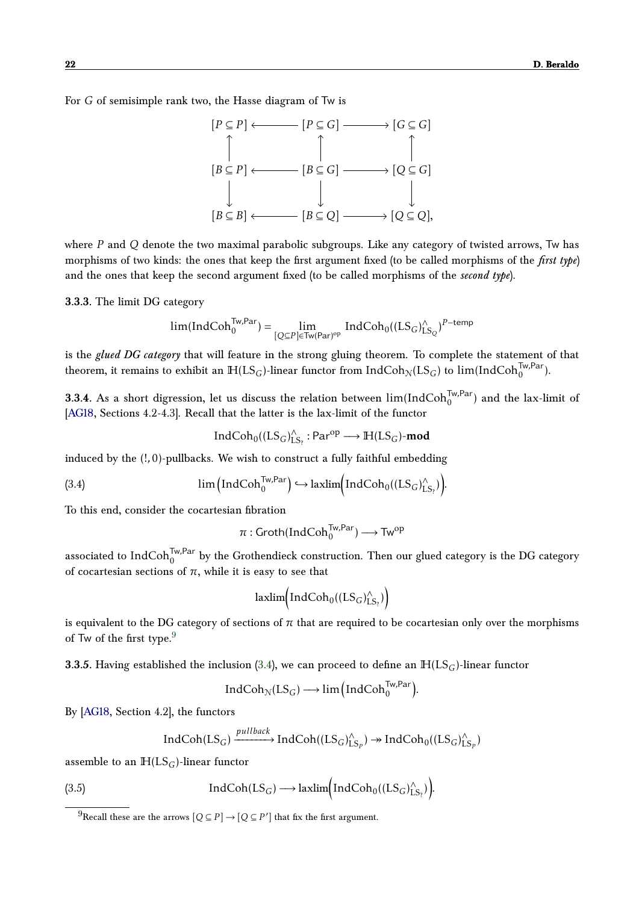For *G* of semisimple rank two, the Hasse diagram of Tw is



where *P* and *Q* denote the two maximal parabolic subgroups. Like any category of twisted arrows, Tw has morphisms of two kinds: the ones that keep the first argument fixed (to be called morphisms of the *first type*) and the ones that keep the second argument fixed (to be called morphisms of the *second type*).

**3.3.3.** The limit DG category

$$
lim(IndCoh_0^{Tw, Par}) = \lim_{[Q \subseteq P] \in Tw(Par)^{op}} IndCoh_0((LS_G)_{LS_Q}^{\wedge})^{P-temp}
$$

is the *glued DG category* that will feature in the strong gluing theorem. To complete the statement of that theorem, it remains to exhibit an  $\mathbb{H}(\mathrm{LS}_G)$ -linear functor from  $\mathrm{IndCoh}_\mathbb{N}(\mathrm{LS}_G)$  to  $\lim(\mathrm{IndCoh}^{\mathsf{Tw},\mathsf{Par}}_0)$ .

**3.3.4.** As a short digression, let us discuss the relation between  $\lim(\text{IndCoh}^{\text{Tw},\text{Par}}_{0})$  and the lax-limit of [\[AG18,](#page-32-0) Sections 4.2-4.3]. Recall that the latter is the lax-limit of the functor

$$
IndCoh_0((LS_G)_{LS_?}^{\wedge}:Par^{op}\longrightarrow \mathbb{H}(LS_G)\text{-}\mathbf{mod}
$$

induced by the (!*,*0)-pullbacks. We wish to construct a fully faithful embedding

(3.4) 
$$
\lim_{\text{lim} \left( \text{IndCoh}_{0}^{\text{Tw,Par}} \right)} \hookrightarrow \text{laxlim} \left( \text{IndCoh}_{0}((LS_{G})_{LS_{?}}^{\wedge}) \right).
$$

To this end, consider the cocartesian fibration

$$
\pi: \mathsf{Groth}(\mathsf{IndCoh}^{\mathsf{Tw}, \mathsf{Par}}_0) \longrightarrow \mathsf{Tw}^{\mathsf{op}}
$$

associated to  $\rm IndCoh_0^{\rm Tw, Par}$  by the Grothendieck construction. Then our glued category is the DG category of cocartesian sections of  $\pi$ , while it is easy to see that

$$
laxlim(IndCoh_0((LS_G)_{LS_?}^{\wedge})\big)
$$

is equivalent to the DG category of sections of  $\pi$  that are required to be cocartesian only over the morphisms of Tw of the first type. $9$ 

**3.3.5.** Having established the inclusion [\(3.4\)](#page-19-1), we can proceed to define an  $\mathbb{H}(LS_G)$ -linear functor

$$
IndCoh_{\mathcal{N}}(LS_G) \longrightarrow lim\left(IndCoh_0^{Tw,Par}\right).
$$

By [\[AG18,](#page-32-0) Section 4.2], the functors

$$
IndCoh(LS_G) \xrightarrow{pullback} IndCoh((LS_G)_{LS_P}^{\wedge}) \rightarrow IndCoh_0((LS_G)_{LS_P}^{\wedge})
$$

assemble to an  $H(LS_G)$ -linear functor

(3.5) IndCoh(LS<sub>G</sub>) 
$$
\longrightarrow
$$
 lazlim $\left( IndCoh0((LSG)^LS?)$ 

<span id="page-21-0"></span> $^{9}$ Recall these are the arrows  $[Q \subseteq P] \rightarrow [Q \subseteq P']$  that fix the first argument.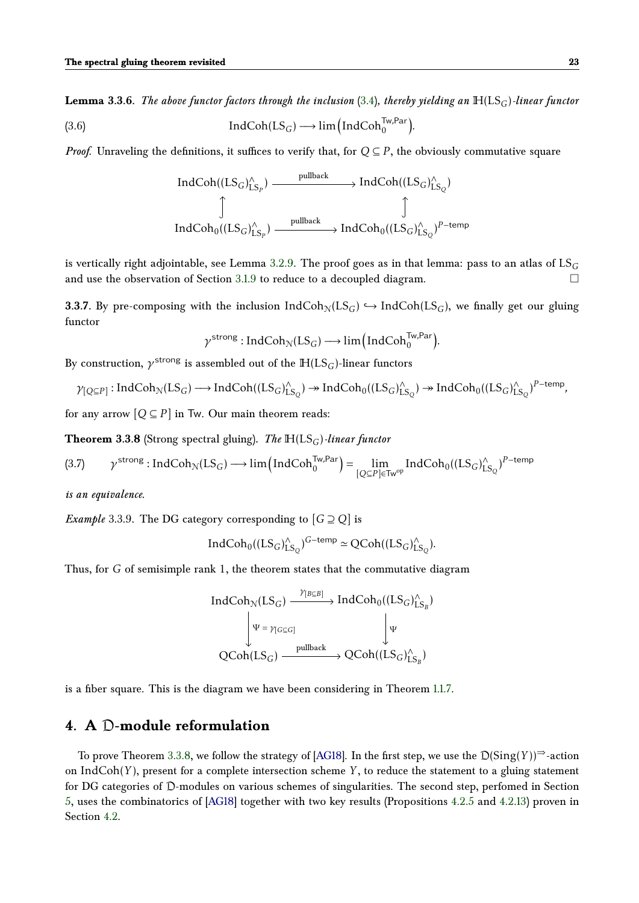**Lemma 3.3.6.** *The above functor factors through the inclusion* [\(3.4\)](#page-19-1)*, thereby yielding an*  $H(LS_G)$ *-linear functor* (3.6)  $\qquad \qquad \text{IndCoh}(LS_G) \longrightarrow \lim_{\text{Im}(I) \longrightarrow \text{Im}(I)} \text{IndCoh}^{\text{Tw}, \text{Par}}_{0}.$ 

*Proof.* Unraveling the definitions, it suffices to verify that, for  $Q \subseteq P$ , the obviously commutative square

$$
\begin{CD} \operatorname{IndCoh}((\operatorname{LS}_G)^\wedge_{\operatorname{LS}_P}) @> \text{pullback}>> \operatorname{IndCoh}((\operatorname{LS}_G)^\wedge_{\operatorname{LS}_Q})\\ \circled{]} & \circled{]} \qquad \qquad \text{IndCoh}_0((\operatorname{LS}_G)^\wedge_{\operatorname{LS}_P}) @> \text{pullback}>> \operatorname{IndCoh}_0((\operatorname{LS}_G)^\wedge_{\operatorname{LS}_Q})^{P-\text{temp}}\\ \end{CD}
$$

is vertically right adjointable, see Lemma [3.2.9.](#page-19-0) The proof goes as in that lemma: pass to an atlas of LS*<sup>G</sup>* and use the observation of Section [3.1.9](#page-17-3) to reduce to a decoupled diagram.

**3.3.7.** By pre-composing with the inclusion  $IndCoh<sub>N</sub>(LS<sub>G</sub>) \hookrightarrow IndCoh(LS<sub>G</sub>)$ , we finally get our gluing functor

$$
\gamma^{\text{strong}}:\text{IndCoh}_{\mathcal{N}}(LS_G)\longrightarrow\lim\Big(\text{IndCoh}_{0}^{\text{Tw,Par}}\Big).
$$

By construction,  $\gamma^\text{strong}$  is assembled out of the  $\mathbb{H}(\text{LS}_G)$ -linear functors

$$
\gamma_{[Q \subseteq P]}: IndCoh_{\mathcal{N}}(LS_G) \longrightarrow IndCoh((LS_G)_{LS_Q}^{\wedge}) \twoheadrightarrow IndCoh_0((LS_G)_{LS_Q}^{\wedge}) \twoheadrightarrow IndCoh_0((LS_G)_{LS_Q}^{\wedge})^{P-\text{temp}},
$$

for any arrow  $[Q \subseteq P]$  in Tw. Our main theorem reads:

<span id="page-22-2"></span>**Theorem 3.3.8** (Strong spectral gluing). *The*  $H(LS_G)$ *-linear functor* 

$$
(3.7) \qquad \gamma^{\text{strong}}: \text{IndCoh}_{\mathcal{N}}(LS_G) \longrightarrow \lim \left(\text{IndCoh}_{0}^{Tw, Par}\right) = \lim_{[Q \subseteq P] \in \text{Tw}^{\text{op}}} \text{IndCoh}_{0}((LS_G)_{LS_Q}^{\wedge})^{P-\text{temp}}
$$

*is an equivalence.*

*Example* 3.3.9. The DG category corresponding to  $[G \supseteq Q]$  is

$$
IndCoh_0((LS_G)_{LS_Q}^{\wedge})^{G-\text{temp}}\simeq QCoh((LS_G)_{LS_Q}^{\wedge}).
$$

Thus, for *G* of semisimple rank 1, the theorem states that the commutative diagram

$$
\begin{CD} IndCoh_{\mathcal{N}}(LS_G) @>\mathcal{V}_{[B \subseteq B]}>> IndCoh_0((LS_G)_{LS_B}^{\wedge})\\ @V{\psi = \gamma_{[G \subseteq G]}}V @VV{\psi}\\ QCoh(LS_G) @>\mathcal{V}^{pullback}>> QCoh((LS_G)_{LS_B}^{\wedge})\\ \end{CD}
$$

is a fiber square. This is the diagram we have been considering in Theorem [1.1.7.](#page-3-2)

# <span id="page-22-0"></span>**4. A** D**-module reformulation**

<span id="page-22-1"></span>To prove Theorem [3.3.8,](#page-22-2) we follow the strategy of [\[AG18\]](#page-32-0). In the first step, we use the  $D(Sing(Y))^{\Rightarrow}$ -action on IndCoh( $Y$ ), present for a complete intersection scheme  $Y$ , to reduce the statement to a gluing statement for DG categories of D-modules on various schemes of singularities. The second step, perfomed in Section [5,](#page-28-0) uses the combinatorics of [\[AG18\]](#page-32-0) together with two key results (Propositions [4.2.5](#page-25-0) and [4.2.13\)](#page-27-0) proven in Section [4.2.](#page-24-0)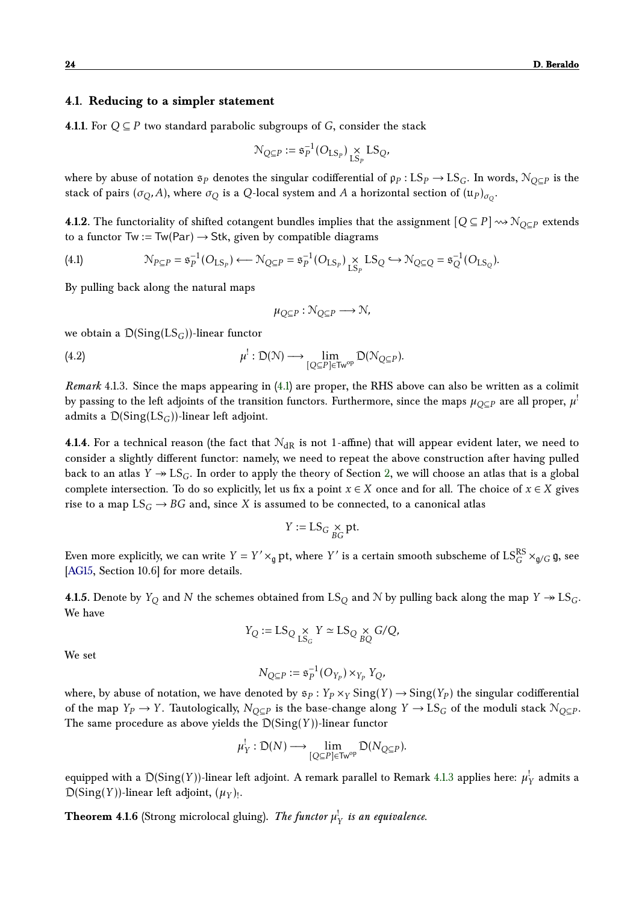### **4.1. Reducing to a simpler statement**

**4.1.1.** For  $Q ⊆ P$  two standard parabolic subgroups of  $G$ , consider the stack

$$
\mathcal{N}_{Q\subseteq P}:=\mathfrak{s}_P^{-1}(O_{\text{LS}_P})\underset{\text{LS}_P}{\times} \text{LS}_Q,
$$

where by abuse of notation  $\mathfrak{s}_P$  denotes the singular codifferential of  $\rho_P$  :  $LS_P \to LS_G$ . In words,  $\mathcal{N}_{Q\subseteq P}$  is the stack of pairs  $(\sigma_Q, A)$ , where  $\sigma_Q$  is a  $Q$ -local system and  $A$  a horizontal section of  $(\mathfrak{u}_P)_{\sigma_Q}.$ 

**4.1.2.** The functoriality of shifted cotangent bundles implies that the assignment  $[Q \subseteq P] \rightsquigarrow N_{Q \subset P}$  extends to a functor  $Tw := Tw(Par) \rightarrow Stk$ , given by compatible diagrams

<span id="page-23-0"></span>(4.1) 
$$
\mathcal{N}_{P \subseteq P} = \mathfrak{s}_P^{-1}(O_{LS_P}) \longleftarrow \mathcal{N}_{Q \subseteq P} = \mathfrak{s}_P^{-1}(O_{LS_P}) \underset{LS_P}{\times} LS_Q \hookrightarrow \mathcal{N}_{Q \subseteq Q} = \mathfrak{s}_Q^{-1}(O_{LS_Q}).
$$

By pulling back along the natural maps

<span id="page-23-2"></span>
$$
\mu_{Q \subseteq P} : \mathcal{N}_{Q \subseteq P} \longrightarrow \mathcal{N},
$$

we obtain a D(Sing(LS*G*))-linear functor

(4.2) 
$$
\mu^!: \mathcal{D}(\mathcal{N}) \longrightarrow \lim_{[Q \subseteq P] \in \mathsf{Tw}^{\mathrm{op}}} \mathcal{D}(\mathcal{N}_{Q \subseteq P}).
$$

<span id="page-23-1"></span>*Remark* 4.1.3*.* Since the maps appearing in [\(4.1\)](#page-23-0) are proper, the RHS above can also be written as a colimit by passing to the left adjoints of the transition functors. Furthermore, since the maps  $\mu_{Q\subseteq P}$  are all proper,  $\mu^!$ admits a  $D(Sing(LS_G))$ -linear left adjoint.

**4.1.4.** For a technical reason (the fact that  $N_{\text{dR}}$  is not 1-affine) that will appear evident later, we need to consider a slightly different functor: namely, we need to repeat the above construction after having pulled back to an atlas  $Y \rightarrow LS_G$ . In order to apply the theory of Section [2,](#page-10-1) we will choose an atlas that is a global complete intersection. To do so explicitly, let us fix a point  $x \in X$  once and for all. The choice of  $x \in X$  gives rise to a map  $LS_G \rightarrow BG$  and, since X is assumed to be connected, to a canonical atlas

$$
Y := \text{LS}_G \underset{BG}{\times} \text{pt}.
$$

Even more explicitly, we can write  $Y = Y' \times_{\mathfrak{g}} \mathsf{pt}$ , where  $Y'$  is a certain smooth subscheme of  $\mathrm{LS}_{G}^\mathrm{RS} \times_{\mathfrak{g}/G} \mathfrak{g}$ , see [\[AG15,](#page-32-1) Section 10.6] for more details.

**4.1.5.** Denote by  $Y_Q$  and  $N$  the schemes obtained from  $LS_Q$  and  $N$  by pulling back along the map  $Y \rightarrow LS_Q$ . We have

$$
Y_Q := \operatorname{LS}_Q \underset{\operatorname{LS}_G}{\times} Y \simeq \operatorname{LS}_Q \underset{BQ}{\times} G/Q,
$$

We set

$$
N_{Q\subseteq P}:=\mathfrak{s}_P^{-1}(O_{Y_P})\times_{Y_P}Y_Q,
$$

where, by abuse of notation, we have denoted by  $\mathfrak{s}_P : Y_P \times_Y \mathrm{Sing}(Y) \to \mathrm{Sing}(Y_P)$  the singular codifferential of the map  $Y_P \to Y$ . Tautologically,  $N_{Q \subseteq P}$  is the base-change along  $Y \to \text{LS}_G$  of the moduli stack  $\mathcal{N}_{Q \subseteq P}$ . The same procedure as above yields the D(Sing(*Y* ))-linear functor

$$
\mu_Y^!: \mathfrak{D}(N) \longrightarrow \lim_{[Q \subseteq P] \in \mathsf{Tw}^{\mathrm{op}}} \mathfrak{D}(N_{Q \subseteq P}).
$$

equipped with a  $\mathcal{D}(\mathrm{Sing}(Y))$ -linear left adjoint. A remark parallel to Remark [4.1.3](#page-23-1) applies here:  $\mu_Y^!$  admits a  $D(Sing(Y))$ -linear left adjoint,  $(\mu_Y)_!$ .

<span id="page-23-3"></span>**Theorem 4.1.6** (Strong microlocal gluing). *The functor*  $\mu_Y^!$  *is an equivalence.*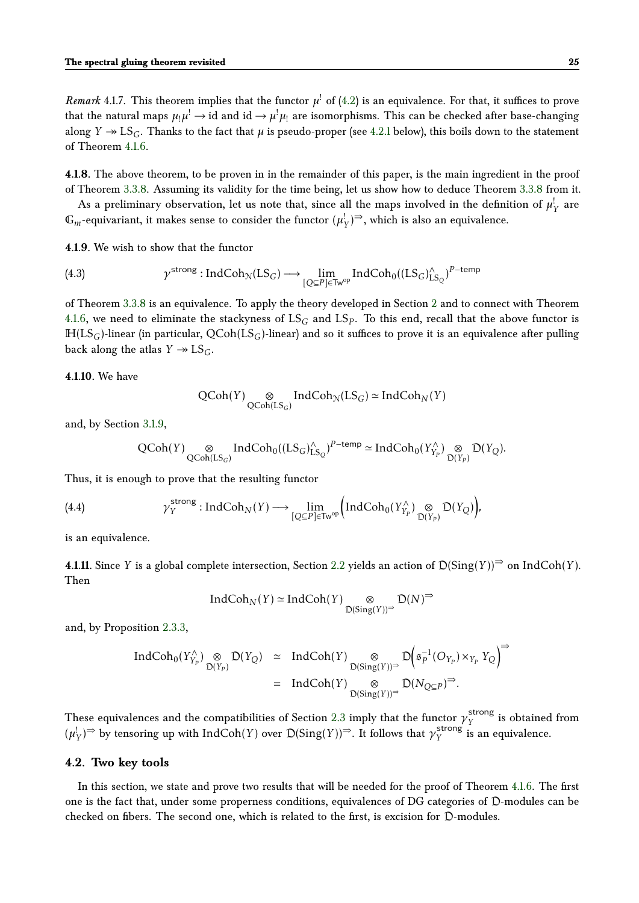*Remark* 4.1.7. This theorem implies that the functor  $\mu^!$  of [\(4.2\)](#page-23-2) is an equivalence. For that, it suffices to prove that the natural maps  $\mu_!\mu^! \to$  id and id  $\to \mu^!\mu_!$  are isomorphisms. This can be checked after base-changing along  $Y \to \text{LS}_G$ . Thanks to the fact that  $\mu$  is pseudo-proper (see [4.2.1](#page-24-1) below), this boils down to the statement of Theorem [4.1.6.](#page-23-3)

**4.1.8.** The above theorem, to be proven in in the remainder of this paper, is the main ingredient in the proof of Theorem [3.3.8.](#page-22-2) Assuming its validity for the time being, let us show how to deduce Theorem [3.3.8](#page-22-2) from it.

As a preliminary observation, let us note that, since all the maps involved in the definition of  $\mu_{Y}^!$  are  $\mathbb{G}_m$ -equivariant, it makes sense to consider the functor  $(\mu_Y^!)^{\Rightarrow}$ , which is also an equivalence.

**4.1.9.** We wish to show that the functor

(4.3) 
$$
\gamma^{\text{strong}}: \text{IndCoh}_{\mathcal{N}}(LS_G) \longrightarrow \lim_{[Q \subseteq P] \in \text{Tw}^{\text{op}}} \text{IndCoh}_{0}((LS_G)_{LS_Q}^{\wedge})^{P-\text{temp}}
$$

of Theorem [3.3.8](#page-22-2) is an equivalence. To apply the theory developed in Section [2](#page-10-1) and to connect with Theorem [4.1.6,](#page-23-3) we need to eliminate the stackyness of  $\mathrm{LS}_G$  and  $\mathrm{LS}_P$ . To this end, recall that the above functor is  $H(LS_G)$ -linear (in particular,  $QCoh(LS_G)$ -linear) and so it suffices to prove it is an equivalence after pulling back along the atlas  $Y \rightarrow \text{LS}_G$ .

**4.1.10.** We have

$$
\operatorname{QCoh}(Y) \underset{\operatorname{QCoh}(LS_G)}{\otimes} IndCoh_{\mathcal{N}}(LS_G) \simeq IndCoh_{\mathcal{N}}(Y)
$$

and, by Section [3.1.9,](#page-17-3)

$$
\operatorname{QCoh}(Y) \underset{\operatorname{QCoh}(LS_G)}{\otimes} Ind\operatorname{Coh}_0((LS_G)_{LS_Q}^{\wedge})^{P-\text{temp}} \simeq Ind\operatorname{Coh}_0(Y_{Y_P}^{\wedge}) \underset{\mathcal{D}(Y_P)}{\otimes} \mathcal{D}(Y_Q).
$$

Thus, it is enough to prove that the resulting functor

(4.4) 
$$
\gamma_Y^{\text{strong}}: \text{IndCoh}_N(Y) \longrightarrow \lim_{[Q \subseteq P] \in \text{Tw}^{\text{op}}} \Big( \text{IndCoh}_0(Y_{Y_P}^{\wedge}) \underset{\mathcal{D}(Y_P)}{\otimes} \mathcal{D}(Y_Q) \Big),
$$

is an equivalence.

**4.1.11.** Since *Y* is a global complete intersection, Section [2.2](#page-11-0) yields an action of  $D(Sing(Y))$ <sup>⇒</sup> on IndCoh(*Y*). Then

$$
\text{IndCoh}_N(Y) \simeq \text{IndCoh}(Y) \underset{\mathcal{D}(\text{Sing}(Y))^{\Rightarrow}}{\otimes} \mathcal{D}(N)^{\Rightarrow}
$$

and, by Proposition [2.3.3,](#page-13-5)

<span id="page-24-2"></span>
$$
\begin{array}{rcl}\n\text{IndCoh}_{0}(Y_{Y_{P}}^{\wedge}) \underset{\mathsf{D}(Y_{P})}{\otimes} \mathsf{D}(Y_{Q}) & \simeq & \text{IndCoh}(Y) \underset{\mathsf{D}(Sing(Y))^{\Rightarrow}}{\otimes} \mathsf{D}\Big(\mathfrak{s}_{P}^{-1}(O_{Y_{P}}) \times_{Y_{P}} Y_{Q}\Big)^{\Rightarrow} \\
& = & \text{IndCoh}(Y) \underset{\mathsf{D}(Sing(Y))^{\Rightarrow}}{\otimes} \mathsf{D}(N_{Q \subseteq P})^{\Rightarrow}.\n\end{array}
$$

These equivalences and the compatibilities of Section [2.3](#page-13-0) imply that the functor  $\gamma_Y^{\text{strong}}$  $Y$ <sup>strong</sup> is obtained from  $(\mu_Y^!)$  by tensoring up with IndCoh(*Y*) over  $D(Sing(Y))$ <sup> $\Rightarrow$ </sup>. It follows that  $\gamma_Y^{\text{strong}}$  $V_Y^{\text{strong}}$  is an equivalence.

#### <span id="page-24-0"></span>**4.2. Two key tools**

<span id="page-24-1"></span>In this section, we state and prove two results that will be needed for the proof of Theorem [4.1.6.](#page-23-3) The first one is the fact that, under some properness conditions, equivalences of DG categories of D-modules can be checked on fibers. The second one, which is related to the first, is excision for D-modules.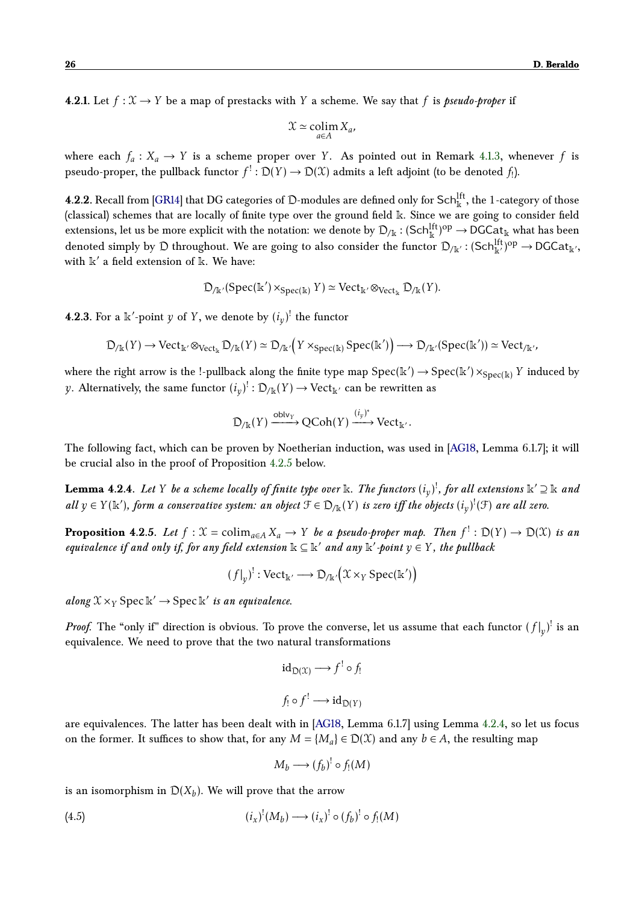**4.2.1.** Let  $f: \mathcal{X} \to Y$  be a map of prestacks with Y a scheme. We say that f is *pseudo-proper* if

$$
\mathfrak{X}\simeq \operatornamewithlimits{colim}_{a\in A}X_a,
$$

where each  $f_a: X_a \to Y$  is a scheme proper over *Y*. As pointed out in Remark [4.1.3,](#page-23-1) whenever *f* is pseudo-proper, the pullback functor  $f^!: \mathcal{D}(Y) \to \mathcal{D}(\mathfrak{X})$  admits a left adjoint (to be denoted  $f_!$ ).

**4.2.2.** Recall from [\[GR14\]](#page-33-12) that DG categories of D-modules are defined only for Sch $_{\Bbbk}^{\rm lft}$ , the 1-category of those (classical) schemes that are locally of finite type over the ground field k. Since we are going to consider field extensions, let us be more explicit with the notation: we denote by  $\mathcal{D}_{/\Bbbk}:(\text{Sch}^{\text{lft}}_{\Bbbk})^{\text{op}}\to \text{DGCat}_{\Bbbk}$  what has been denoted simply by  $\mathfrak D$  throughout. We are going to also consider the functor  $\mathfrak D_{/\Bbbk'}:$   $({\sf Sch}^{\rm lft}_{\Bbbk'})^{\rm op}\to {\sf DGCat}_{\Bbbk'},$ with  $\mathbb{k}'$  a field extension of  $\mathbb{k}$ . We have:

$$
D_{/\mathbb{k}'}(\mathrm{Spec}(\mathbb{k}') \times_{\mathrm{Spec}(\mathbb{k})} Y) \simeq \mathrm{Vect}_{\mathbb{k}'} \otimes_{\mathrm{Vect}_{\mathbb{k}}} D_{/\mathbb{k}}(Y).
$$

**4.2.3.** For a  $\mathbb{K}'$ -point  $y$  of  $Y$ , we denote by  $(i_y)^!$  the functor

$$
\mathfrak{D}_{/\Bbbk}(Y) \rightarrow \mathbf{Vect}_{\Bbbk'} \otimes_{\mathbf{Vect}_{\Bbbk}} \mathfrak{D}_{/\Bbbk}(Y) \simeq \mathfrak{D}_{/\Bbbk'}\Big(Y \times_{\mathbf{Spec}(\Bbbk)} \mathbf{Spec}(\Bbbk')\Big) \longrightarrow \mathfrak{D}_{/\Bbbk'}(\mathbf{Spec}(\Bbbk')) \simeq \mathbf{Vect}_{/\Bbbk'},
$$

where the right arrow is the !-pullback along the finite type map  $\text{Spec}(\mathbb{k}') \to \text{Spec}(\mathbb{k}') \times_{\text{Spec}(\mathbb{k})} Y$  induced by *y*. Alternatively, the same functor  $(i_{y})^{!} : \mathcal{D}_{/\mathbb{K}}(Y) \rightarrow \text{Vect}_{\mathbb{K}^{\prime}}$  can be rewritten as

$$
\mathcal{D}_{/\mathbb{R}}(Y) \xrightarrow{\text{oblv}_Y} \text{QCoh}(Y) \xrightarrow{(i_y)^*} \text{Vect}_{\mathbb{R}'}.
$$

The following fact, which can be proven by Noetherian induction, was used in [\[AG18,](#page-32-0) Lemma 6.1.7]; it will be crucial also in the proof of Proposition [4.2.5](#page-25-0) below.

<span id="page-25-1"></span> ${\bf Lemma \ 4.2.4.}$  Let  $Y$  be a scheme locally of finite type over  $\Bbbk.$  The functors  $(i_y)^!$ , for all extensions  $\Bbbk' \supseteq \Bbbk$  and  $all y \in Y(\mathbb{k}')$ , form a conservative system: an object  $\mathcal{F} \in \mathcal{D}_{/\mathbb{k}}(Y)$  is zero iff the objects  $(i_y)^!(\mathcal{F})$  are all zero.

<span id="page-25-0"></span>**Proposition 4.2.5.** Let  $f: \mathcal{X} = \text{colim}_{a \in A} X_a \to Y$  be a pseudo-proper map. Then  $f' : D(Y) \to D(\mathcal{X})$  is an *equivalence if and only if, for any field extension* k ⊆ k <sup>0</sup> *and any* k 0 *-point y* ∈ *Y , the pullback*

$$
(f|_{y})^{!}: \text{Vect}_{\mathbb{k}'} \longrightarrow \mathcal{D}_{/\mathbb{k}'}(\mathfrak{X} \times_{Y} \text{Spec}(\mathbb{k}'))
$$

 $along X \times_Y \text{Spec } \mathbb{k}' \to \text{Spec } \mathbb{k}'$  is an equivalence.

*Proof.* The "only if" direction is obvious. To prove the converse, let us assume that each functor  $(f|_y)^!$  is an equivalence. We need to prove that the two natural transformations

$$
id_{D(X)} \longrightarrow f^! \circ f_!
$$
  

$$
f_! \circ f^! \longrightarrow id_{D(Y)}
$$

are equivalences. The latter has been dealt with in [\[AG18,](#page-32-0) Lemma 6.1.7] using Lemma [4.2.4,](#page-25-1) so let us focus on the former. It suffices to show that, for any  $M = \{M_a\} \in D(\mathcal{X})$  and any  $b \in A$ , the resulting map

$$
M_b \longrightarrow (f_b)^! \circ f_!(M)
$$

is an isomorphism in  $D(X_b)$ . We will prove that the arrow

(4.5) 
$$
(i_x)^!(M_b) \longrightarrow (i_x)^! \circ (f_b)^! \circ f_!(M)
$$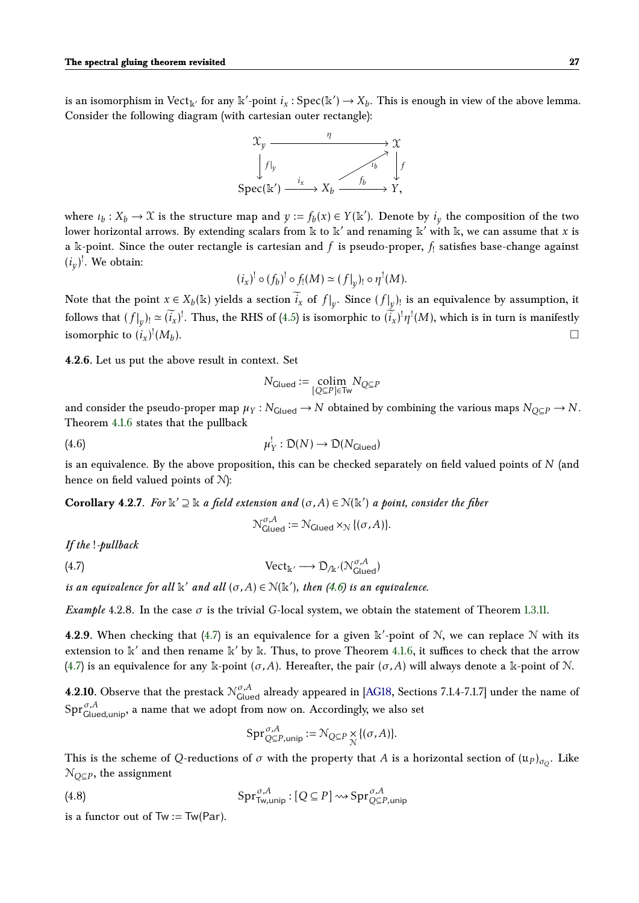is an isomorphism in  $Vect_{\mathbb{K}}'$  for any  $\mathbb{K}'$ -point  $i_x : \text{Spec}(\mathbb{K}') \to X_b$ . This is enough in view of the above lemma. Consider the following diagram (with cartesian outer rectangle):

<span id="page-26-1"></span>

where  $\iota_b: X_b \to \mathfrak{X}$  is the structure map and  $y := f_b(x) \in Y(\mathbb{k}^{\prime})$ . Denote by  $i_y$  the composition of the two lower horizontal arrows. By extending scalars from k to k' and renaming k' with k, we can assume that *x* is a  $\Bbbk$ -point. Since the outer rectangle is cartesian and  $f$  is pseudo-proper,  $f_{!}$  satisfies base-change against  $(i_y)$ <sup>!</sup>. We obtain:

$$
(i_x)^! \circ (f_b)^! \circ f_!(M) \simeq (f|_y)_! \circ \eta^!(M).
$$

Note that the point  $x \in X_b(\mathbb{k})$  yields a section  $\widetilde{i}_x$  of  $f|_y$ . Since  $(f|_y)$  is an equivalence by assumption, it follows that  $(f|_y)_! \simeq (\widetilde{i}_x)!$ . Thus, the RHS of [\(4.5\)](#page-24-2) is isomorphic to  $(\widetilde{i}_x)^! \eta^!(M)$ , which is in turn is manifestly isomorphic to  $(i_x)^!(M_b)$ ).

**4.2.6.** Let us put the above result in context. Set

$$
N_{\text{Glued}} := \underset{[Q \subseteq P] \in \text{Tw}}{\text{colim}} N_{Q \subseteq P}
$$

and consider the pseudo-proper map  $\mu_Y : N_{\text{Glued}} \to N$  obtained by combining the various maps  $N_{O\subset P} \to N$ . Theorem [4.1.6](#page-23-3) states that the pullback

(4.6) 
$$
\mu_Y^! : D(N) \to D(N_{\text{Glued}})
$$

is an equivalence. By the above proposition, this can be checked separately on field valued points of *N* (and hence on field valued points of N):

<span id="page-26-5"></span>**Corollary 4.2.7.** For  $\mathbb{k}' \supseteq \mathbb{k}$  *a field extension and*  $(\sigma, A) \in \mathcal{N}(\mathbb{k}')$  *a point, consider the fiber* 

<span id="page-26-2"></span>
$$
\mathcal{N}_{\text{Glued}}^{\sigma, A} := \mathcal{N}_{\text{Glued}} \times_{\mathcal{N}} \{(\sigma, A)\}.
$$

*If the* !*-pullback*

(4.7) 
$$
\text{Vect}_{\mathbb{k}'} \longrightarrow \mathcal{D}_{/\mathbb{k}'}(\mathcal{N}_{\text{Glued}}^{\sigma, A})
$$

*is an equivalence for all*  $\Bbbk'$  *and all*  $(\sigma, A) \in \mathcal{N}(\Bbbk')$ , then [\(4.6\)](#page-26-1) is an equivalence.

<span id="page-26-0"></span>*Example* 4.2.8. In the case  $\sigma$  is the trivial *G*-local system, we obtain the statement of Theorem [1.3.11.](#page-7-1)

<span id="page-26-4"></span>**4.2.9.** When checking that [\(4.7\)](#page-26-2) is an equivalence for a given  $\mathbb{k}'$ -point of N, we can replace N with its extension to  $\mathbb{k}'$  and then rename  $\mathbb{k}'$  by  $\mathbb{k}$ . Thus, to prove Theorem [4.1.6,](#page-23-3) it suffices to check that the arrow [\(4.7\)](#page-26-2) is an equivalence for any k-point  $(\sigma, A)$ . Hereafter, the pair  $(\sigma, A)$  will always denote a k-point of N.

**4.2.10.** Observe that the prestack  $N^{\sigma,A}_{\text{Glued}}$  already appeared in [\[AG18,](#page-32-0) Sections 7.1.4-7.1.7] under the name of Spr*σ,A* Glued*,*unip, a name that we adopt from now on. Accordingly, we also set

<span id="page-26-3"></span>
$$
\operatorname{Spr}_{Q\subseteq P,\text{unip}}^{\sigma,A}:=\mathcal{N}_{Q\subseteq P}\underset{\mathcal{N}}{\times}\{(\sigma,A)\}.
$$

This is the scheme of  $Q$ -reductions of  $\sigma$  with the property that  $A$  is a horizontal section of  $(\mathfrak{u}_P)_{\sigma_Q}.$  Like N*Q*⊆*<sup>P</sup>* , the assignment

(4.8) 
$$
\operatorname{Spr}_{\mathsf{Tw},\mathsf{unip}}^{\sigma,A}: [Q \subseteq P] \rightsquigarrow \operatorname{Spr}_{Q \subseteq P, \mathsf{unip}}^{\sigma,A}
$$

is a functor out of  $Tw := Tw(Par)$ .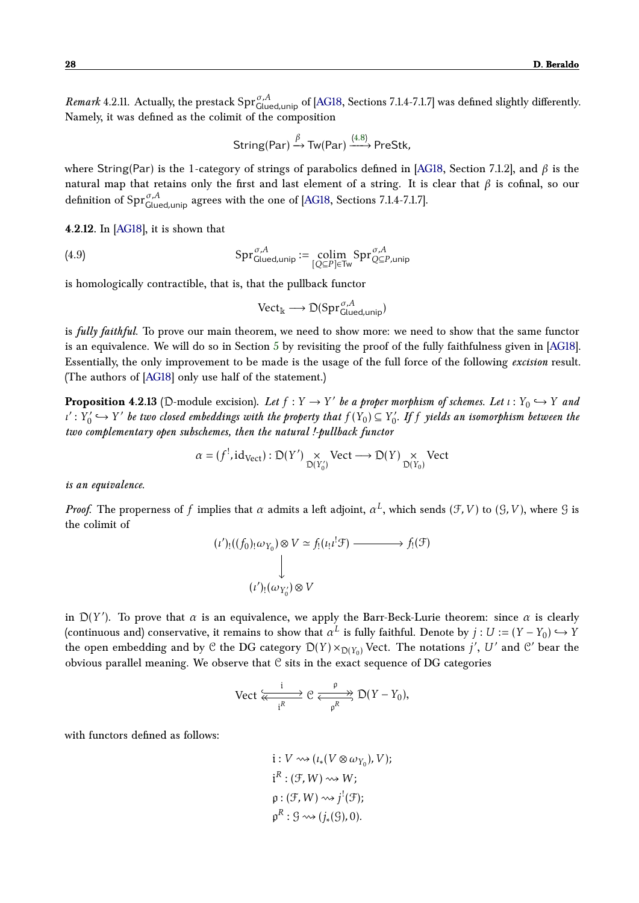<span id="page-27-2"></span>*Remark* 4.2.11. Actually, the prestack  $Spr_{Glued,unip}^{\sigma,A}$  of [\[AG18,](#page-32-0) Sections 7.1.4-7.1.7] was defined slightly differently. Namely, it was defined as the colimit of the composition

$$
String(Par) \xrightarrow{\beta} Tw(Par) \xrightarrow{(4.8)} Prestk,
$$

where String(Par) is the 1-category of strings of parabolics defined in [\[AG18,](#page-32-0) Section 7.1.2], and *β* is the natural map that retains only the first and last element of a string. It is clear that *β* is cofinal, so our definition of Spr*σ,A* Glued*,*unip agrees with the one of [\[AG18,](#page-32-0) Sections 7.1.4-7.1.7].

**4.2.12.** In [\[AG18\]](#page-32-0), it is shown that

(4.9) 
$$
\mathrm{Spr}_{\mathrm{Glued,unip}}^{\sigma,A} := \underset{[Q \subseteq P] \in \mathrm{Tw}}{\mathrm{colim}} \mathrm{Spr}_{Q \subseteq P, \mathrm{unip}}^{\sigma,A}
$$

is homologically contractible, that is, that the pullback functor

<span id="page-27-1"></span>
$$
\text{Vect}_{\mathbb{k}} \longrightarrow \mathcal{D}(\text{Spr}_{\text{Glued,unip}}^{\sigma, A})
$$

is *fully faithful*. To prove our main theorem, we need to show more: we need to show that the same functor is an equivalence. We will do so in Section [5](#page-28-0) by revisiting the proof of the fully faithfulness given in [\[AG18\]](#page-32-0). Essentially, the only improvement to be made is the usage of the full force of the following *excision* result. (The authors of [\[AG18\]](#page-32-0) only use half of the statement.)

<span id="page-27-0"></span>**Proposition 4.2.13** (D-module excision). Let  $f: Y \to Y'$  be a proper morphism of schemes. Let  $\iota: Y_0 \hookrightarrow Y$  and *ι'* :  $\overline{Y}'_0$  $Y'_{0} \hookrightarrow Y'$  be two closed embeddings with the property that  $f(Y_{0}) \subseteq Y'_{0}$ 0 *. If f yields an isomorphism between the two complementary open subschemes, then the natural !-pullback functor*

$$
\alpha = (f^!, id_{\text{Vect}}) : \mathcal{D}(Y') \underset{\mathcal{D}(Y'_0)}{\times} \text{Vect} \longrightarrow \mathcal{D}(Y) \underset{\mathcal{D}(Y_0)}{\times} \text{Vect}
$$

*is an equivalence.*

*Proof.* The properness of  $f$  implies that  $\alpha$  admits a left adjoint,  $\alpha^L$ , which sends  $(\mathcal{F}, V)$  to  $(\mathcal{G}, V)$ , where  $\mathcal{G}$  is the colimit of

$$
(i')_!((f_0)_{!}\omega_{Y_0}) \otimes V \simeq f_!(\iota_! \iota^! \mathcal{F}) \longrightarrow f_!(\mathcal{F})
$$
  

$$
\downarrow
$$
  

$$
(\iota')_! (\omega_{Y'_0}) \otimes V
$$

in  $D(Y')$ . To prove that  $\alpha$  is an equivalence, we apply the Barr-Beck-Lurie theorem: since  $\alpha$  is clearly (continuous and) conservative, it remains to show that  $\alpha^L$  is fully faithful. Denote by  $j:U:=(Y-Y_0)\hookrightarrow Y$ the open embedding and by C the DG category  $D(Y) \times_{D(Y_0)} \text{Vect}$ . The notations *j'*, U' and C' bear the obvious parallel meaning. We observe that  $C$  sits in the exact sequence of DG categories

$$
\text{Vect} \xrightarrow[i]{i} \mathcal{C} \xrightarrow[\text{p}]{p} \mathcal{D}(Y - Y_0),
$$

with functors defined as follows:

i: 
$$
V \rightsquigarrow (\iota_*(V \otimes \omega_{Y_0}), V);
$$
  
\n $i^R : (\mathcal{F}, W) \rightsquigarrow W;$   
\n $\rho : (\mathcal{F}, W) \rightsquigarrow j^!(\mathcal{F});$   
\n $\rho^R : \mathcal{G} \rightsquigarrow (j_*(\mathcal{G}), 0).$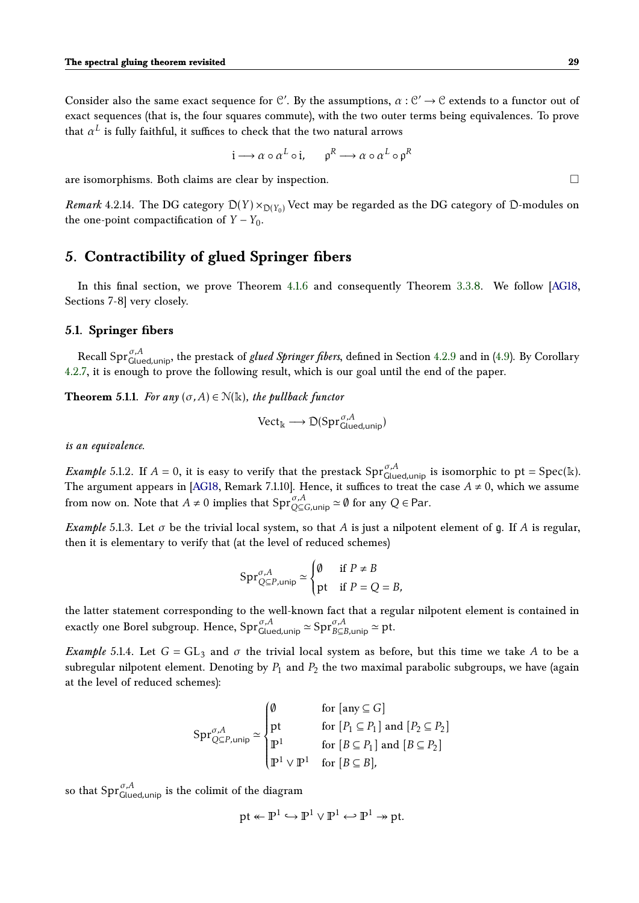Consider also the same exact sequence for C'. By the assumptions,  $\alpha$  : C'  $\rightarrow$  C extends to a functor out of exact sequences (that is, the four squares commute), with the two outer terms being equivalences. To prove that  $\alpha^L$  is fully faithful, it suffices to check that the two natural arrows

$$
\mathfrak{i} \longrightarrow \alpha \circ \alpha^L \circ \mathfrak{i}, \qquad \mathfrak{p}^R \longrightarrow \alpha \circ \alpha^L \circ \mathfrak{p}^R
$$

are isomorphisms. Both claims are clear by inspection.  $\Box$ 

*Remark* 4.2.14. The DG category  $D(Y) \times_{D(Y_0)} V$ ect may be regarded as the DG category of D-modules on the one-point compactification of  $Y - Y_0$ .

# <span id="page-28-0"></span>**5. Contractibility of glued Springer fibers**

In this final section, we prove Theorem [4.1.6](#page-23-3) and consequently Theorem [3.3.8.](#page-22-2) We follow [\[AG18,](#page-32-0) Sections 7-8] very closely.

#### <span id="page-28-1"></span>**5.1. Springer fibers**

Recall Spr*σ,A* Glued*,*unip, the prestack of *glued Springer fibers*, defined in Section [4.2.9](#page-26-4) and in [\(4.9\)](#page-27-1). By Corollary [4.2.7,](#page-26-5) it is enough to prove the following result, which is our goal until the end of the paper.

<span id="page-28-2"></span>**Theorem 5.1.1.** *For any*  $(\sigma, A) \in \mathcal{N}(\mathbb{k})$ *, the pullback functor* 

$$
\text{Vect}_{\mathbb{k}} \longrightarrow \mathcal{D}(\text{Spr}_{\text{Glued,unip}}^{\sigma, A})
$$

*is an equivalence.*

<span id="page-28-3"></span>*Example* 5.1.2. If  $A = 0$ , it is easy to verify that the prestack  $Spr_{Glued,unip}^{\sigma,A}$  is isomorphic to  $pt = Spec(k)$ . The argument appears in [\[AG18,](#page-32-0) Remark 7.1.10]. Hence, it suffices to treat the case  $A \neq 0$ , which we assume from now on. Note that  $A \neq 0$  implies that  $\text{Spr}_{Q\subseteq G,\text{unip}}^{\sigma,A} \simeq \emptyset$  for any  $Q \in \text{Par}.$ 

*Example* 5.1.3. Let  $\sigma$  be the trivial local system, so that *A* is just a nilpotent element of g. If *A* is regular, then it is elementary to verify that (at the level of reduced schemes)

$$
\operatorname{Spr}_{Q\subseteq P,\text{unip}}^{\sigma,A}\simeq \begin{cases} \emptyset & \text{ if } P\neq B\\ \text{pt} & \text{ if } P=Q=B, \end{cases}
$$

the latter statement corresponding to the well-known fact that a regular nilpotent element is contained in exactly one Borel subgroup. Hence,  $\text{Spr}_{\text{Glued,unip}}^{\sigma,A} \simeq \text{Spr}_{B \subseteq B,\text{unip}}^{\sigma,A} \simeq \text{pt}.$ 

*Example* 5.1.4. Let  $G = GL_3$  and  $\sigma$  the trivial local system as before, but this time we take A to be a subregular nilpotent element. Denoting by  $P_1$  and  $P_2$  the two maximal parabolic subgroups, we have (again at the level of reduced schemes):

$$
\operatorname{Spr}_{Q\subseteq P,\text{unip}}^{\sigma,A}\simeq\begin{cases} \emptyset & \text{for [any}\subseteq G] \\ \text{pt} & \text{for }[P_1\subseteq P_1]\text{ and }[P_2\subseteq P_2] \\ \mathbb{P}^1 & \text{for }[B\subseteq P_1]\text{ and }[B\subseteq P_2] \\ \mathbb{P}^1\vee\mathbb{P}^1 & \text{for }[B\subseteq B], \end{cases}
$$

so that  $\textrm{Spr}_{\textrm{Glued,unip}}^{ \sigma, A}$  is the colimit of the diagram

$$
pt \leftarrow \mathbb{P}^1 \hookrightarrow \mathbb{P}^1 \vee \mathbb{P}^1 \hookleftarrow \mathbb{P}^1 \twoheadrightarrow pt.
$$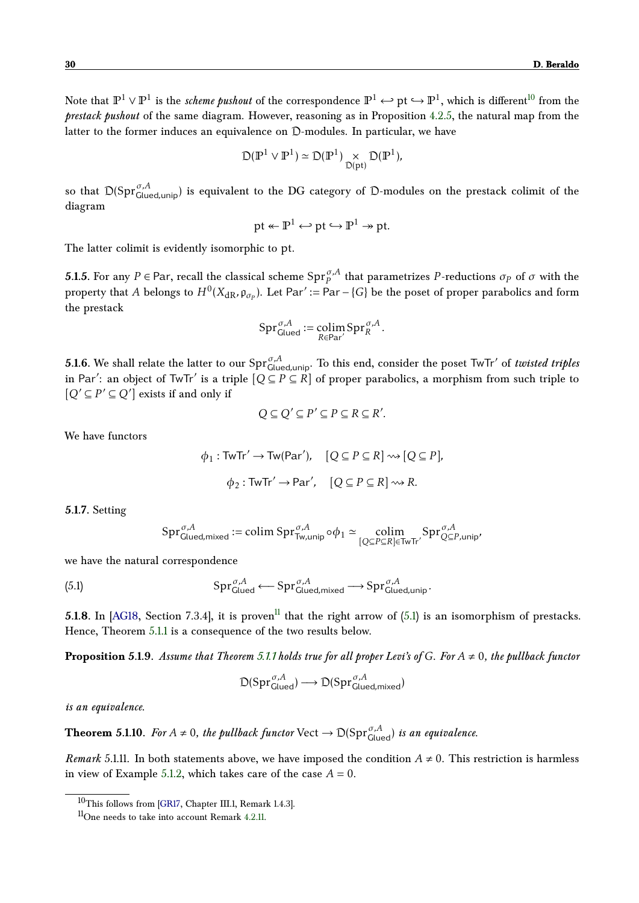Note that  $\mathbb{P}^1\vee\mathbb{P}^1$  is the *scheme pushout* of the correspondence  $\mathbb{P}^1\hookrightarrow$   $\mathbb{P}^1\hookrightarrow\mathbb{P}^1,$  which is different $^{10}$  $^{10}$  $^{10}$  from the *prestack pushout* of the same diagram. However, reasoning as in Proposition [4.2.5,](#page-25-0) the natural map from the latter to the former induces an equivalence on D-modules. In particular, we have

$$
\mathcal{D}(\mathbb{P}^1 \vee \mathbb{P}^1) \simeq \mathcal{D}(\mathbb{P}^1) \underset{\mathcal{D}(\text{pt})}{\times} \mathcal{D}(\mathbb{P}^1),
$$

so that D(Spr<sub>Glued,uni<sub>p</sub>) is equivalent to the DG category of D-modules on the prestack colimit of the</sub> diagram

$$
pt \leftarrow \mathbb{P}^1 \hookleftarrow pt \hookrightarrow \mathbb{P}^1 \twoheadrightarrow pt.
$$

The latter colimit is evidently isomorphic to pt.

**5.1.5.** For any  $P \in \text{Par}$ , recall the classical scheme  $\text{Spr}_{P}^{\sigma,A}$  that parametrizes  $P$ -reductions  $\sigma_P$  of  $\sigma$  with the property that *A* belongs to  $H^0(X_{dR}, \mathfrak{p}_{\sigma_P})$ . Let Par' := Par – {*G*} be the poset of proper parabolics and form the prestack

$$
\mathrm{Spr}_{\mathrm{Glued}}^{\sigma, A} := \underset{R \in \mathrm{Par}'}{\mathrm{colim}} \mathrm{Spr}_{R}^{\sigma, A}.
$$

**5.1.6.** We shall relate the latter to our  $\text{Spr}_{\text{Glued,unip}}^{\sigma,A}$ . To this end, consider the poset TwTr' of *twisted triples* in Par': an object of TwTr' is a triple  $[Q \subseteq P \subseteq R]$  of proper parabolics, a morphism from such triple to  $[Q' \subseteq P' \subseteq Q']$  exists if and only if

$$
Q \subseteq Q' \subseteq P' \subseteq P \subseteq R \subseteq R'.
$$

We have functors

$$
\phi_1: \text{TwTr}' \to \text{Tw}(\text{Par}'), \quad [Q \subseteq P \subseteq R] \leadsto [Q \subseteq P],
$$

$$
\phi_2: \text{TwTr}' \to \text{Par}', \quad [Q \subseteq P \subseteq R] \leadsto R.
$$

**5.1.7.** Setting

<span id="page-29-2"></span>
$$
\textup{Spr}_{\textup{Glued,mixed}}^{\sigma, A}:= \textup{colim}~\textup{Spr}_{\textup{Tw,unip}}^{\sigma, A}\circ \varphi_1\simeq \underset{[Q\subseteq P\subseteq R]\in \textup{TwTr}'}{\textup{colim}}\textup{Spr}_{Q\subseteq P, unip}^{\sigma, A},
$$

we have the natural correspondence

(5.1) 
$$
\mathrm{Spr}_{\mathrm{Glued}}^{\sigma,A} \longleftarrow \mathrm{Spr}_{\mathrm{Glued,mixed}}^{\sigma,A} \longrightarrow \mathrm{Spr}_{\mathrm{Glued,unip}}^{\sigma,A}.
$$

**5.1.8.** In [\[AG18,](#page-32-0) Section 7.3.4], it is proven<sup>[11](#page-29-1)</sup> that the right arrow of  $(5.1)$  is an isomorphism of prestacks. Hence, Theorem [5.1.1](#page-28-2) is a consequence of the two results below.

<span id="page-29-4"></span>**Proposition 5.1.9.** Assume that Theorem [5.1.1](#page-28-2) holds true for all proper Levi's of G. For  $A \neq 0$ , the pullback functor

$$
\mathcal{D}(\mathrm{Spr}_{\mathsf{Glued}}^{\sigma,A})\longrightarrow \mathcal{D}(\mathrm{Spr}_{\mathsf{Glued},\mathsf{mixed}}^{\sigma,A})
$$

*is an equivalence.*

<span id="page-29-3"></span>**Theorem 5.1.10.** For  $A \neq 0$ , the pullback functor  $Vect \rightarrow \mathcal{D}(Spr_{Glued}^{\sigma,A})$  is an equivalence.

*Remark* 5.1.11. In both statements above, we have imposed the condition  $A \neq 0$ . This restriction is harmless in view of Example [5.1.2,](#page-28-3) which takes care of the case  $A = 0$ .

<span id="page-29-0"></span><sup>10</sup>This follows from [\[GR17,](#page-33-9) Chapter III.1, Remark 1.4.3].

<span id="page-29-1"></span><sup>11</sup>One needs to take into account Remark [4.2.11.](#page-27-2)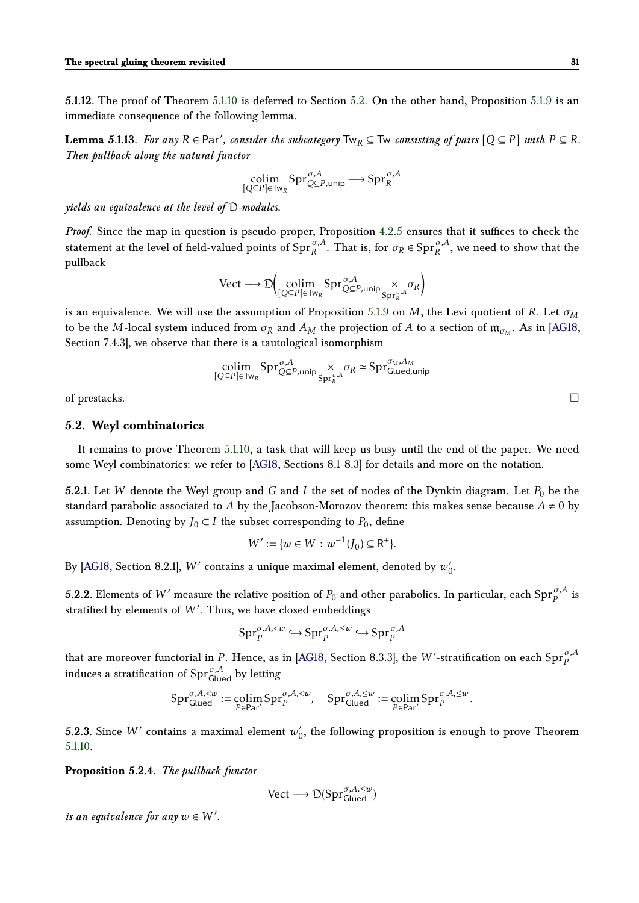**5.1.12.** The proof of Theorem [5.1.10](#page-29-3) is deferred to Section [5.2.](#page-30-0) On the other hand, Proposition [5.1.9](#page-29-4) is an immediate consequence of the following lemma.

**Lemma 5.1.13.** For any  $R \in \text{Par}'$ , consider the subcategory  $Tw_R \subseteq Tw$  *consisting of pairs*  $[Q \subseteq P]$  *with*  $P \subseteq R$ *. Then pullback along the natural functor*

$$
\underset{[Q \subseteq P] \in \text{Tw}_{R}}{\text{colim}} \text{Spr}_{Q \subseteq P, \text{unip}}^{\sigma, A} \longrightarrow \text{Spr}_{R}^{\sigma, A}
$$

*yields an equivalence at the level of* D*-modules.*

*Proof.* Since the map in question is pseudo-proper, Proposition [4.2.5](#page-25-0) ensures that it suffices to check the statement at the level of field-valued points of  $\text{Spr}_{R}^{\sigma,A}$ . That is, for  $\sigma_R \in \text{Spr}_{R}^{\sigma,A}$ , we need to show that the pullback

$$
\text{Vect} \longrightarrow \mathbb{D}\Big(\underset{[Q \subseteq P] \in \text{Tw}_{R} }{\text{colim}} \text{Spr}_{Q \subseteq P, \text{unip}}^{\sigma, A} \underset{\text{Spr}_{R}^{\sigma, A}}{\times} \sigma_{R}\Big)
$$

is an equivalence. We will use the assumption of Proposition [5.1.9](#page-29-4) on *M*, the Levi quotient of *R*. Let *σ<sup>M</sup>* to be the  $M$ -local system induced from  $\sigma_R$  and  $A_M$  the projection of  $A$  to a section of  $\mathfrak{m}_{\sigma_M}.$  As in [\[AG18,](#page-32-0) Section 7.4.3], we observe that there is a tautological isomorphism

$$
\underset{[Q \subseteq P] \in \text{Tw}_{R}}{\text{colim}} \text{Spr}_{Q \subseteq P, \text{unip}}^{\sigma, A} \underset{\text{Spr}_{R}^{\sigma, A}}{\times} \sigma_{R} \simeq \text{Spr}_{\text{Glued,unip}}^{\sigma_{M}, A_{M}}
$$

of prestacks.  $\Box$ 

#### <span id="page-30-0"></span>**5.2. Weyl combinatorics**

It remains to prove Theorem [5.1.10,](#page-29-3) a task that will keep us busy until the end of the paper. We need some Weyl combinatorics: we refer to [\[AG18,](#page-32-0) Sections 8.1-8.3] for details and more on the notation.

**5.2.1.** Let *W* denote the Weyl group and *G* and *I* the set of nodes of the Dynkin diagram. Let  $P_0$  be the standard parabolic associated to *A* by the Jacobson-Morozov theorem: this makes sense because  $A \neq 0$  by assumption. Denoting by  $J_0 \subset I$  the subset corresponding to  $P_0$ , define

$$
W' := \{ w \in W : w^{-1}(J_0) \subseteq R^+ \}.
$$

By [\[AG18,](#page-32-0) Section 8.2.1],  $W'$  contains a unique maximal element, denoted by  $w'_{0}$  $\int_0'$ 

**5.2.2.** Elements of  $W'$  measure the relative position of  $P_0$  and other parabolics. In particular, each  $\mathrm{Spr}_P^{\sigma, A}$  is stratified by elements of W'. Thus, we have closed embeddings

$$
\mathrm{Spr}_P^{\sigma,A,\leq w} \hookrightarrow \mathrm{Spr}_P^{\sigma,A,\leq w} \hookrightarrow \mathrm{Spr}_P^{\sigma,A}
$$

that are moreover functorial in *P*. Hence, as in [\[AG18,](#page-32-0) Section 8.3.3], the *W* '-stratification on each  $\mathrm{Spr}^{\sigma, A}_P$ induces a stratification of  $\textrm{Spr}_{\textrm{Glued}}^{\sigma, A}$  by letting

$$
\text{Spr}_{\text{Glued}}^{\sigma, A, < w} := \underset{P \in \text{Par}'}{\text{colim}} \text{Spr}_{P}^{\sigma, A, < w}, \quad \text{Spr}_{\text{Glued}}^{\sigma, A, \leq w} := \underset{P \in \text{Par}'}{\text{colim}} \text{Spr}_{P}^{\sigma, A, \leq w}.
$$

**5.2.3.** Since  $W'$  contains a maximal element  $w'$  $\gamma_{0}^{\prime}$ , the following proposition is enough to prove Theorem [5.1.10.](#page-29-3)

**Proposition 5.2.4.** *The pullback functor*

$$
\text{Vect} \longrightarrow \mathcal{D}(\text{Spr}_{\text{Glued}}^{\sigma, A, \leq w})
$$

*is an equivalence for any*  $w \in W'$ .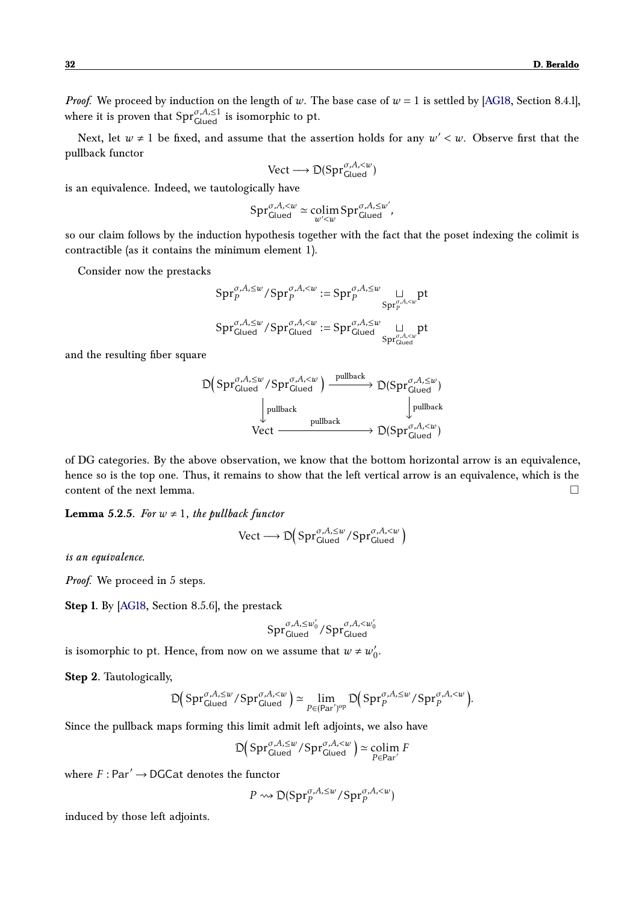*Proof.* We proceed by induction on the length of *w*. The base case of  $w = 1$  is settled by [\[AG18,](#page-32-0) Section 8.4.1], where it is proven that  $\text{Spr}_{\text{Glued}}^{\sigma, A, \leq 1}$  is isomorphic to pt.

Next, let  $w \neq 1$  be fixed, and assume that the assertion holds for any  $w' < w$ . Observe first that the pullback functor

$$
\text{Vect} \longrightarrow \mathcal{D}(\text{Spr}_{\text{Glued}}^{\sigma, A, < w})
$$

is an equivalence. Indeed, we tautologically have

$$
\operatorname{Spr}_{\text{Glued}}^{\sigma, A, < w} \simeq \operatorname*{colim}_{w' < w} \operatorname{Spr}_{\text{Glued}}^{\sigma, A, \leq w'},
$$

so our claim follows by the induction hypothesis together with the fact that the poset indexing the colimit is contractible (as it contains the minimum element 1).

Consider now the prestacks

$$
\begin{aligned} \textup{Spr}_{P}^{\sigma,A,\leq w}/\textup{Spr}_{P}^{\sigma,A,
$$

and the resulting fiber square

<span id="page-31-0"></span>
$$
\mathbb{D}\left(\text{Spr}_{\text{Glued}}^{\sigma, A, \leq w}/\text{Spr}_{\text{Glued}}^{\sigma, A, < w}\right) \xrightarrow{\text{pullback}} \mathbb{D}(\text{Spr}_{\text{Glued}}^{\sigma, A, \leq w})
$$
\n
$$
\downarrow \text{pullback} \qquad \qquad \downarrow \text{pullback}
$$
\n
$$
\text{Vect} \xrightarrow{\text{pullback}} \mathbb{D}(\text{Spr}_{\text{Glued}}^{\sigma, A, < w})
$$

of DG categories. By the above observation, we know that the bottom horizontal arrow is an equivalence, hence so is the top one. Thus, it remains to show that the left vertical arrow is an equivalence, which is the content of the next lemma.

**Lemma** 5.2.5. For  $w \neq 1$ , the pullback functor

$$
\text{Vect} \longrightarrow \mathbb{D}\Big(\text{Spr}_{\text{Glued}}^{\sigma, A, \leq w}/\text{Spr}_{\text{Glued}}^{\sigma, A,
$$

*is an equivalence.*

*Proof.* We proceed in 5 steps.

**Step 1.** By [\[AG18,](#page-32-0) Section 8.5.6], the prestack

$$
\mathrm{Spr}^{\sigma,A,\leq w_0'}_{\mathrm{Glued}}/\mathrm{Spr}^{\sigma,A,
$$

is isomorphic to pt. Hence, from now on we assume that  $w \neq w_0'$  $\int_0'$ 

**Step 2.** Tautologically,

$$
\mathbb{D}\Big(\text{Spr}_{\text{Glued}}^{\sigma, A, \leq w}/\text{Spr}_{\text{Glued}}^{\sigma, A, < w}\Big) \simeq \lim_{P \in (\text{Par}')^{\text{op}}} \mathbb{D}\Big(\text{Spr}_{P}^{\sigma, A, \leq w}/\text{Spr}_{P}^{\sigma, A, < w}\Big).
$$

Since the pullback maps forming this limit admit left adjoints, we also have

$$
\mathbb{D}\Big(\operatorname{Spr}_{\operatorname{Glued}}^{\sigma, A, \leq w}/\operatorname{Spr}_{\operatorname{Glued}}^{\sigma, A, < w}\Big)\simeq \underset{P\in \operatorname{Par}'}{\operatorname{colim}} F
$$

where  $F : \text{Par}' \rightarrow \text{DGCat}$  denotes the functor

$$
P \leadsto \mathsf{D}(\mathrm{Spr}^{\sigma,A,\leq w}_P/S\mathrm{pr}^{\sigma,A,
$$

induced by those left adjoints.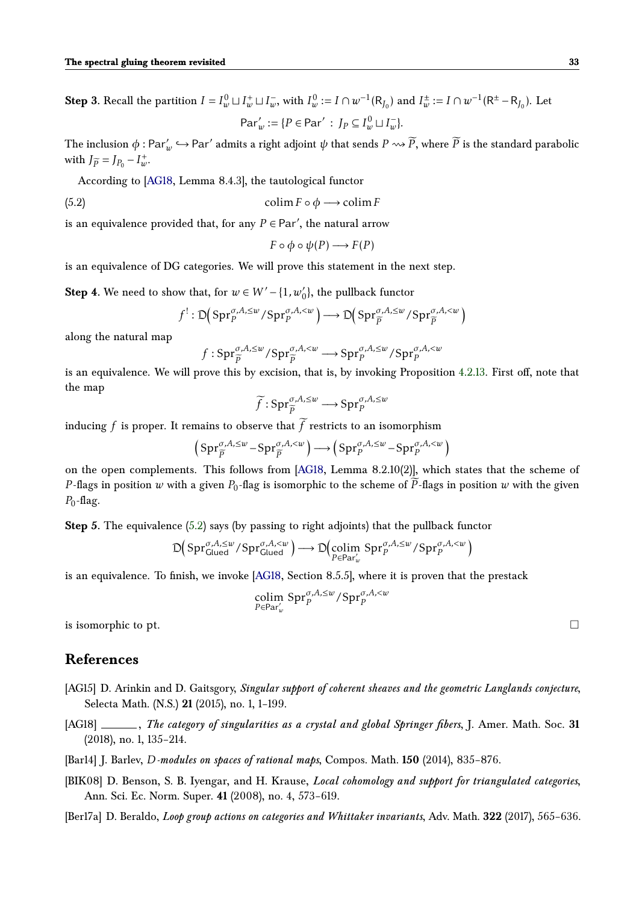**Step 3.** Recall the partition  $I = I_w^0 \sqcup I_w^+ \sqcup I_w^-,$  with  $I_w^0 := I \cap w^{-1}(\mathsf{R}_{J_0})$  and  $I_w^{\pm} := I \cap w^{-1}(\mathsf{R}^{\pm} - \mathsf{R}_{J_0})$ . Let  $Par'_{w} := \{ P \in Par' : J_{P} \subseteq I_{w}^{0} \sqcup I_{w}^{-} \}.$ 

The inclusion  $\phi : \text{Par}'_w \hookrightarrow \text{Par}'$  admits a right adjoint  $\psi$  that sends  $P \rightsquigarrow \widetilde{P}$ , where  $\widetilde{P}$  is the standard parabolic with  $J_{\widetilde{P}} = J_{P_0} - I_{w}^{+}$ .

According to [\[AG18,](#page-32-0) Lemma 8.4.3], the tautological functor

(5.2) 
$$
\operatorname{colim} F \circ \phi \longrightarrow \operatorname{colim} F
$$

is an equivalence provided that, for any  $P \in \text{Par}'$ , the natural arrow

$$
F \circ \phi \circ \psi(P) \longrightarrow F(P)
$$

is an equivalence of DG categories. We will prove this statement in the next step.

**Step 4.** We need to show that, for  $w \in W' - \{1, w_0'\}$ , the pullback functor

$$
f^{!}: \mathsf{D}(\mathrm{Spr}_{p}^{\sigma,A,\leq w}/\mathrm{Spr}_{p}^{\sigma,A,\leq w})\longrightarrow \mathsf{D}(\mathrm{Spr}_{\widetilde{p}}^{\sigma,A,\leq w}/\mathrm{Spr}_{\widetilde{p}}^{\sigma,A,\leq w})
$$

along the natural map

$$
f: \mathrm{Spr}_{\widetilde{p}}^{\sigma, A, \leq w} / \mathrm{Spr}_{\widetilde{p}}^{\sigma, A, \leq w} \longrightarrow \mathrm{Spr}_{p}^{\sigma, A, \leq w} / \mathrm{Spr}_{p}^{\sigma, A, \leq w}
$$

is an equivalence. We will prove this by excision, that is, by invoking Proposition [4.2.13.](#page-27-0) First off, note that the map

$$
\widetilde{f}: \mathrm{Spr}_{\widetilde{p}}^{\sigma, A, \leq w} \longrightarrow \mathrm{Spr}_{p}^{\sigma, A, \leq w}
$$

inducing  $f$  is proper. It remains to observe that  $f$  restricts to an isomorphism

$$
\left(\text{Spr}_{\widetilde{P}}^{\sigma,A,\leq w}-\text{Spr}_{\widetilde{P}}^{\sigma,A,\leq w}\right)\longrightarrow\left(\text{Spr}_{P}^{\sigma,A,\leq w}-\text{Spr}_{P}^{\sigma,A,\leq w}\right)
$$

on the open complements. This follows from [\[AG18,](#page-32-0) Lemma 8.2.10(2)], which states that the scheme of *P*-flags in position *w* with a given  $P_0$ -flag is isomorphic to the scheme of  $\overline{P}$ -flags in position *w* with the given  $P_0$ -flag.

**Step 5.** The equivalence [\(5.2\)](#page-31-0) says (by passing to right adjoints) that the pullback functor

$$
\mathsf{D}\big(\mathsf{Spr}_{\mathsf{Glued}}^{\sigma,A,\leq w}/\mathsf{Spr}_{\mathsf{Glued}}^{\sigma,A,
$$

is an equivalence. To finish, we invoke [\[AG18,](#page-32-0) Section 8.5.5], where it is proven that the prestack

$$
\operatornamewithlimits{colim}_{P \in \operatorname{Par}'_w} \operatorname{Spr}_P^{\sigma, A, \leq w} / \operatorname{Spr}_P^{\sigma, A, < w}
$$

is isomorphic to pt.  $\Box$ 

# **References**

- <span id="page-32-1"></span>[AG15] D. Arinkin and D. Gaitsgory, *Singular support of coherent sheaves and the geometric Langlands conjecture*, Selecta Math. (N.S.) **21** (2015), no. 1, 1–199.
- <span id="page-32-0"></span>[AG18] , *The category of singularities as a crystal and global Springer fibers*, J. Amer. Math. Soc. **31** (2018), no. 1, 135–214.
- <span id="page-32-3"></span>[Bar14] J. Barlev, *D-modules on spaces of rational maps*, Compos. Math. **150** (2014), 835–876.
- <span id="page-32-2"></span>[BIK08] D. Benson, S. B. Iyengar, and H. Krause, *Local cohomology and support for triangulated categories*, Ann. Sci. Ec. Norm. Super. **41** (2008), no. 4, 573–619.
- <span id="page-32-4"></span>[Ber17a] D. Beraldo, *Loop group actions on categories and Whittaker invariants*, Adv. Math. **322** (2017), 565–636.